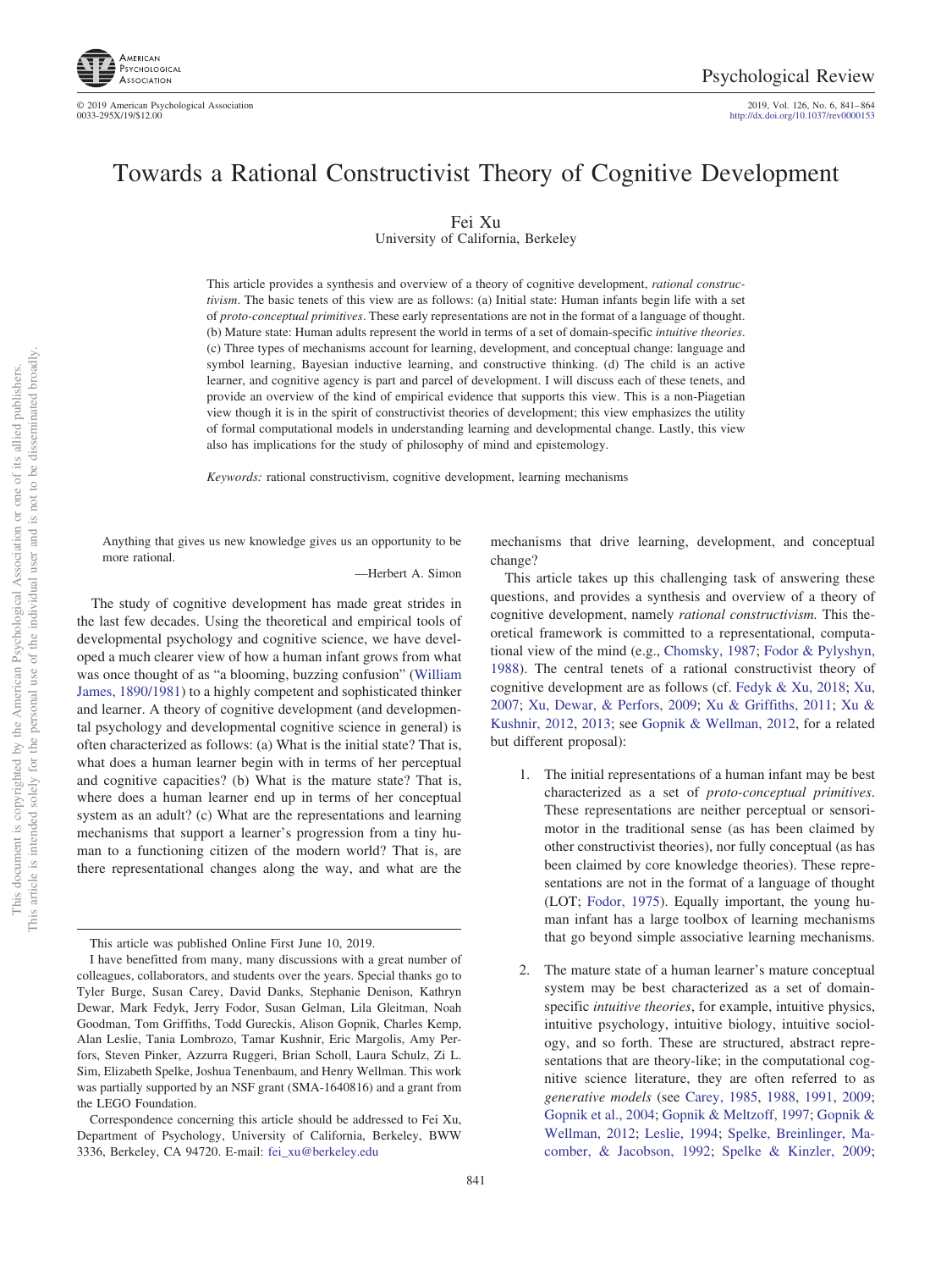

© 2019 American Psychological Association 2019, Vol. 126, No. 6, 841– 864

http://dx.doi.org[/10.1037/rev0000153](http://dx.doi.org/10.1037/rev0000153)

# Towards a Rational Constructivist Theory of Cognitive Development

Fei Xu

University of California, Berkeley

This article provides a synthesis and overview of a theory of cognitive development, *rational constructivism*. The basic tenets of this view are as follows: (a) Initial state: Human infants begin life with a set of *proto-conceptual primitives*. These early representations are not in the format of a language of thought. (b) Mature state: Human adults represent the world in terms of a set of domain-specific *intuitive theories*. (c) Three types of mechanisms account for learning, development, and conceptual change: language and symbol learning, Bayesian inductive learning, and constructive thinking. (d) The child is an active learner, and cognitive agency is part and parcel of development. I will discuss each of these tenets, and provide an overview of the kind of empirical evidence that supports this view. This is a non-Piagetian view though it is in the spirit of constructivist theories of development; this view emphasizes the utility of formal computational models in understanding learning and developmental change. Lastly, this view also has implications for the study of philosophy of mind and epistemology.

*Keywords:* rational constructivism, cognitive development, learning mechanisms

Anything that gives us new knowledge gives us an opportunity to be more rational.

—Herbert A. Simon

The study of cognitive development has made great strides in the last few decades. Using the theoretical and empirical tools of developmental psychology and cognitive science, we have developed a much clearer view of how a human infant grows from what was once thought of as "a blooming, buzzing confusion" [\(William](#page-19-0) [James, 1890/1981\)](#page-19-0) to a highly competent and sophisticated thinker and learner. A theory of cognitive development (and developmental psychology and developmental cognitive science in general) is often characterized as follows: (a) What is the initial state? That is, what does a human learner begin with in terms of her perceptual and cognitive capacities? (b) What is the mature state? That is, where does a human learner end up in terms of her conceptual system as an adult? (c) What are the representations and learning mechanisms that support a learner's progression from a tiny human to a functioning citizen of the modern world? That is, are there representational changes along the way, and what are the

This article was published Online First June 10, 2019.

mechanisms that drive learning, development, and conceptual change?

This article takes up this challenging task of answering these questions, and provides a synthesis and overview of a theory of cognitive development, namely *rational constructivism.* This theoretical framework is committed to a representational, computational view of the mind (e.g., [Chomsky, 1987;](#page-17-0) [Fodor & Pylyshyn,](#page-18-0) [1988\)](#page-18-0). The central tenets of a rational constructivist theory of cognitive development are as follows (cf. [Fedyk & Xu, 2018;](#page-17-1) [Xu,](#page-23-0) [2007;](#page-23-0) [Xu, Dewar, & Perfors, 2009;](#page-23-1) [Xu & Griffiths, 2011;](#page-23-2) [Xu &](#page-23-3) [Kushnir, 2012,](#page-23-3) [2013;](#page-23-4) see [Gopnik & Wellman, 2012,](#page-18-1) for a related but different proposal):

- 1. The initial representations of a human infant may be best characterized as a set of *proto-conceptual primitives*. These representations are neither perceptual or sensorimotor in the traditional sense (as has been claimed by other constructivist theories), nor fully conceptual (as has been claimed by core knowledge theories). These representations are not in the format of a language of thought (LOT; [Fodor, 1975\)](#page-18-2). Equally important, the young human infant has a large toolbox of learning mechanisms that go beyond simple associative learning mechanisms.
- The mature state of a human learner's mature conceptual system may be best characterized as a set of domainspecific *intuitive theories*, for example, intuitive physics, intuitive psychology, intuitive biology, intuitive sociology, and so forth. These are structured, abstract representations that are theory-like; in the computational cognitive science literature, they are often referred to as *generative models* (see [Carey, 1985,](#page-16-0) [1988,](#page-16-1) [1991,](#page-17-2) [2009;](#page-17-3) [Gopnik et al., 2004;](#page-18-3) [Gopnik & Meltzoff, 1997;](#page-18-4) [Gopnik &](#page-18-1) [Wellman, 2012;](#page-18-1) [Leslie, 1994;](#page-20-0) [Spelke, Breinlinger, Ma](#page-22-0)[comber, & Jacobson, 1992;](#page-22-0) [Spelke & Kinzler, 2009;](#page-22-1)

I have benefitted from many, many discussions with a great number of colleagues, collaborators, and students over the years. Special thanks go to Tyler Burge, Susan Carey, David Danks, Stephanie Denison, Kathryn Dewar, Mark Fedyk, Jerry Fodor, Susan Gelman, Lila Gleitman, Noah Goodman, Tom Griffiths, Todd Gureckis, Alison Gopnik, Charles Kemp, Alan Leslie, Tania Lombrozo, Tamar Kushnir, Eric Margolis, Amy Perfors, Steven Pinker, Azzurra Ruggeri, Brian Scholl, Laura Schulz, Zi L. Sim, Elizabeth Spelke, Joshua Tenenbaum, and Henry Wellman. This work was partially supported by an NSF grant (SMA-1640816) and a grant from the LEGO Foundation.

Correspondence concerning this article should be addressed to Fei Xu, Department of Psychology, University of California, Berkeley, BWW 3336, Berkeley, CA 94720. E-mail: [fei\\_xu@berkeley.edu](mailto:fei_xu@berkeley.edu)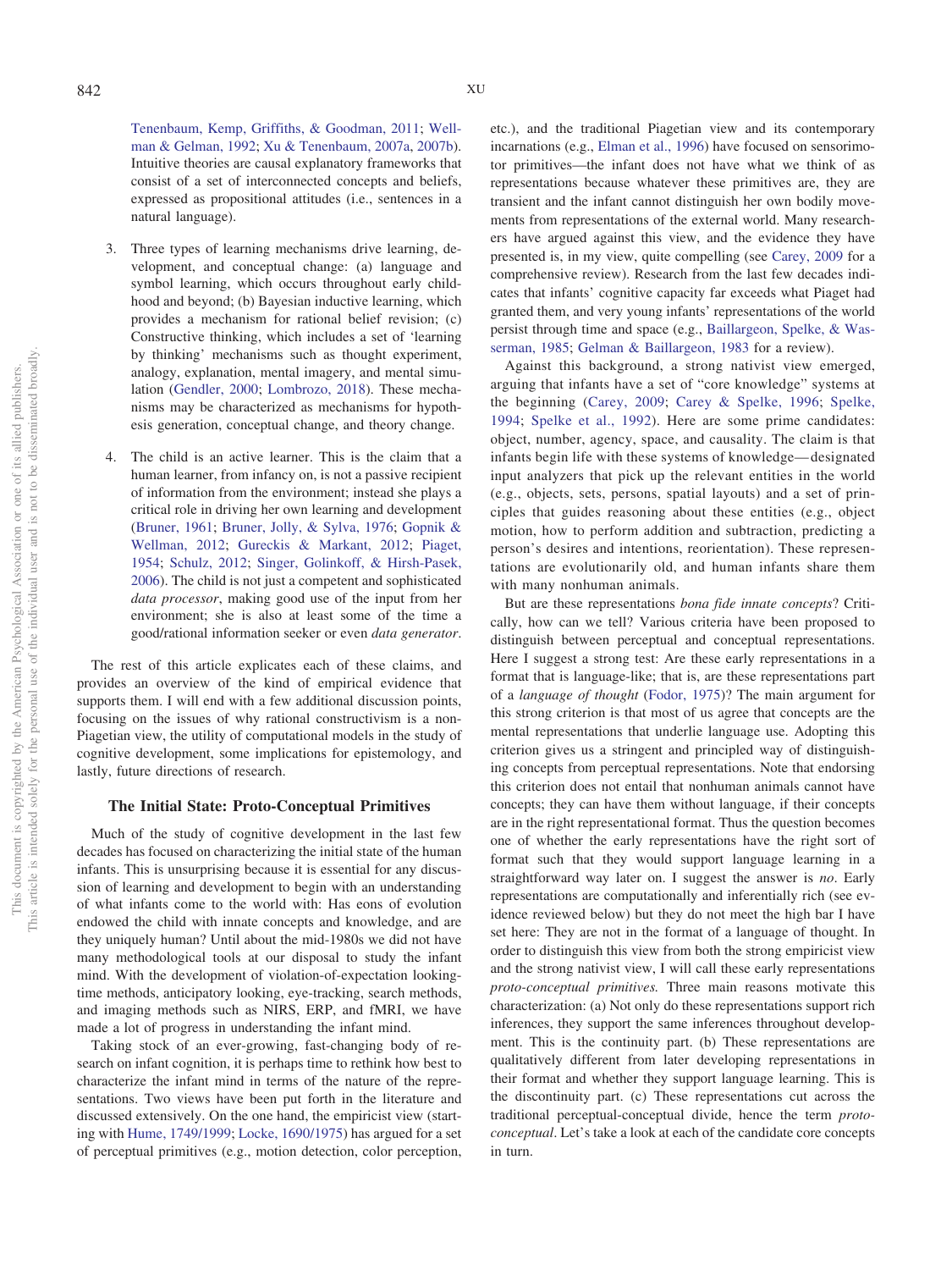[Tenenbaum, Kemp, Griffiths, & Goodman, 2011;](#page-22-2) [Well](#page-22-3)[man & Gelman, 1992;](#page-22-3) [Xu & Tenenbaum, 2007a,](#page-23-5) [2007b\)](#page-23-6). Intuitive theories are causal explanatory frameworks that consist of a set of interconnected concepts and beliefs, expressed as propositional attitudes (i.e., sentences in a natural language).

- 3. Three types of learning mechanisms drive learning, development, and conceptual change: (a) language and symbol learning, which occurs throughout early childhood and beyond; (b) Bayesian inductive learning, which provides a mechanism for rational belief revision; (c) Constructive thinking, which includes a set of 'learning by thinking' mechanisms such as thought experiment, analogy, explanation, mental imagery, and mental simulation [\(Gendler, 2000;](#page-18-5) [Lombrozo, 2018\)](#page-20-1). These mechanisms may be characterized as mechanisms for hypothesis generation, conceptual change, and theory change.
- 4. The child is an active learner. This is the claim that a human learner, from infancy on, is not a passive recipient of information from the environment; instead she plays a critical role in driving her own learning and development [\(Bruner, 1961;](#page-16-2) [Bruner, Jolly, & Sylva, 1976;](#page-16-3) [Gopnik &](#page-18-1) [Wellman, 2012;](#page-18-1) [Gureckis & Markant, 2012;](#page-18-6) [Piaget,](#page-20-2) [1954;](#page-20-2) [Schulz, 2012;](#page-21-0) [Singer, Golinkoff, & Hirsh-Pasek,](#page-21-1) [2006\)](#page-21-1). The child is not just a competent and sophisticated *data processor*, making good use of the input from her environment; she is also at least some of the time a good/rational information seeker or even *data generator*.

The rest of this article explicates each of these claims, and provides an overview of the kind of empirical evidence that supports them. I will end with a few additional discussion points, focusing on the issues of why rational constructivism is a non-Piagetian view, the utility of computational models in the study of cognitive development, some implications for epistemology, and lastly, future directions of research.

### **The Initial State: Proto-Conceptual Primitives**

Much of the study of cognitive development in the last few decades has focused on characterizing the initial state of the human infants. This is unsurprising because it is essential for any discussion of learning and development to begin with an understanding of what infants come to the world with: Has eons of evolution endowed the child with innate concepts and knowledge, and are they uniquely human? Until about the mid-1980s we did not have many methodological tools at our disposal to study the infant mind. With the development of violation-of-expectation lookingtime methods, anticipatory looking, eye-tracking, search methods, and imaging methods such as NIRS, ERP, and fMRI, we have made a lot of progress in understanding the infant mind.

Taking stock of an ever-growing, fast-changing body of research on infant cognition, it is perhaps time to rethink how best to characterize the infant mind in terms of the nature of the representations. Two views have been put forth in the literature and discussed extensively. On the one hand, the empiricist view (starting with [Hume, 1749/1999;](#page-19-1) [Locke, 1690/1975\)](#page-20-3) has argued for a set of perceptual primitives (e.g., motion detection, color perception, etc.), and the traditional Piagetian view and its contemporary incarnations (e.g., [Elman et al., 1996\)](#page-17-4) have focused on sensorimotor primitives—the infant does not have what we think of as representations because whatever these primitives are, they are transient and the infant cannot distinguish her own bodily movements from representations of the external world. Many researchers have argued against this view, and the evidence they have presented is, in my view, quite compelling (see [Carey, 2009](#page-17-3) for a comprehensive review). Research from the last few decades indicates that infants' cognitive capacity far exceeds what Piaget had granted them, and very young infants' representations of the world persist through time and space (e.g., [Baillargeon, Spelke, & Was](#page-16-4)[serman, 1985;](#page-16-4) [Gelman & Baillargeon, 1983](#page-18-7) for a review).

Against this background, a strong nativist view emerged, arguing that infants have a set of "core knowledge" systems at the beginning [\(Carey, 2009;](#page-17-3) [Carey & Spelke, 1996;](#page-17-5) [Spelke,](#page-22-4) [1994;](#page-22-4) [Spelke et al., 1992\)](#page-22-0). Here are some prime candidates: object, number, agency, space, and causality. The claim is that infants begin life with these systems of knowledge— designated input analyzers that pick up the relevant entities in the world (e.g., objects, sets, persons, spatial layouts) and a set of principles that guides reasoning about these entities (e.g., object motion, how to perform addition and subtraction, predicting a person's desires and intentions, reorientation). These representations are evolutionarily old, and human infants share them with many nonhuman animals.

But are these representations *bona fide innate concepts*? Critically, how can we tell? Various criteria have been proposed to distinguish between perceptual and conceptual representations. Here I suggest a strong test: Are these early representations in a format that is language-like; that is, are these representations part of a *language of thought* [\(Fodor, 1975\)](#page-18-2)? The main argument for this strong criterion is that most of us agree that concepts are the mental representations that underlie language use. Adopting this criterion gives us a stringent and principled way of distinguishing concepts from perceptual representations. Note that endorsing this criterion does not entail that nonhuman animals cannot have concepts; they can have them without language, if their concepts are in the right representational format. Thus the question becomes one of whether the early representations have the right sort of format such that they would support language learning in a straightforward way later on. I suggest the answer is *no*. Early representations are computationally and inferentially rich (see evidence reviewed below) but they do not meet the high bar I have set here: They are not in the format of a language of thought. In order to distinguish this view from both the strong empiricist view and the strong nativist view, I will call these early representations *proto-conceptual primitives.* Three main reasons motivate this characterization: (a) Not only do these representations support rich inferences, they support the same inferences throughout development. This is the continuity part. (b) These representations are qualitatively different from later developing representations in their format and whether they support language learning. This is the discontinuity part. (c) These representations cut across the traditional perceptual-conceptual divide, hence the term *protoconceptual*. Let's take a look at each of the candidate core concepts in turn.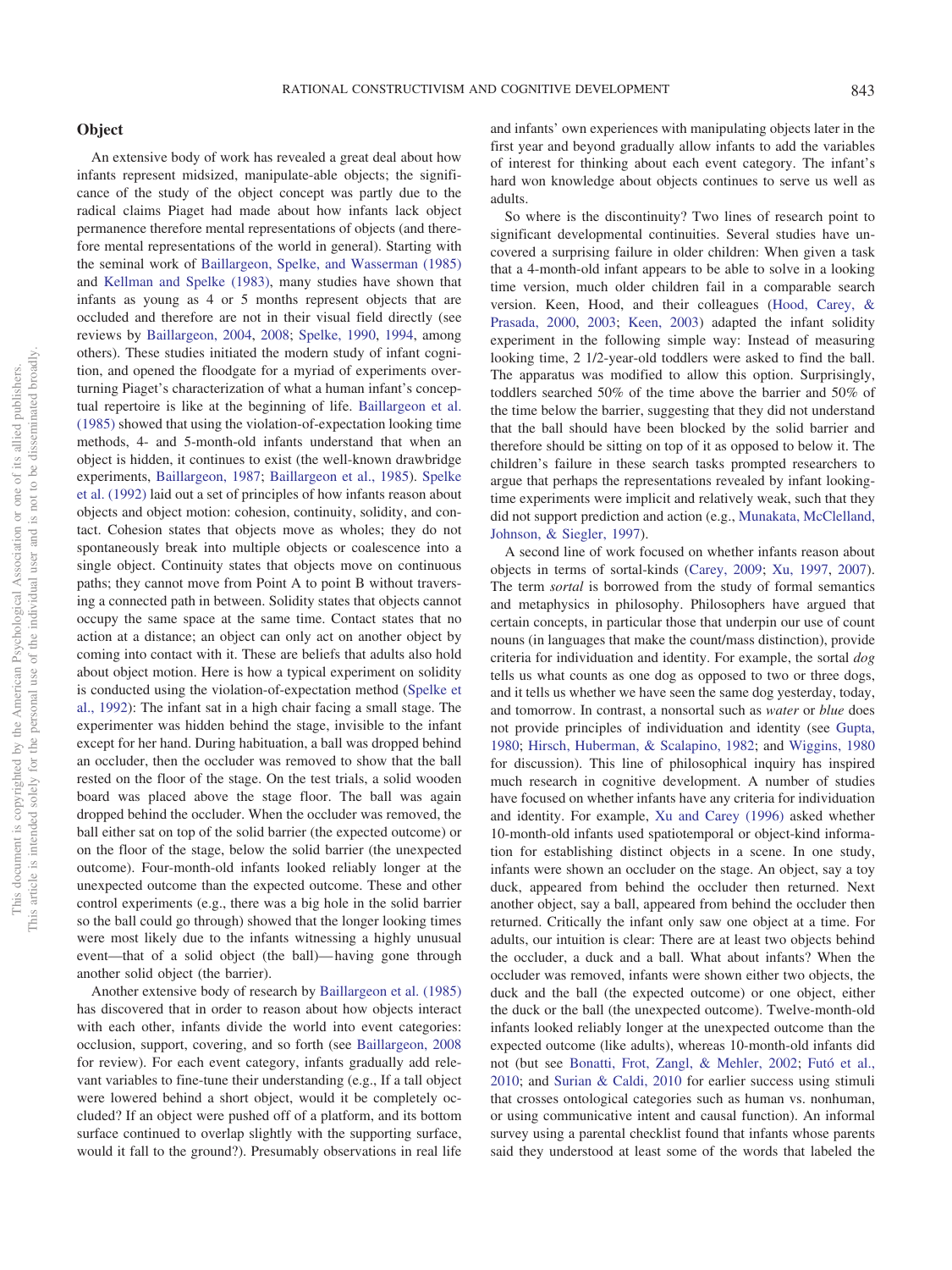## **Object**

An extensive body of work has revealed a great deal about how infants represent midsized, manipulate-able objects; the significance of the study of the object concept was partly due to the radical claims Piaget had made about how infants lack object permanence therefore mental representations of objects (and therefore mental representations of the world in general). Starting with the seminal work of [Baillargeon, Spelke, and Wasserman \(1985\)](#page-16-4) and [Kellman and Spelke \(1983\),](#page-19-2) many studies have shown that infants as young as 4 or 5 months represent objects that are occluded and therefore are not in their visual field directly (see reviews by [Baillargeon, 2004,](#page-16-5) [2008;](#page-16-6) [Spelke, 1990,](#page-22-5) [1994,](#page-22-4) among others). These studies initiated the modern study of infant cognition, and opened the floodgate for a myriad of experiments overturning Piaget's characterization of what a human infant's conceptual repertoire is like at the beginning of life. [Baillargeon et al.](#page-16-4) [\(1985\)](#page-16-4) showed that using the violation-of-expectation looking time methods, 4- and 5-month-old infants understand that when an object is hidden, it continues to exist (the well-known drawbridge experiments, [Baillargeon, 1987;](#page-16-7) [Baillargeon et al., 1985\)](#page-16-4). [Spelke](#page-22-0) [et al. \(1992\)](#page-22-0) laid out a set of principles of how infants reason about objects and object motion: cohesion, continuity, solidity, and contact. Cohesion states that objects move as wholes; they do not spontaneously break into multiple objects or coalescence into a single object. Continuity states that objects move on continuous paths; they cannot move from Point A to point B without traversing a connected path in between. Solidity states that objects cannot occupy the same space at the same time. Contact states that no action at a distance; an object can only act on another object by coming into contact with it. These are beliefs that adults also hold about object motion. Here is how a typical experiment on solidity is conducted using the violation-of-expectation method [\(Spelke et](#page-22-0) [al., 1992\)](#page-22-0): The infant sat in a high chair facing a small stage. The experimenter was hidden behind the stage, invisible to the infant except for her hand. During habituation, a ball was dropped behind an occluder, then the occluder was removed to show that the ball rested on the floor of the stage. On the test trials, a solid wooden board was placed above the stage floor. The ball was again dropped behind the occluder. When the occluder was removed, the ball either sat on top of the solid barrier (the expected outcome) or on the floor of the stage, below the solid barrier (the unexpected outcome). Four-month-old infants looked reliably longer at the unexpected outcome than the expected outcome. These and other control experiments (e.g., there was a big hole in the solid barrier so the ball could go through) showed that the longer looking times were most likely due to the infants witnessing a highly unusual event—that of a solid object (the ball)— having gone through another solid object (the barrier).

Another extensive body of research by [Baillargeon et al. \(1985\)](#page-16-4) has discovered that in order to reason about how objects interact with each other, infants divide the world into event categories: occlusion, support, covering, and so forth (see [Baillargeon, 2008](#page-16-6) for review). For each event category, infants gradually add relevant variables to fine-tune their understanding (e.g., If a tall object were lowered behind a short object, would it be completely occluded? If an object were pushed off of a platform, and its bottom surface continued to overlap slightly with the supporting surface, would it fall to the ground?). Presumably observations in real life and infants' own experiences with manipulating objects later in the first year and beyond gradually allow infants to add the variables of interest for thinking about each event category. The infant's hard won knowledge about objects continues to serve us well as adults.

So where is the discontinuity? Two lines of research point to significant developmental continuities. Several studies have uncovered a surprising failure in older children: When given a task that a 4-month-old infant appears to be able to solve in a looking time version, much older children fail in a comparable search version. Keen, Hood, and their colleagues [\(Hood, Carey, &](#page-19-3) [Prasada, 2000,](#page-19-3) [2003;](#page-19-4) [Keen, 2003\)](#page-19-5) adapted the infant solidity experiment in the following simple way: Instead of measuring looking time, 2 1/2-year-old toddlers were asked to find the ball. The apparatus was modified to allow this option. Surprisingly, toddlers searched 50% of the time above the barrier and 50% of the time below the barrier, suggesting that they did not understand that the ball should have been blocked by the solid barrier and therefore should be sitting on top of it as opposed to below it. The children's failure in these search tasks prompted researchers to argue that perhaps the representations revealed by infant lookingtime experiments were implicit and relatively weak, such that they did not support prediction and action (e.g., [Munakata, McClelland,](#page-20-4) [Johnson, & Siegler, 1997\)](#page-20-4).

A second line of work focused on whether infants reason about objects in terms of sortal-kinds [\(Carey, 2009;](#page-17-3) [Xu, 1997,](#page-23-7) [2007\)](#page-23-0). The term *sortal* is borrowed from the study of formal semantics and metaphysics in philosophy. Philosophers have argued that certain concepts, in particular those that underpin our use of count nouns (in languages that make the count/mass distinction), provide criteria for individuation and identity. For example, the sortal *dog* tells us what counts as one dog as opposed to two or three dogs, and it tells us whether we have seen the same dog yesterday, today, and tomorrow. In contrast, a nonsortal such as *water* or *blue* does not provide principles of individuation and identity (see [Gupta,](#page-18-8) [1980;](#page-18-8) [Hirsch, Huberman, & Scalapino, 1982;](#page-19-6) and [Wiggins, 1980](#page-22-6) for discussion). This line of philosophical inquiry has inspired much research in cognitive development. A number of studies have focused on whether infants have any criteria for individuation and identity. For example, [Xu and Carey \(1996\)](#page-23-8) asked whether 10-month-old infants used spatiotemporal or object-kind information for establishing distinct objects in a scene. In one study, infants were shown an occluder on the stage. An object, say a toy duck, appeared from behind the occluder then returned. Next another object, say a ball, appeared from behind the occluder then returned. Critically the infant only saw one object at a time. For adults, our intuition is clear: There are at least two objects behind the occluder, a duck and a ball. What about infants? When the occluder was removed, infants were shown either two objects, the duck and the ball (the expected outcome) or one object, either the duck or the ball (the unexpected outcome). Twelve-month-old infants looked reliably longer at the unexpected outcome than the expected outcome (like adults), whereas 10-month-old infants did not (but see [Bonatti, Frot, Zangl, & Mehler, 2002;](#page-16-8) [Futó et al.,](#page-18-9) [2010;](#page-18-9) and [Surian & Caldi, 2010](#page-22-7) for earlier success using stimuli that crosses ontological categories such as human vs. nonhuman, or using communicative intent and causal function). An informal survey using a parental checklist found that infants whose parents said they understood at least some of the words that labeled the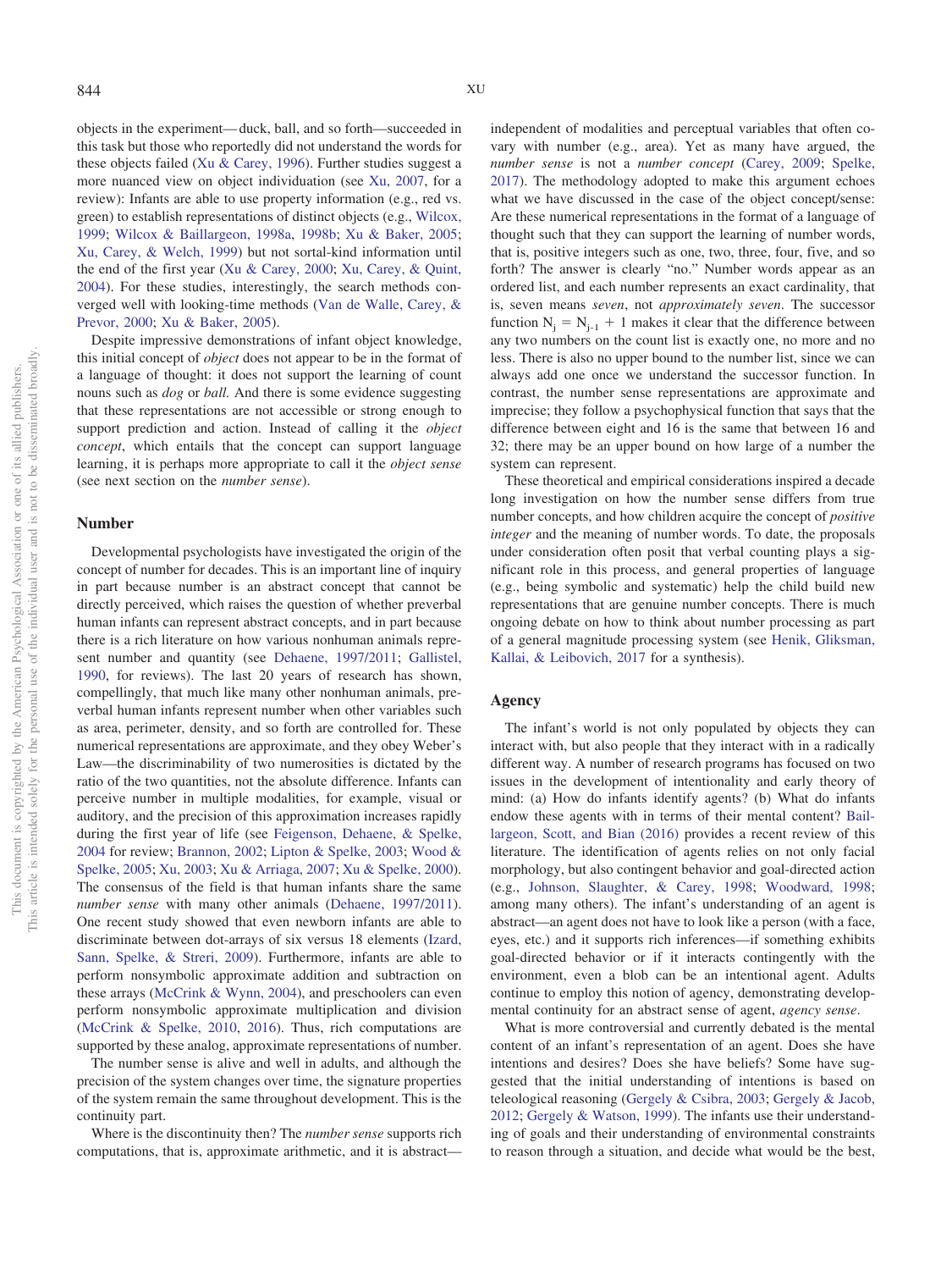objects in the experiment— duck, ball, and so forth—succeeded in this task but those who reportedly did not understand the words for these objects failed [\(Xu & Carey, 1996\)](#page-23-8). Further studies suggest a more nuanced view on object individuation (see [Xu, 2007,](#page-23-0) for a review): Infants are able to use property information (e.g., red vs. green) to establish representations of distinct objects (e.g., [Wilcox,](#page-22-8) [1999;](#page-22-8) [Wilcox & Baillargeon, 1998a,](#page-22-9) [1998b;](#page-22-10) [Xu & Baker, 2005;](#page-23-9) [Xu, Carey, & Welch, 1999\)](#page-23-10) but not sortal-kind information until the end of the first year [\(Xu & Carey, 2000;](#page-23-11) [Xu, Carey, & Quint,](#page-23-12) [2004\)](#page-23-12). For these studies, interestingly, the search methods converged well with looking-time methods [\(Van de Walle, Carey, &](#page-22-11) [Prevor, 2000;](#page-22-11) [Xu & Baker, 2005\)](#page-23-9).

Despite impressive demonstrations of infant object knowledge, this initial concept of *object* does not appear to be in the format of a language of thought: it does not support the learning of count nouns such as *dog* or *ball.* And there is some evidence suggesting that these representations are not accessible or strong enough to support prediction and action. Instead of calling it the *object concept*, which entails that the concept can support language learning, it is perhaps more appropriate to call it the *object sense* (see next section on the *number sense*).

#### **Number**

Developmental psychologists have investigated the origin of the concept of number for decades. This is an important line of inquiry in part because number is an abstract concept that cannot be directly perceived, which raises the question of whether preverbal human infants can represent abstract concepts, and in part because there is a rich literature on how various nonhuman animals represent number and quantity (see [Dehaene, 1997/2011;](#page-17-6) [Gallistel,](#page-18-10) [1990,](#page-18-10) for reviews). The last 20 years of research has shown, compellingly, that much like many other nonhuman animals, preverbal human infants represent number when other variables such as area, perimeter, density, and so forth are controlled for. These numerical representations are approximate, and they obey Weber's Law—the discriminability of two numerosities is dictated by the ratio of the two quantities, not the absolute difference. Infants can perceive number in multiple modalities, for example, visual or auditory, and the precision of this approximation increases rapidly during the first year of life (see [Feigenson, Dehaene, & Spelke,](#page-17-7) [2004](#page-17-7) for review; [Brannon, 2002;](#page-16-9) [Lipton & Spelke, 2003;](#page-20-5) [Wood &](#page-22-12) [Spelke, 2005;](#page-22-12) [Xu, 2003;](#page-23-13) [Xu & Arriaga, 2007;](#page-23-14) [Xu & Spelke, 2000\)](#page-23-15). The consensus of the field is that human infants share the same *number sense* with many other animals [\(Dehaene, 1997/2011\)](#page-17-6). One recent study showed that even newborn infants are able to discriminate between dot-arrays of six versus 18 elements [\(Izard,](#page-19-7) [Sann, Spelke, & Streri, 2009\)](#page-19-7). Furthermore, infants are able to perform nonsymbolic approximate addition and subtraction on these arrays [\(McCrink & Wynn, 2004\)](#page-20-6), and preschoolers can even perform nonsymbolic approximate multiplication and division [\(McCrink & Spelke, 2010,](#page-20-7) [2016\)](#page-20-8). Thus, rich computations are supported by these analog, approximate representations of number.

The number sense is alive and well in adults, and although the precision of the system changes over time, the signature properties of the system remain the same throughout development. This is the continuity part.

Where is the discontinuity then? The *number sense* supports rich computations, that is, approximate arithmetic, and it is abstractindependent of modalities and perceptual variables that often covary with number (e.g., area). Yet as many have argued, the *number sense* is not a *number concept* [\(Carey, 2009;](#page-17-3) [Spelke,](#page-22-13) [2017\)](#page-22-13). The methodology adopted to make this argument echoes what we have discussed in the case of the object concept/sense: Are these numerical representations in the format of a language of thought such that they can support the learning of number words, that is, positive integers such as one, two, three, four, five, and so forth? The answer is clearly "no." Number words appear as an ordered list, and each number represents an exact cardinality, that is, seven means *seven*, not *approximately seven*. The successor function  $N_j = N_{j-1} + 1$  makes it clear that the difference between any two numbers on the count list is exactly one, no more and no less. There is also no upper bound to the number list, since we can always add one once we understand the successor function. In contrast, the number sense representations are approximate and imprecise; they follow a psychophysical function that says that the difference between eight and 16 is the same that between 16 and 32; there may be an upper bound on how large of a number the system can represent.

These theoretical and empirical considerations inspired a decade long investigation on how the number sense differs from true number concepts, and how children acquire the concept of *positive integer* and the meaning of number words. To date, the proposals under consideration often posit that verbal counting plays a significant role in this process, and general properties of language (e.g., being symbolic and systematic) help the child build new representations that are genuine number concepts. There is much ongoing debate on how to think about number processing as part of a general magnitude processing system (see [Henik, Gliksman,](#page-18-11) [Kallai, & Leibovich, 2017](#page-18-11) for a synthesis).

## **Agency**

The infant's world is not only populated by objects they can interact with, but also people that they interact with in a radically different way. A number of research programs has focused on two issues in the development of intentionality and early theory of mind: (a) How do infants identify agents? (b) What do infants endow these agents with in terms of their mental content? [Bail](#page-16-10)[largeon, Scott, and Bian \(2016\)](#page-16-10) provides a recent review of this literature. The identification of agents relies on not only facial morphology, but also contingent behavior and goal-directed action (e.g., [Johnson, Slaughter, & Carey, 1998;](#page-19-8) [Woodward, 1998;](#page-23-16) among many others). The infant's understanding of an agent is abstract—an agent does not have to look like a person (with a face, eyes, etc.) and it supports rich inferences—if something exhibits goal-directed behavior or if it interacts contingently with the environment, even a blob can be an intentional agent. Adults continue to employ this notion of agency, demonstrating developmental continuity for an abstract sense of agent, *agency sense*.

What is more controversial and currently debated is the mental content of an infant's representation of an agent. Does she have intentions and desires? Does she have beliefs? Some have suggested that the initial understanding of intentions is based on teleological reasoning [\(Gergely & Csibra, 2003;](#page-18-12) [Gergely & Jacob,](#page-18-13) [2012;](#page-18-13) [Gergely & Watson, 1999\)](#page-18-14). The infants use their understanding of goals and their understanding of environmental constraints to reason through a situation, and decide what would be the best,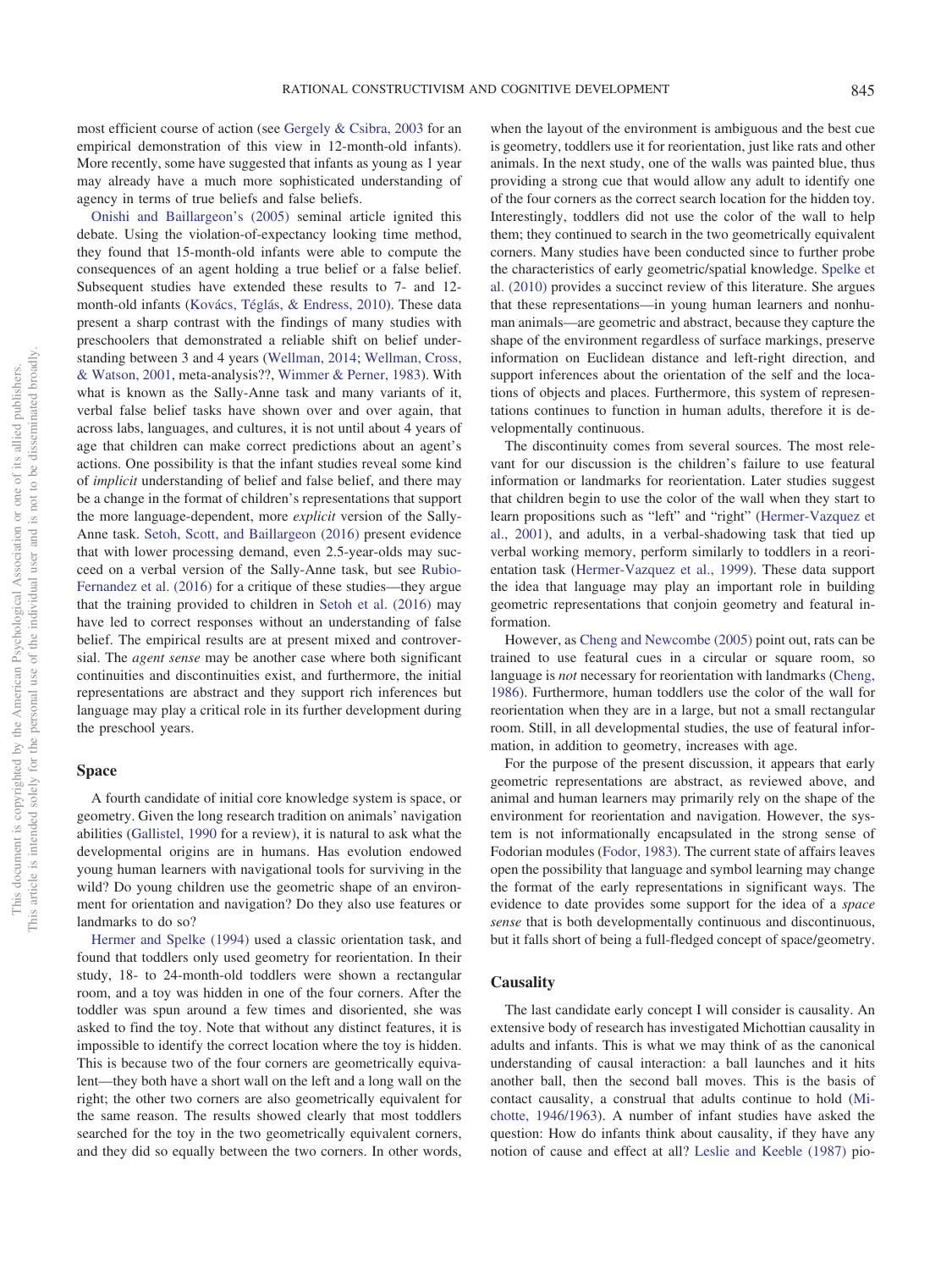most efficient course of action (see [Gergely & Csibra, 2003](#page-18-12) for an empirical demonstration of this view in 12-month-old infants). More recently, some have suggested that infants as young as 1 year may already have a much more sophisticated understanding of agency in terms of true beliefs and false beliefs.

[Onishi and Baillargeon's \(2005\)](#page-20-9) seminal article ignited this debate. Using the violation-of-expectancy looking time method, they found that 15-month-old infants were able to compute the consequences of an agent holding a true belief or a false belief. Subsequent studies have extended these results to 7- and 12 month-old infants [\(Kovács, Téglás, & Endress, 2010\)](#page-19-9). These data present a sharp contrast with the findings of many studies with preschoolers that demonstrated a reliable shift on belief understanding between 3 and 4 years [\(Wellman, 2014;](#page-22-14) [Wellman, Cross,](#page-22-15) [& Watson, 2001,](#page-22-15) meta-analysis??, [Wimmer & Perner, 1983\)](#page-22-16). With what is known as the Sally-Anne task and many variants of it, verbal false belief tasks have shown over and over again, that across labs, languages, and cultures, it is not until about 4 years of age that children can make correct predictions about an agent's actions. One possibility is that the infant studies reveal some kind of *implicit* understanding of belief and false belief, and there may be a change in the format of children's representations that support the more language-dependent, more *explicit* version of the Sally-Anne task. [Setoh, Scott, and Baillargeon \(2016\)](#page-21-2) present evidence that with lower processing demand, even 2.5-year-olds may succeed on a verbal version of the Sally-Anne task, but see [Rubio-](#page-21-3)[Fernandez et al. \(2016\)](#page-21-3) for a critique of these studies—they argue that the training provided to children in [Setoh et al. \(2016\)](#page-21-2) may have led to correct responses without an understanding of false belief. The empirical results are at present mixed and controversial. The *agent sense* may be another case where both significant continuities and discontinuities exist, and furthermore, the initial representations are abstract and they support rich inferences but language may play a critical role in its further development during the preschool years.

### **Space**

A fourth candidate of initial core knowledge system is space, or geometry. Given the long research tradition on animals' navigation abilities [\(Gallistel, 1990](#page-18-10) for a review), it is natural to ask what the developmental origins are in humans. Has evolution endowed young human learners with navigational tools for surviving in the wild? Do young children use the geometric shape of an environment for orientation and navigation? Do they also use features or landmarks to do so?

[Hermer and Spelke \(1994\)](#page-19-10) used a classic orientation task, and found that toddlers only used geometry for reorientation. In their study, 18- to 24-month-old toddlers were shown a rectangular room, and a toy was hidden in one of the four corners. After the toddler was spun around a few times and disoriented, she was asked to find the toy. Note that without any distinct features, it is impossible to identify the correct location where the toy is hidden. This is because two of the four corners are geometrically equivalent—they both have a short wall on the left and a long wall on the right; the other two corners are also geometrically equivalent for the same reason. The results showed clearly that most toddlers searched for the toy in the two geometrically equivalent corners, and they did so equally between the two corners. In other words,

when the layout of the environment is ambiguous and the best cue is geometry, toddlers use it for reorientation, just like rats and other animals. In the next study, one of the walls was painted blue, thus providing a strong cue that would allow any adult to identify one of the four corners as the correct search location for the hidden toy. Interestingly, toddlers did not use the color of the wall to help them; they continued to search in the two geometrically equivalent corners. Many studies have been conducted since to further probe the characteristics of early geometric/spatial knowledge. [Spelke et](#page-22-17) [al. \(2010\)](#page-22-17) provides a succinct review of this literature. She argues that these representations—in young human learners and nonhuman animals—are geometric and abstract, because they capture the shape of the environment regardless of surface markings, preserve information on Euclidean distance and left-right direction, and support inferences about the orientation of the self and the locations of objects and places. Furthermore, this system of representations continues to function in human adults, therefore it is developmentally continuous.

The discontinuity comes from several sources. The most relevant for our discussion is the children's failure to use featural information or landmarks for reorientation. Later studies suggest that children begin to use the color of the wall when they start to learn propositions such as "left" and "right" [\(Hermer-Vazquez et](#page-19-11) [al., 2001\)](#page-19-11), and adults, in a verbal-shadowing task that tied up verbal working memory, perform similarly to toddlers in a reorientation task [\(Hermer-Vazquez et al., 1999\)](#page-19-12). These data support the idea that language may play an important role in building geometric representations that conjoin geometry and featural information.

However, as [Cheng and Newcombe \(2005\)](#page-17-8) point out, rats can be trained to use featural cues in a circular or square room, so language is *not* necessary for reorientation with landmarks [\(Cheng,](#page-17-9) [1986\)](#page-17-9). Furthermore, human toddlers use the color of the wall for reorientation when they are in a large, but not a small rectangular room. Still, in all developmental studies, the use of featural information, in addition to geometry, increases with age.

For the purpose of the present discussion, it appears that early geometric representations are abstract, as reviewed above, and animal and human learners may primarily rely on the shape of the environment for reorientation and navigation. However, the system is not informationally encapsulated in the strong sense of Fodorian modules [\(Fodor, 1983\)](#page-18-15). The current state of affairs leaves open the possibility that language and symbol learning may change the format of the early representations in significant ways. The evidence to date provides some support for the idea of a *space sense* that is both developmentally continuous and discontinuous, but it falls short of being a full-fledged concept of space/geometry.

### **Causality**

The last candidate early concept I will consider is causality. An extensive body of research has investigated Michottian causality in adults and infants. This is what we may think of as the canonical understanding of causal interaction: a ball launches and it hits another ball, then the second ball moves. This is the basis of contact causality, a construal that adults continue to hold [\(Mi](#page-20-10)[chotte, 1946/1963\)](#page-20-10). A number of infant studies have asked the question: How do infants think about causality, if they have any notion of cause and effect at all? [Leslie and Keeble \(1987\)](#page-20-11) pio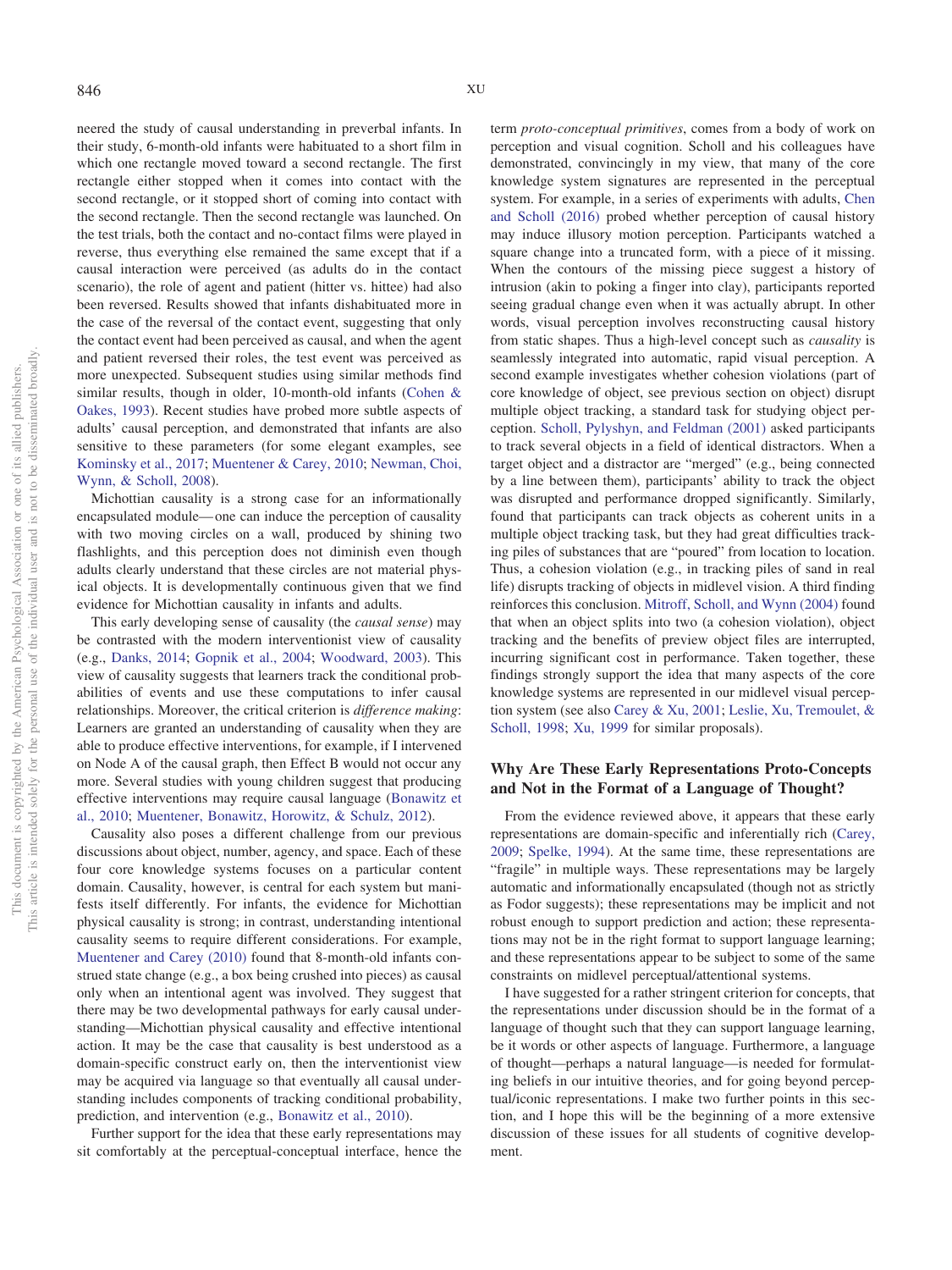neered the study of causal understanding in preverbal infants. In their study, 6-month-old infants were habituated to a short film in which one rectangle moved toward a second rectangle. The first rectangle either stopped when it comes into contact with the second rectangle, or it stopped short of coming into contact with the second rectangle. Then the second rectangle was launched. On the test trials, both the contact and no-contact films were played in reverse, thus everything else remained the same except that if a causal interaction were perceived (as adults do in the contact scenario), the role of agent and patient (hitter vs. hittee) had also been reversed. Results showed that infants dishabituated more in the case of the reversal of the contact event, suggesting that only the contact event had been perceived as causal, and when the agent and patient reversed their roles, the test event was perceived as more unexpected. Subsequent studies using similar methods find similar results, though in older, 10-month-old infants [\(Cohen &](#page-17-10) [Oakes, 1993\)](#page-17-10). Recent studies have probed more subtle aspects of adults' causal perception, and demonstrated that infants are also sensitive to these parameters (for some elegant examples, see [Kominsky et al., 2017;](#page-19-13) [Muentener & Carey, 2010;](#page-20-12) [Newman, Choi,](#page-20-13) [Wynn, & Scholl, 2008\)](#page-20-13).

Michottian causality is a strong case for an informationally encapsulated module— one can induce the perception of causality with two moving circles on a wall, produced by shining two flashlights, and this perception does not diminish even though adults clearly understand that these circles are not material physical objects. It is developmentally continuous given that we find evidence for Michottian causality in infants and adults.

This early developing sense of causality (the *causal sense*) may be contrasted with the modern interventionist view of causality (e.g., [Danks, 2014;](#page-17-11) [Gopnik et al., 2004;](#page-18-3) [Woodward, 2003\)](#page-23-17). This view of causality suggests that learners track the conditional probabilities of events and use these computations to infer causal relationships. Moreover, the critical criterion is *difference making*: Learners are granted an understanding of causality when they are able to produce effective interventions, for example, if I intervened on Node A of the causal graph, then Effect B would not occur any more. Several studies with young children suggest that producing effective interventions may require causal language [\(Bonawitz et](#page-16-11) [al., 2010;](#page-16-11) [Muentener, Bonawitz, Horowitz, & Schulz, 2012\)](#page-20-14).

Causality also poses a different challenge from our previous discussions about object, number, agency, and space. Each of these four core knowledge systems focuses on a particular content domain. Causality, however, is central for each system but manifests itself differently. For infants, the evidence for Michottian physical causality is strong; in contrast, understanding intentional causality seems to require different considerations. For example, [Muentener and Carey \(2010\)](#page-20-12) found that 8-month-old infants construed state change (e.g., a box being crushed into pieces) as causal only when an intentional agent was involved. They suggest that there may be two developmental pathways for early causal understanding—Michottian physical causality and effective intentional action. It may be the case that causality is best understood as a domain-specific construct early on, then the interventionist view may be acquired via language so that eventually all causal understanding includes components of tracking conditional probability, prediction, and intervention (e.g., [Bonawitz et al., 2010\)](#page-16-11).

Further support for the idea that these early representations may sit comfortably at the perceptual-conceptual interface, hence the term *proto-conceptual primitives*, comes from a body of work on perception and visual cognition. Scholl and his colleagues have demonstrated, convincingly in my view, that many of the core knowledge system signatures are represented in the perceptual system. For example, in a series of experiments with adults, [Chen](#page-17-12) [and Scholl \(2016\)](#page-17-12) probed whether perception of causal history may induce illusory motion perception. Participants watched a square change into a truncated form, with a piece of it missing. When the contours of the missing piece suggest a history of intrusion (akin to poking a finger into clay), participants reported seeing gradual change even when it was actually abrupt. In other words, visual perception involves reconstructing causal history from static shapes. Thus a high-level concept such as *causality* is seamlessly integrated into automatic, rapid visual perception. A second example investigates whether cohesion violations (part of core knowledge of object, see previous section on object) disrupt multiple object tracking, a standard task for studying object perception. [Scholl, Pylyshyn, and Feldman \(2001\)](#page-21-4) asked participants to track several objects in a field of identical distractors. When a target object and a distractor are "merged" (e.g., being connected by a line between them), participants' ability to track the object was disrupted and performance dropped significantly. Similarly, found that participants can track objects as coherent units in a multiple object tracking task, but they had great difficulties tracking piles of substances that are "poured" from location to location. Thus, a cohesion violation (e.g., in tracking piles of sand in real life) disrupts tracking of objects in midlevel vision. A third finding reinforces this conclusion. [Mitroff, Scholl, and Wynn \(2004\)](#page-20-15) found that when an object splits into two (a cohesion violation), object tracking and the benefits of preview object files are interrupted, incurring significant cost in performance. Taken together, these findings strongly support the idea that many aspects of the core knowledge systems are represented in our midlevel visual perception system (see also [Carey & Xu, 2001;](#page-17-13) [Leslie, Xu, Tremoulet, &](#page-20-16) [Scholl, 1998;](#page-20-16) [Xu, 1999](#page-23-18) for similar proposals).

# **Why Are These Early Representations Proto-Concepts and Not in the Format of a Language of Thought?**

From the evidence reviewed above, it appears that these early representations are domain-specific and inferentially rich [\(Carey,](#page-17-3) [2009;](#page-17-3) [Spelke, 1994\)](#page-22-4). At the same time, these representations are "fragile" in multiple ways. These representations may be largely automatic and informationally encapsulated (though not as strictly as Fodor suggests); these representations may be implicit and not robust enough to support prediction and action; these representations may not be in the right format to support language learning; and these representations appear to be subject to some of the same constraints on midlevel perceptual/attentional systems.

I have suggested for a rather stringent criterion for concepts, that the representations under discussion should be in the format of a language of thought such that they can support language learning, be it words or other aspects of language. Furthermore, a language of thought—perhaps a natural language—is needed for formulating beliefs in our intuitive theories, and for going beyond perceptual/iconic representations. I make two further points in this section, and I hope this will be the beginning of a more extensive discussion of these issues for all students of cognitive development.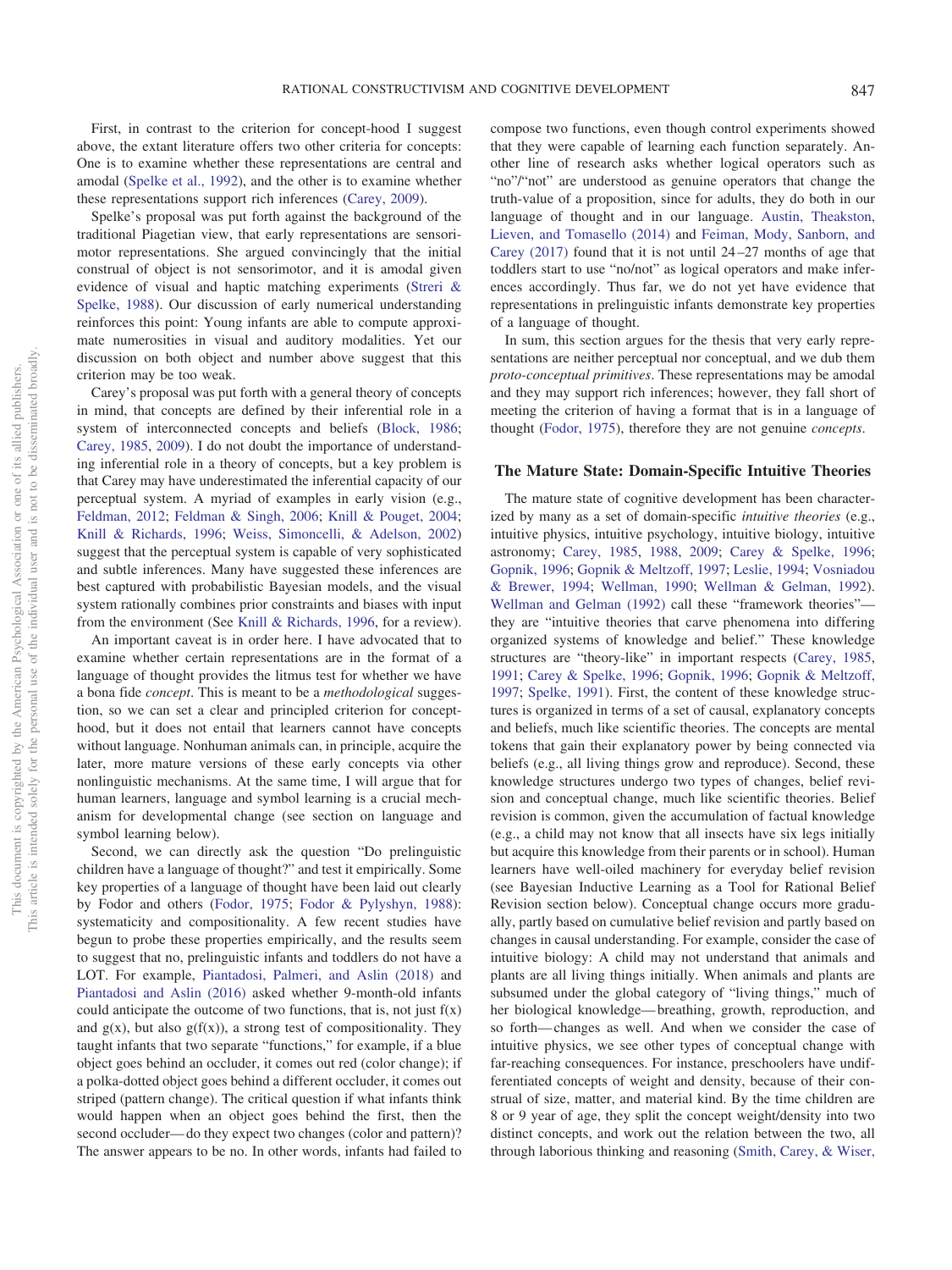First, in contrast to the criterion for concept-hood I suggest above, the extant literature offers two other criteria for concepts: One is to examine whether these representations are central and amodal [\(Spelke et al., 1992\)](#page-22-0), and the other is to examine whether these representations support rich inferences [\(Carey, 2009\)](#page-17-3).

Spelke's proposal was put forth against the background of the traditional Piagetian view, that early representations are sensorimotor representations. She argued convincingly that the initial construal of object is not sensorimotor, and it is amodal given evidence of visual and haptic matching experiments [\(Streri &](#page-22-18) [Spelke, 1988\)](#page-22-18). Our discussion of early numerical understanding reinforces this point: Young infants are able to compute approximate numerosities in visual and auditory modalities. Yet our discussion on both object and number above suggest that this criterion may be too weak.

Carey's proposal was put forth with a general theory of concepts in mind, that concepts are defined by their inferential role in a system of interconnected concepts and beliefs [\(Block, 1986;](#page-16-12) [Carey, 1985,](#page-16-0) [2009\)](#page-17-3). I do not doubt the importance of understanding inferential role in a theory of concepts, but a key problem is that Carey may have underestimated the inferential capacity of our perceptual system. A myriad of examples in early vision (e.g., [Feldman, 2012;](#page-17-14) [Feldman & Singh, 2006;](#page-17-15) [Knill & Pouget, 2004;](#page-19-14) [Knill & Richards, 1996;](#page-19-15) [Weiss, Simoncelli, & Adelson, 2002\)](#page-22-19) suggest that the perceptual system is capable of very sophisticated and subtle inferences. Many have suggested these inferences are best captured with probabilistic Bayesian models, and the visual system rationally combines prior constraints and biases with input from the environment (See [Knill & Richards, 1996,](#page-19-15) for a review).

An important caveat is in order here. I have advocated that to examine whether certain representations are in the format of a language of thought provides the litmus test for whether we have a bona fide *concept*. This is meant to be a *methodological* suggestion, so we can set a clear and principled criterion for concepthood, but it does not entail that learners cannot have concepts without language. Nonhuman animals can, in principle, acquire the later, more mature versions of these early concepts via other nonlinguistic mechanisms. At the same time, I will argue that for human learners, language and symbol learning is a crucial mechanism for developmental change (see section on language and symbol learning below).

Second, we can directly ask the question "Do prelinguistic children have a language of thought?" and test it empirically. Some key properties of a language of thought have been laid out clearly by Fodor and others [\(Fodor, 1975;](#page-18-2) [Fodor & Pylyshyn, 1988\)](#page-18-0): systematicity and compositionality. A few recent studies have begun to probe these properties empirically, and the results seem to suggest that no, prelinguistic infants and toddlers do not have a LOT. For example, [Piantadosi, Palmeri, and Aslin \(2018\)](#page-21-5) and [Piantadosi and Aslin \(2016\)](#page-20-17) asked whether 9-month-old infants could anticipate the outcome of two functions, that is, not just  $f(x)$ and  $g(x)$ , but also  $g(f(x))$ , a strong test of compositionality. They taught infants that two separate "functions," for example, if a blue object goes behind an occluder, it comes out red (color change); if a polka-dotted object goes behind a different occluder, it comes out striped (pattern change). The critical question if what infants think would happen when an object goes behind the first, then the second occluder— do they expect two changes (color and pattern)? The answer appears to be no. In other words, infants had failed to compose two functions, even though control experiments showed that they were capable of learning each function separately. Another line of research asks whether logical operators such as "no"/"not" are understood as genuine operators that change the truth-value of a proposition, since for adults, they do both in our language of thought and in our language. [Austin, Theakston,](#page-16-13) [Lieven, and Tomasello \(2014\)](#page-16-13) and [Feiman, Mody, Sanborn, and](#page-17-16) [Carey \(2017\)](#page-17-16) found that it is not until 24 –27 months of age that toddlers start to use "no/not" as logical operators and make inferences accordingly. Thus far, we do not yet have evidence that representations in prelinguistic infants demonstrate key properties of a language of thought.

In sum, this section argues for the thesis that very early representations are neither perceptual nor conceptual, and we dub them *proto-conceptual primitives*. These representations may be amodal and they may support rich inferences; however, they fall short of meeting the criterion of having a format that is in a language of thought [\(Fodor, 1975\)](#page-18-2), therefore they are not genuine *concepts*.

### **The Mature State: Domain-Specific Intuitive Theories**

The mature state of cognitive development has been characterized by many as a set of domain-specific *intuitive theories* (e.g., intuitive physics, intuitive psychology, intuitive biology, intuitive astronomy; [Carey, 1985,](#page-16-0) [1988,](#page-16-1) [2009;](#page-17-3) [Carey & Spelke, 1996;](#page-17-5) [Gopnik, 1996;](#page-18-16) [Gopnik & Meltzoff, 1997;](#page-18-4) [Leslie, 1994;](#page-20-0) [Vosniadou](#page-22-20) [& Brewer, 1994;](#page-22-20) [Wellman, 1990;](#page-22-21) [Wellman & Gelman, 1992\)](#page-22-3). [Wellman and Gelman \(1992\)](#page-22-3) call these "framework theories" they are "intuitive theories that carve phenomena into differing organized systems of knowledge and belief." These knowledge structures are "theory-like" in important respects [\(Carey, 1985,](#page-16-0) [1991;](#page-17-2) [Carey & Spelke, 1996;](#page-17-5) [Gopnik, 1996;](#page-18-16) [Gopnik & Meltzoff,](#page-18-4) [1997;](#page-18-4) [Spelke, 1991\)](#page-22-22). First, the content of these knowledge structures is organized in terms of a set of causal, explanatory concepts and beliefs, much like scientific theories. The concepts are mental tokens that gain their explanatory power by being connected via beliefs (e.g., all living things grow and reproduce). Second, these knowledge structures undergo two types of changes, belief revision and conceptual change, much like scientific theories. Belief revision is common, given the accumulation of factual knowledge (e.g., a child may not know that all insects have six legs initially but acquire this knowledge from their parents or in school). Human learners have well-oiled machinery for everyday belief revision (see Bayesian Inductive Learning as a Tool for Rational Belief Revision section below). Conceptual change occurs more gradually, partly based on cumulative belief revision and partly based on changes in causal understanding. For example, consider the case of intuitive biology: A child may not understand that animals and plants are all living things initially. When animals and plants are subsumed under the global category of "living things," much of her biological knowledge— breathing, growth, reproduction, and so forth— changes as well. And when we consider the case of intuitive physics, we see other types of conceptual change with far-reaching consequences. For instance, preschoolers have undifferentiated concepts of weight and density, because of their construal of size, matter, and material kind. By the time children are 8 or 9 year of age, they split the concept weight/density into two distinct concepts, and work out the relation between the two, all through laborious thinking and reasoning [\(Smith, Carey, & Wiser,](#page-21-6)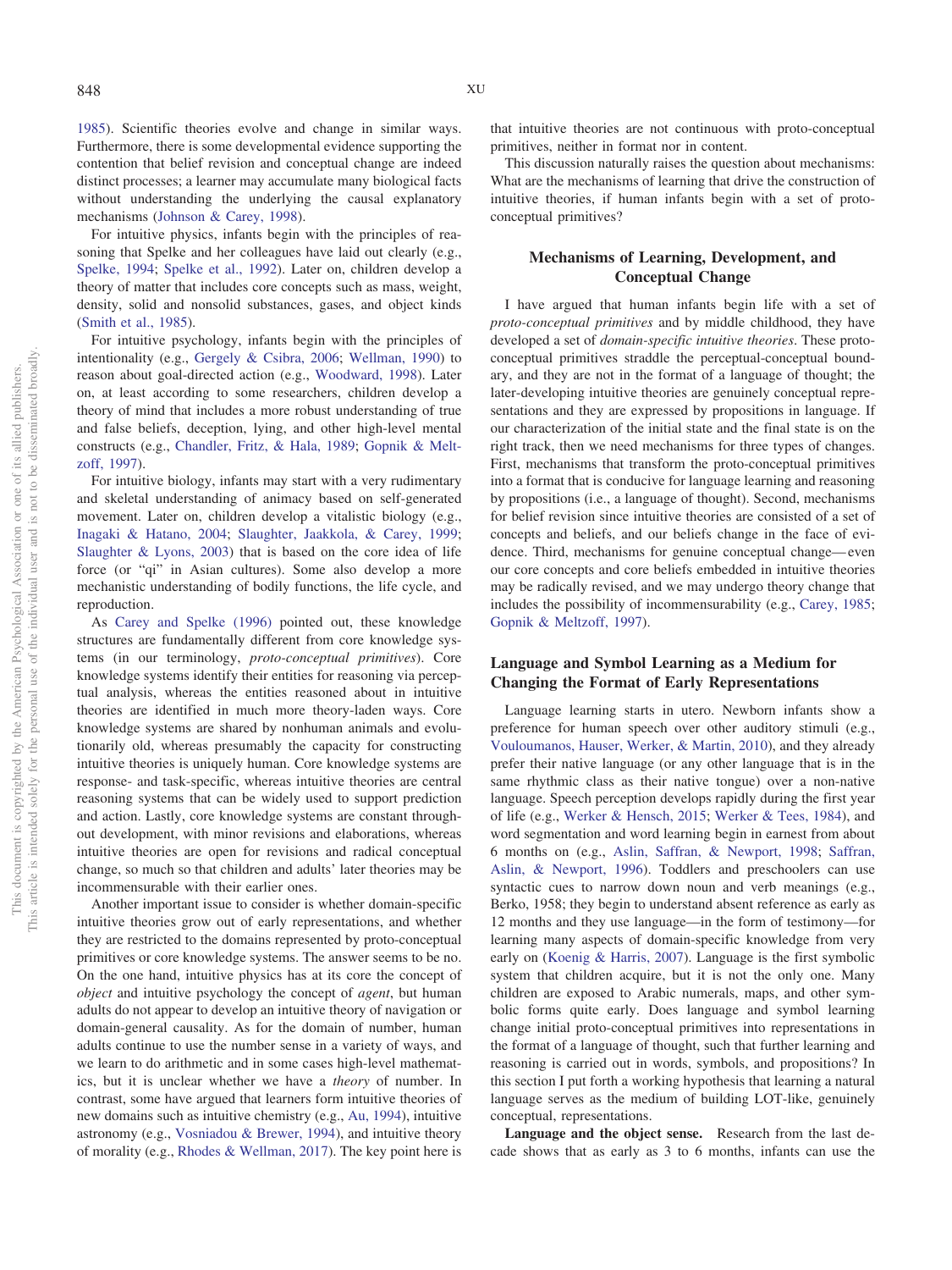[1985\)](#page-21-6). Scientific theories evolve and change in similar ways. Furthermore, there is some developmental evidence supporting the contention that belief revision and conceptual change are indeed distinct processes; a learner may accumulate many biological facts without understanding the underlying the causal explanatory mechanisms [\(Johnson & Carey, 1998\)](#page-19-16).

For intuitive physics, infants begin with the principles of reasoning that Spelke and her colleagues have laid out clearly (e.g., [Spelke, 1994;](#page-22-4) [Spelke et al., 1992\)](#page-22-0). Later on, children develop a theory of matter that includes core concepts such as mass, weight, density, solid and nonsolid substances, gases, and object kinds [\(Smith et al., 1985\)](#page-21-6).

For intuitive psychology, infants begin with the principles of intentionality (e.g., [Gergely & Csibra, 2006;](#page-18-17) [Wellman, 1990\)](#page-22-21) to reason about goal-directed action (e.g., [Woodward, 1998\)](#page-23-16). Later on, at least according to some researchers, children develop a theory of mind that includes a more robust understanding of true and false beliefs, deception, lying, and other high-level mental constructs (e.g., [Chandler, Fritz, & Hala, 1989;](#page-17-17) [Gopnik & Melt](#page-18-4)[zoff, 1997\)](#page-18-4).

For intuitive biology, infants may start with a very rudimentary and skeletal understanding of animacy based on self-generated movement. Later on, children develop a vitalistic biology (e.g., [Inagaki & Hatano, 2004;](#page-19-17) [Slaughter, Jaakkola, & Carey, 1999;](#page-21-7) [Slaughter & Lyons, 2003\)](#page-21-8) that is based on the core idea of life force (or "qi" in Asian cultures). Some also develop a more mechanistic understanding of bodily functions, the life cycle, and reproduction.

As [Carey and Spelke \(1996\)](#page-17-5) pointed out, these knowledge structures are fundamentally different from core knowledge systems (in our terminology, *proto-conceptual primitives*). Core knowledge systems identify their entities for reasoning via perceptual analysis, whereas the entities reasoned about in intuitive theories are identified in much more theory-laden ways. Core knowledge systems are shared by nonhuman animals and evolutionarily old, whereas presumably the capacity for constructing intuitive theories is uniquely human. Core knowledge systems are response- and task-specific, whereas intuitive theories are central reasoning systems that can be widely used to support prediction and action. Lastly, core knowledge systems are constant throughout development, with minor revisions and elaborations, whereas intuitive theories are open for revisions and radical conceptual change, so much so that children and adults' later theories may be incommensurable with their earlier ones.

Another important issue to consider is whether domain-specific intuitive theories grow out of early representations, and whether they are restricted to the domains represented by proto-conceptual primitives or core knowledge systems. The answer seems to be no. On the one hand, intuitive physics has at its core the concept of *object* and intuitive psychology the concept of *agent*, but human adults do not appear to develop an intuitive theory of navigation or domain-general causality. As for the domain of number, human adults continue to use the number sense in a variety of ways, and we learn to do arithmetic and in some cases high-level mathematics, but it is unclear whether we have a *theory* of number. In contrast, some have argued that learners form intuitive theories of new domains such as intuitive chemistry (e.g., [Au, 1994\)](#page-16-14), intuitive astronomy (e.g., [Vosniadou & Brewer, 1994\)](#page-22-20), and intuitive theory of morality (e.g., [Rhodes & Wellman, 2017\)](#page-21-9). The key point here is

that intuitive theories are not continuous with proto-conceptual primitives, neither in format nor in content.

This discussion naturally raises the question about mechanisms: What are the mechanisms of learning that drive the construction of intuitive theories, if human infants begin with a set of protoconceptual primitives?

# **Mechanisms of Learning, Development, and Conceptual Change**

I have argued that human infants begin life with a set of *proto-conceptual primitives* and by middle childhood, they have developed a set of *domain-specific intuitive theories*. These protoconceptual primitives straddle the perceptual-conceptual boundary, and they are not in the format of a language of thought; the later-developing intuitive theories are genuinely conceptual representations and they are expressed by propositions in language. If our characterization of the initial state and the final state is on the right track, then we need mechanisms for three types of changes. First, mechanisms that transform the proto-conceptual primitives into a format that is conducive for language learning and reasoning by propositions (i.e., a language of thought). Second, mechanisms for belief revision since intuitive theories are consisted of a set of concepts and beliefs, and our beliefs change in the face of evidence. Third, mechanisms for genuine conceptual change— even our core concepts and core beliefs embedded in intuitive theories may be radically revised, and we may undergo theory change that includes the possibility of incommensurability (e.g., [Carey, 1985;](#page-16-0) [Gopnik & Meltzoff, 1997\)](#page-18-4).

# **Language and Symbol Learning as a Medium for Changing the Format of Early Representations**

Language learning starts in utero. Newborn infants show a preference for human speech over other auditory stimuli (e.g., [Vouloumanos, Hauser, Werker, & Martin, 2010\)](#page-22-23), and they already prefer their native language (or any other language that is in the same rhythmic class as their native tongue) over a non-native language. Speech perception develops rapidly during the first year of life (e.g., [Werker & Hensch, 2015;](#page-22-24) [Werker & Tees, 1984\)](#page-22-25), and word segmentation and word learning begin in earnest from about 6 months on (e.g., [Aslin, Saffran, & Newport, 1998;](#page-16-15) [Saffran,](#page-21-10) [Aslin, & Newport, 1996\)](#page-21-10). Toddlers and preschoolers can use syntactic cues to narrow down noun and verb meanings (e.g., Berko, 1958; they begin to understand absent reference as early as 12 months and they use language—in the form of testimony—for learning many aspects of domain-specific knowledge from very early on [\(Koenig & Harris, 2007\)](#page-19-18). Language is the first symbolic system that children acquire, but it is not the only one. Many children are exposed to Arabic numerals, maps, and other symbolic forms quite early. Does language and symbol learning change initial proto-conceptual primitives into representations in the format of a language of thought, such that further learning and reasoning is carried out in words, symbols, and propositions? In this section I put forth a working hypothesis that learning a natural language serves as the medium of building LOT-like, genuinely conceptual, representations.

**Language and the object sense.** Research from the last decade shows that as early as 3 to 6 months, infants can use the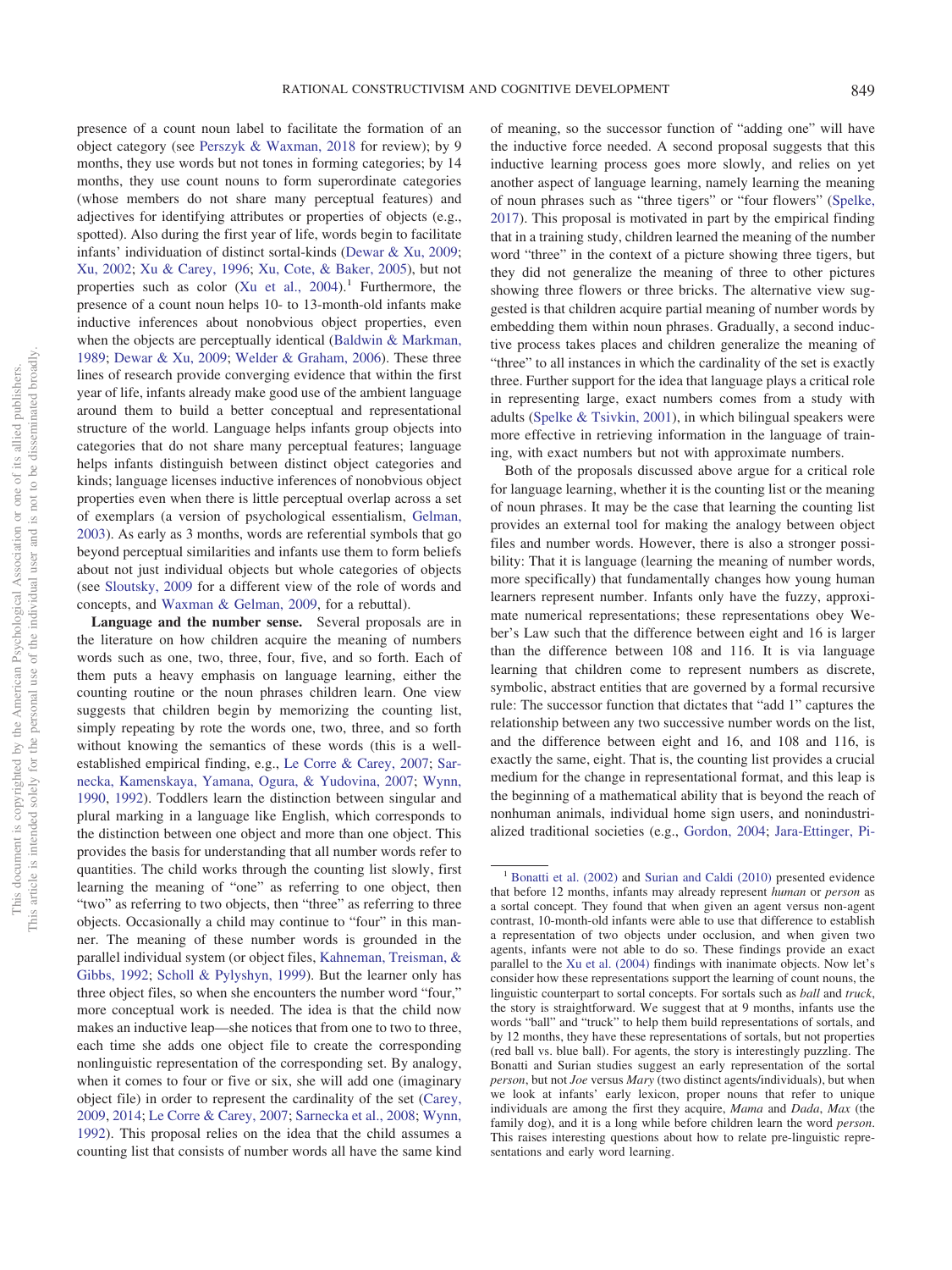presence of a count noun label to facilitate the formation of an object category (see [Perszyk & Waxman, 2018](#page-20-18) for review); by 9 months, they use words but not tones in forming categories; by 14 months, they use count nouns to form superordinate categories (whose members do not share many perceptual features) and adjectives for identifying attributes or properties of objects (e.g., spotted). Also during the first year of life, words begin to facilitate infants' individuation of distinct sortal-kinds [\(Dewar & Xu, 2009;](#page-17-18) [Xu, 2002;](#page-23-19) [Xu & Carey, 1996;](#page-23-8) [Xu, Cote, & Baker, 2005\)](#page-23-20), but not properties such as color (Xu et al.,  $2004$ ).<sup>1</sup> Furthermore, the presence of a count noun helps 10- to 13-month-old infants make inductive inferences about nonobvious object properties, even when the objects are perceptually identical [\(Baldwin & Markman,](#page-16-16) [1989;](#page-16-16) [Dewar & Xu, 2009;](#page-17-18) [Welder & Graham, 2006\)](#page-22-26). These three lines of research provide converging evidence that within the first year of life, infants already make good use of the ambient language around them to build a better conceptual and representational structure of the world. Language helps infants group objects into categories that do not share many perceptual features; language helps infants distinguish between distinct object categories and kinds; language licenses inductive inferences of nonobvious object properties even when there is little perceptual overlap across a set of exemplars (a version of psychological essentialism, [Gelman,](#page-18-18) [2003\)](#page-18-18). As early as 3 months, words are referential symbols that go beyond perceptual similarities and infants use them to form beliefs about not just individual objects but whole categories of objects (see [Sloutsky, 2009](#page-21-11) for a different view of the role of words and concepts, and [Waxman & Gelman, 2009,](#page-22-27) for a rebuttal).

**Language and the number sense.** Several proposals are in the literature on how children acquire the meaning of numbers words such as one, two, three, four, five, and so forth. Each of them puts a heavy emphasis on language learning, either the counting routine or the noun phrases children learn. One view suggests that children begin by memorizing the counting list, simply repeating by rote the words one, two, three, and so forth without knowing the semantics of these words (this is a wellestablished empirical finding, e.g., [Le Corre & Carey, 2007;](#page-19-19) [Sar](#page-21-12)[necka, Kamenskaya, Yamana, Ogura, & Yudovina, 2007;](#page-21-12) [Wynn,](#page-23-21) [1990,](#page-23-21) [1992\)](#page-23-22). Toddlers learn the distinction between singular and plural marking in a language like English, which corresponds to the distinction between one object and more than one object. This provides the basis for understanding that all number words refer to quantities. The child works through the counting list slowly, first learning the meaning of "one" as referring to one object, then "two" as referring to two objects, then "three" as referring to three objects. Occasionally a child may continue to "four" in this manner. The meaning of these number words is grounded in the parallel individual system (or object files, [Kahneman, Treisman, &](#page-19-20) [Gibbs, 1992;](#page-19-20) [Scholl & Pylyshyn, 1999\)](#page-21-13). But the learner only has three object files, so when she encounters the number word "four," more conceptual work is needed. The idea is that the child now makes an inductive leap—she notices that from one to two to three, each time she adds one object file to create the corresponding nonlinguistic representation of the corresponding set. By analogy, when it comes to four or five or six, she will add one (imaginary object file) in order to represent the cardinality of the set [\(Carey,](#page-17-3) [2009,](#page-17-3) [2014;](#page-17-19) [Le Corre & Carey, 2007;](#page-19-19) [Sarnecka et al., 2008;](#page-21-14) [Wynn,](#page-23-22) [1992\)](#page-23-22). This proposal relies on the idea that the child assumes a counting list that consists of number words all have the same kind of meaning, so the successor function of "adding one" will have the inductive force needed. A second proposal suggests that this inductive learning process goes more slowly, and relies on yet another aspect of language learning, namely learning the meaning of noun phrases such as "three tigers" or "four flowers" [\(Spelke,](#page-22-13) [2017\)](#page-22-13). This proposal is motivated in part by the empirical finding that in a training study, children learned the meaning of the number word "three" in the context of a picture showing three tigers, but they did not generalize the meaning of three to other pictures showing three flowers or three bricks. The alternative view suggested is that children acquire partial meaning of number words by embedding them within noun phrases. Gradually, a second inductive process takes places and children generalize the meaning of "three" to all instances in which the cardinality of the set is exactly three. Further support for the idea that language plays a critical role in representing large, exact numbers comes from a study with adults [\(Spelke & Tsivkin, 2001\)](#page-22-28), in which bilingual speakers were more effective in retrieving information in the language of training, with exact numbers but not with approximate numbers.

Both of the proposals discussed above argue for a critical role for language learning, whether it is the counting list or the meaning of noun phrases. It may be the case that learning the counting list provides an external tool for making the analogy between object files and number words. However, there is also a stronger possibility: That it is language (learning the meaning of number words, more specifically) that fundamentally changes how young human learners represent number. Infants only have the fuzzy, approximate numerical representations; these representations obey Weber's Law such that the difference between eight and 16 is larger than the difference between 108 and 116. It is via language learning that children come to represent numbers as discrete, symbolic, abstract entities that are governed by a formal recursive rule: The successor function that dictates that "add 1" captures the relationship between any two successive number words on the list, and the difference between eight and 16, and 108 and 116, is exactly the same, eight. That is, the counting list provides a crucial medium for the change in representational format, and this leap is the beginning of a mathematical ability that is beyond the reach of nonhuman animals, individual home sign users, and nonindustrialized traditional societies (e.g., [Gordon, 2004;](#page-18-19) [Jara-Ettinger, Pi-](#page-19-21)

<sup>&</sup>lt;sup>1</sup> [Bonatti et al. \(2002\)](#page-16-8) and [Surian and Caldi \(2010\)](#page-22-7) presented evidence that before 12 months, infants may already represent *human* or *person* as a sortal concept. They found that when given an agent versus non-agent contrast, 10-month-old infants were able to use that difference to establish a representation of two objects under occlusion, and when given two agents, infants were not able to do so. These findings provide an exact parallel to the [Xu et al. \(2004\)](#page-23-12) findings with inanimate objects. Now let's consider how these representations support the learning of count nouns, the linguistic counterpart to sortal concepts. For sortals such as *ball* and *truck*, the story is straightforward. We suggest that at 9 months, infants use the words "ball" and "truck" to help them build representations of sortals, and by 12 months, they have these representations of sortals, but not properties (red ball vs. blue ball). For agents, the story is interestingly puzzling. The Bonatti and Surian studies suggest an early representation of the sortal *person*, but not *Joe* versus *Mary* (two distinct agents/individuals), but when we look at infants' early lexicon, proper nouns that refer to unique individuals are among the first they acquire, *Mama* and *Dada*, *Max* (the family dog), and it is a long while before children learn the word *person*. This raises interesting questions about how to relate pre-linguistic representations and early word learning.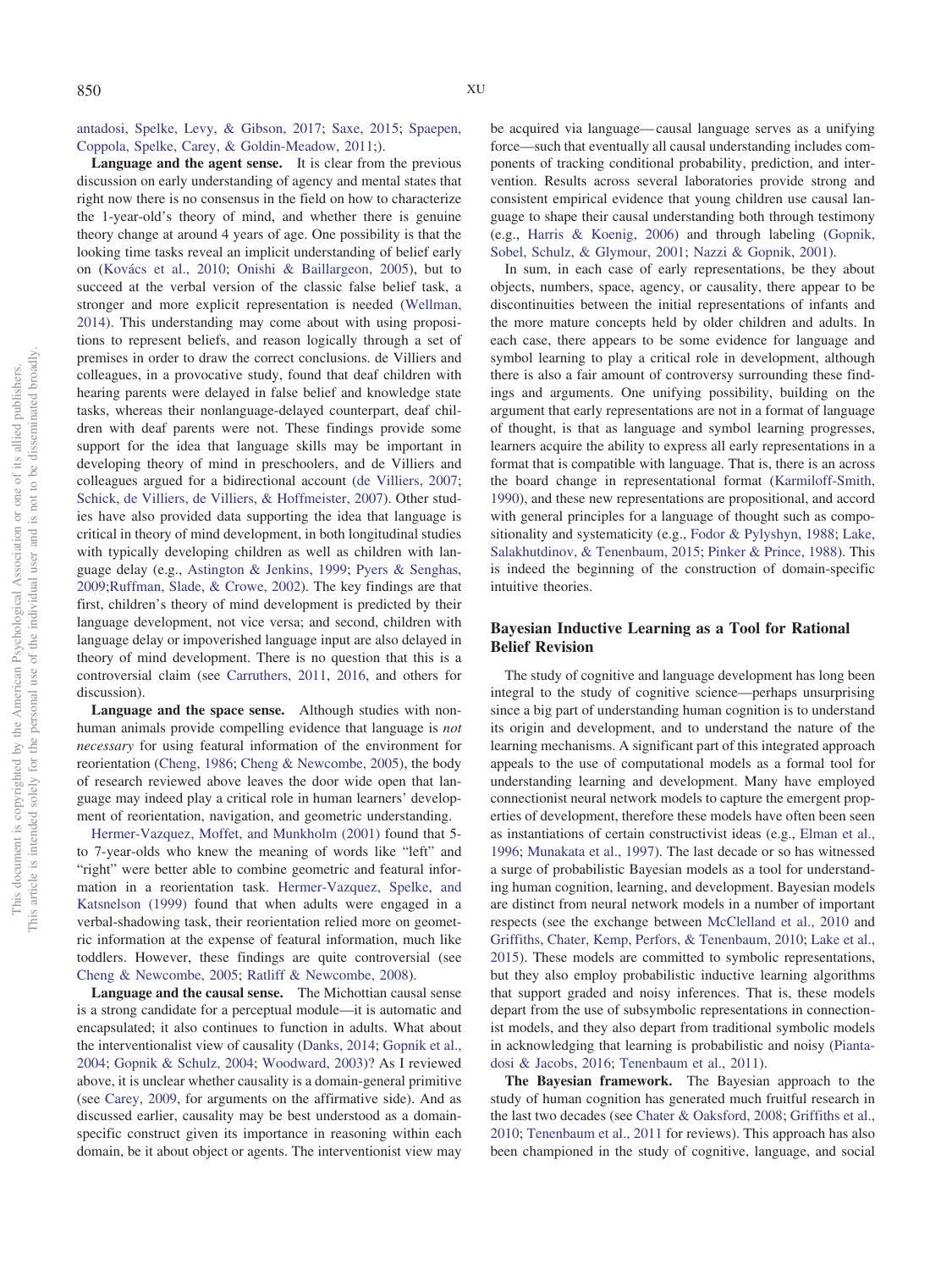[antadosi, Spelke, Levy, & Gibson, 2017;](#page-19-21) [Saxe, 2015;](#page-21-15) [Spaepen,](#page-22-29) [Coppola, Spelke, Carey, & Goldin-Meadow, 2011;](#page-22-29)).

**Language and the agent sense.** It is clear from the previous discussion on early understanding of agency and mental states that right now there is no consensus in the field on how to characterize the 1-year-old's theory of mind, and whether there is genuine theory change at around 4 years of age. One possibility is that the looking time tasks reveal an implicit understanding of belief early on [\(Kovács et al., 2010;](#page-19-9) [Onishi & Baillargeon, 2005\)](#page-20-9), but to succeed at the verbal version of the classic false belief task, a stronger and more explicit representation is needed [\(Wellman,](#page-22-14) [2014\)](#page-22-14). This understanding may come about with using propositions to represent beliefs, and reason logically through a set of premises in order to draw the correct conclusions. de Villiers and colleagues, in a provocative study, found that deaf children with hearing parents were delayed in false belief and knowledge state tasks, whereas their nonlanguage-delayed counterpart, deaf children with deaf parents were not. These findings provide some support for the idea that language skills may be important in developing theory of mind in preschoolers, and de Villiers and colleagues argued for a bidirectional account [\(de Villiers, 2007;](#page-17-20) [Schick, de Villiers, de Villiers, & Hoffmeister, 2007\)](#page-21-16). Other studies have also provided data supporting the idea that language is critical in theory of mind development, in both longitudinal studies with typically developing children as well as children with language delay (e.g., [Astington & Jenkins, 1999;](#page-16-17) [Pyers & Senghas,](#page-21-17) [2009;](#page-21-17)[Ruffman, Slade, & Crowe, 2002\)](#page-21-18). The key findings are that first, children's theory of mind development is predicted by their language development, not vice versa; and second, children with language delay or impoverished language input are also delayed in theory of mind development. There is no question that this is a controversial claim (see [Carruthers, 2011,](#page-17-21) [2016,](#page-17-22) and others for discussion).

**Language and the space sense.** Although studies with nonhuman animals provide compelling evidence that language is *not necessary* for using featural information of the environment for reorientation [\(Cheng, 1986;](#page-17-9) [Cheng & Newcombe, 2005\)](#page-17-8), the body of research reviewed above leaves the door wide open that language may indeed play a critical role in human learners' development of reorientation, navigation, and geometric understanding.

[Hermer-Vazquez, Moffet, and Munkholm \(2001\)](#page-19-11) found that 5 to 7-year-olds who knew the meaning of words like "left" and "right" were better able to combine geometric and featural information in a reorientation task. [Hermer-Vazquez, Spelke, and](#page-19-12) [Katsnelson \(1999\)](#page-19-12) found that when adults were engaged in a verbal-shadowing task, their reorientation relied more on geometric information at the expense of featural information, much like toddlers. However, these findings are quite controversial (see [Cheng & Newcombe, 2005;](#page-17-8) [Ratliff & Newcombe, 2008\)](#page-21-19).

**Language and the causal sense.** The Michottian causal sense is a strong candidate for a perceptual module—it is automatic and encapsulated; it also continues to function in adults. What about the interventionalist view of causality [\(Danks, 2014;](#page-17-11) [Gopnik et al.,](#page-18-3) [2004;](#page-18-3) [Gopnik & Schulz, 2004;](#page-18-20) [Woodward, 2003\)](#page-23-17)? As I reviewed above, it is unclear whether causality is a domain-general primitive (see [Carey, 2009,](#page-17-3) for arguments on the affirmative side). And as discussed earlier, causality may be best understood as a domainspecific construct given its importance in reasoning within each domain, be it about object or agents. The interventionist view may be acquired via language— causal language serves as a unifying force—such that eventually all causal understanding includes components of tracking conditional probability, prediction, and intervention. Results across several laboratories provide strong and consistent empirical evidence that young children use causal language to shape their causal understanding both through testimony (e.g., [Harris & Koenig, 2006\)](#page-18-21) and through labeling [\(Gopnik,](#page-18-22) [Sobel, Schulz, & Glymour, 2001;](#page-18-22) [Nazzi & Gopnik, 2001\)](#page-20-19).

In sum, in each case of early representations, be they about objects, numbers, space, agency, or causality, there appear to be discontinuities between the initial representations of infants and the more mature concepts held by older children and adults. In each case, there appears to be some evidence for language and symbol learning to play a critical role in development, although there is also a fair amount of controversy surrounding these findings and arguments. One unifying possibility, building on the argument that early representations are not in a format of language of thought, is that as language and symbol learning progresses, learners acquire the ability to express all early representations in a format that is compatible with language. That is, there is an across the board change in representational format [\(Karmiloff-Smith,](#page-19-22) [1990\)](#page-19-22), and these new representations are propositional, and accord with general principles for a language of thought such as compositionality and systematicity (e.g., [Fodor & Pylyshyn, 1988;](#page-18-0) [Lake,](#page-19-23) [Salakhutdinov, & Tenenbaum, 2015;](#page-19-23) [Pinker & Prince, 1988\)](#page-21-20). This is indeed the beginning of the construction of domain-specific intuitive theories.

# **Bayesian Inductive Learning as a Tool for Rational Belief Revision**

The study of cognitive and language development has long been integral to the study of cognitive science—perhaps unsurprising since a big part of understanding human cognition is to understand its origin and development, and to understand the nature of the learning mechanisms. A significant part of this integrated approach appeals to the use of computational models as a formal tool for understanding learning and development. Many have employed connectionist neural network models to capture the emergent properties of development, therefore these models have often been seen as instantiations of certain constructivist ideas (e.g., [Elman et al.,](#page-17-4) [1996;](#page-17-4) [Munakata et al., 1997\)](#page-20-4). The last decade or so has witnessed a surge of probabilistic Bayesian models as a tool for understanding human cognition, learning, and development. Bayesian models are distinct from neural network models in a number of important respects (see the exchange between [McClelland et al., 2010](#page-20-20) and [Griffiths, Chater, Kemp, Perfors, & Tenenbaum, 2010;](#page-18-23) [Lake et al.,](#page-19-23) [2015\)](#page-19-23). These models are committed to symbolic representations, but they also employ probabilistic inductive learning algorithms that support graded and noisy inferences. That is, these models depart from the use of subsymbolic representations in connectionist models, and they also depart from traditional symbolic models in acknowledging that learning is probabilistic and noisy [\(Pianta](#page-20-21)[dosi & Jacobs, 2016;](#page-20-21) [Tenenbaum et al., 2011\)](#page-22-2).

**The Bayesian framework.** The Bayesian approach to the study of human cognition has generated much fruitful research in the last two decades (see [Chater & Oaksford, 2008;](#page-17-23) [Griffiths et al.,](#page-18-23) [2010;](#page-18-23) [Tenenbaum et al., 2011](#page-22-2) for reviews). This approach has also been championed in the study of cognitive, language, and social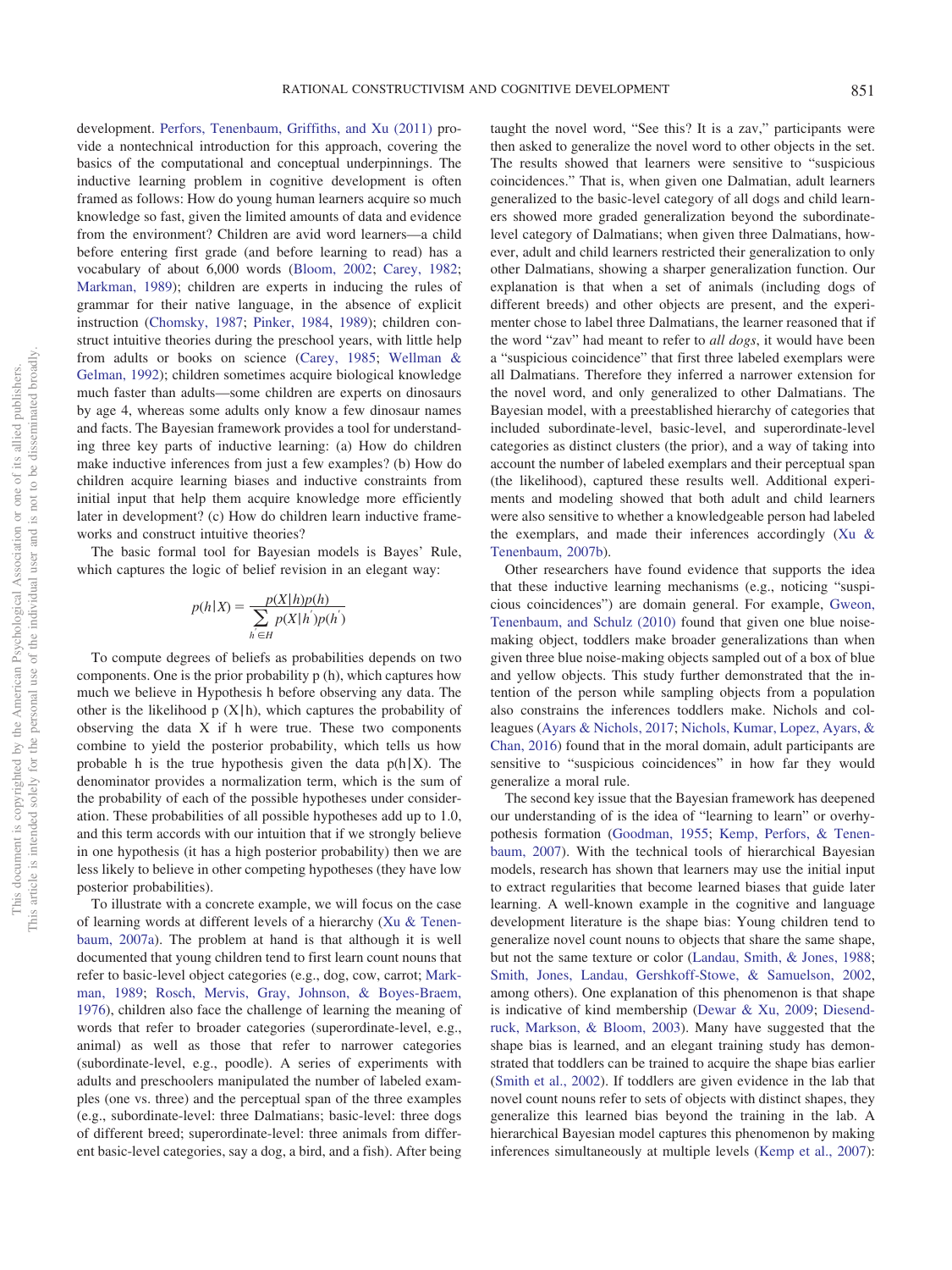development. [Perfors, Tenenbaum, Griffiths, and Xu \(2011\)](#page-20-22) provide a nontechnical introduction for this approach, covering the basics of the computational and conceptual underpinnings. The inductive learning problem in cognitive development is often framed as follows: How do young human learners acquire so much knowledge so fast, given the limited amounts of data and evidence from the environment? Children are avid word learners—a child before entering first grade (and before learning to read) has a vocabulary of about 6,000 words [\(Bloom, 2002;](#page-16-18) [Carey, 1982;](#page-16-19) [Markman, 1989\)](#page-20-23); children are experts in inducing the rules of grammar for their native language, in the absence of explicit instruction [\(Chomsky, 1987;](#page-17-0) [Pinker, 1984,](#page-21-21) [1989\)](#page-21-22); children construct intuitive theories during the preschool years, with little help from adults or books on science [\(Carey, 1985;](#page-16-0) [Wellman &](#page-22-3) [Gelman, 1992\)](#page-22-3); children sometimes acquire biological knowledge much faster than adults—some children are experts on dinosaurs by age 4, whereas some adults only know a few dinosaur names and facts. The Bayesian framework provides a tool for understanding three key parts of inductive learning: (a) How do children make inductive inferences from just a few examples? (b) How do children acquire learning biases and inductive constraints from initial input that help them acquire knowledge more efficiently later in development? (c) How do children learn inductive frameworks and construct intuitive theories?

The basic formal tool for Bayesian models is Bayes' Rule, which captures the logic of belief revision in an elegant way:

$$
p(h|X) = \frac{p(X|h)p(h)}{\sum_{h^{'}\in H} p(X|h^{'})p(h^{'})}
$$

To compute degrees of beliefs as probabilities depends on two components. One is the prior probability p (h), which captures how much we believe in Hypothesis h before observing any data. The other is the likelihood  $p(X|h)$ , which captures the probability of observing the data X if h were true. These two components combine to yield the posterior probability, which tells us how probable h is the true hypothesis given the data  $p(h|X)$ . The denominator provides a normalization term, which is the sum of the probability of each of the possible hypotheses under consideration. These probabilities of all possible hypotheses add up to 1.0, and this term accords with our intuition that if we strongly believe in one hypothesis (it has a high posterior probability) then we are less likely to believe in other competing hypotheses (they have low posterior probabilities).

To illustrate with a concrete example, we will focus on the case of learning words at different levels of a hierarchy [\(Xu & Tenen](#page-23-5)[baum, 2007a\)](#page-23-5). The problem at hand is that although it is well documented that young children tend to first learn count nouns that refer to basic-level object categories (e.g., dog, cow, carrot; [Mark](#page-20-23)[man, 1989;](#page-20-23) [Rosch, Mervis, Gray, Johnson, & Boyes-Braem,](#page-21-23) [1976\)](#page-21-23), children also face the challenge of learning the meaning of words that refer to broader categories (superordinate-level, e.g., animal) as well as those that refer to narrower categories (subordinate-level, e.g., poodle). A series of experiments with adults and preschoolers manipulated the number of labeled examples (one vs. three) and the perceptual span of the three examples (e.g., subordinate-level: three Dalmatians; basic-level: three dogs of different breed; superordinate-level: three animals from different basic-level categories, say a dog, a bird, and a fish). After being

taught the novel word, "See this? It is a zav," participants were then asked to generalize the novel word to other objects in the set. The results showed that learners were sensitive to "suspicious coincidences." That is, when given one Dalmatian, adult learners generalized to the basic-level category of all dogs and child learners showed more graded generalization beyond the subordinatelevel category of Dalmatians; when given three Dalmatians, however, adult and child learners restricted their generalization to only other Dalmatians, showing a sharper generalization function. Our explanation is that when a set of animals (including dogs of different breeds) and other objects are present, and the experimenter chose to label three Dalmatians, the learner reasoned that if the word "zav" had meant to refer to *all dogs*, it would have been a "suspicious coincidence" that first three labeled exemplars were all Dalmatians. Therefore they inferred a narrower extension for the novel word, and only generalized to other Dalmatians. The Bayesian model, with a preestablished hierarchy of categories that included subordinate-level, basic-level, and superordinate-level categories as distinct clusters (the prior), and a way of taking into account the number of labeled exemplars and their perceptual span (the likelihood), captured these results well. Additional experiments and modeling showed that both adult and child learners were also sensitive to whether a knowledgeable person had labeled the exemplars, and made their inferences accordingly [\(Xu &](#page-23-6) [Tenenbaum, 2007b\)](#page-23-6).

Other researchers have found evidence that supports the idea that these inductive learning mechanisms (e.g., noticing "suspicious coincidences") are domain general. For example, [Gweon,](#page-18-24) [Tenenbaum, and Schulz \(2010\)](#page-18-24) found that given one blue noisemaking object, toddlers make broader generalizations than when given three blue noise-making objects sampled out of a box of blue and yellow objects. This study further demonstrated that the intention of the person while sampling objects from a population also constrains the inferences toddlers make. Nichols and colleagues [\(Ayars & Nichols, 2017;](#page-16-20) [Nichols, Kumar, Lopez, Ayars, &](#page-20-24) [Chan, 2016\)](#page-20-24) found that in the moral domain, adult participants are sensitive to "suspicious coincidences" in how far they would generalize a moral rule.

The second key issue that the Bayesian framework has deepened our understanding of is the idea of "learning to learn" or overhypothesis formation [\(Goodman, 1955;](#page-18-25) [Kemp, Perfors, & Tenen](#page-19-24)[baum, 2007\)](#page-19-24). With the technical tools of hierarchical Bayesian models, research has shown that learners may use the initial input to extract regularities that become learned biases that guide later learning. A well-known example in the cognitive and language development literature is the shape bias: Young children tend to generalize novel count nouns to objects that share the same shape, but not the same texture or color [\(Landau, Smith, & Jones, 1988;](#page-19-25) [Smith, Jones, Landau, Gershkoff-Stowe, & Samuelson, 2002,](#page-21-24) among others). One explanation of this phenomenon is that shape is indicative of kind membership [\(Dewar & Xu, 2009;](#page-17-18) [Diesend](#page-17-24)[ruck, Markson, & Bloom, 2003\)](#page-17-24). Many have suggested that the shape bias is learned, and an elegant training study has demonstrated that toddlers can be trained to acquire the shape bias earlier [\(Smith et al., 2002\)](#page-21-24). If toddlers are given evidence in the lab that novel count nouns refer to sets of objects with distinct shapes, they generalize this learned bias beyond the training in the lab. A hierarchical Bayesian model captures this phenomenon by making inferences simultaneously at multiple levels [\(Kemp et al., 2007\)](#page-19-24):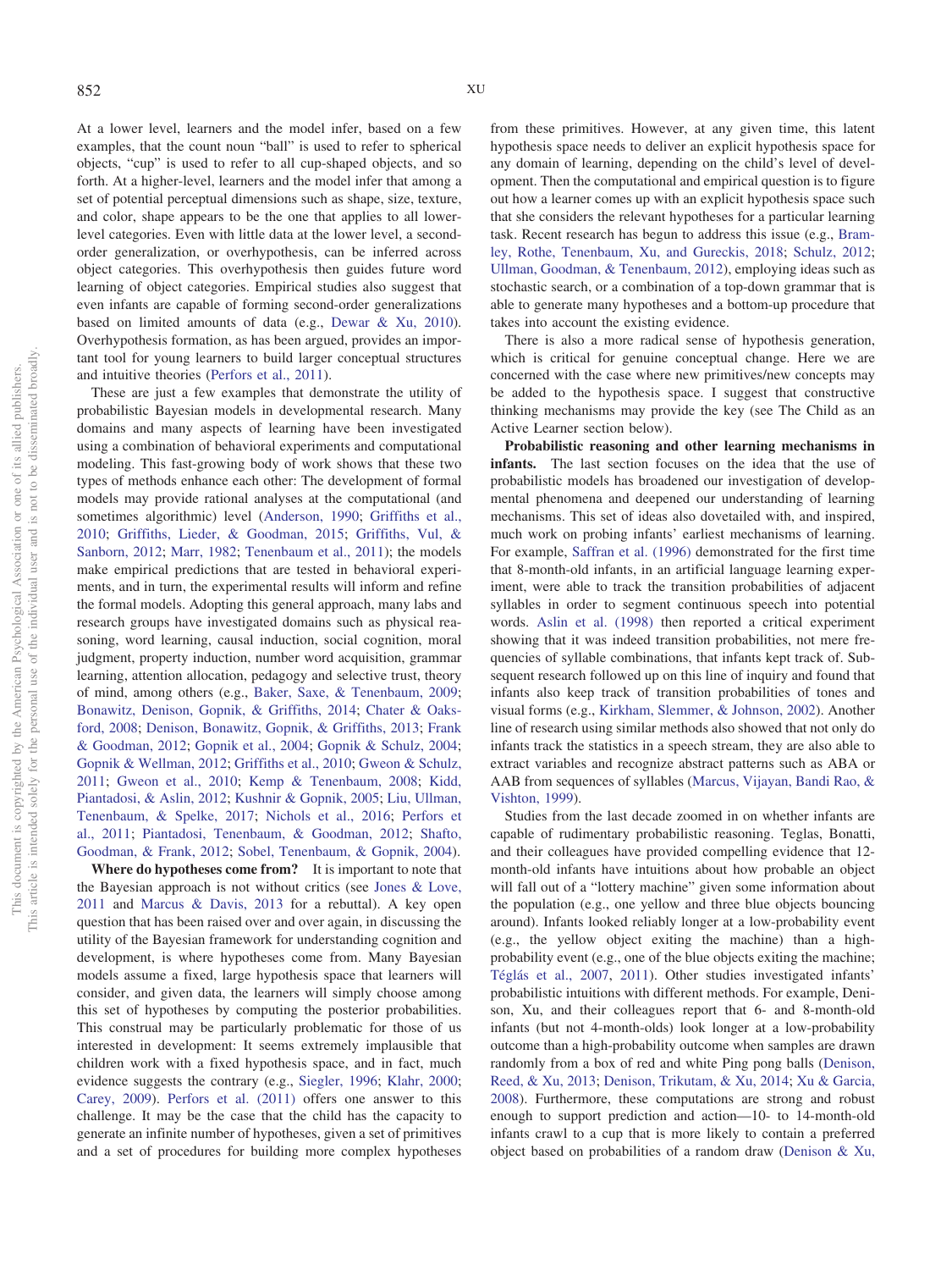At a lower level, learners and the model infer, based on a few examples, that the count noun "ball" is used to refer to spherical objects, "cup" is used to refer to all cup-shaped objects, and so forth. At a higher-level, learners and the model infer that among a set of potential perceptual dimensions such as shape, size, texture, and color, shape appears to be the one that applies to all lowerlevel categories. Even with little data at the lower level, a secondorder generalization, or overhypothesis, can be inferred across object categories. This overhypothesis then guides future word learning of object categories. Empirical studies also suggest that even infants are capable of forming second-order generalizations based on limited amounts of data (e.g., [Dewar & Xu, 2010\)](#page-17-25). Overhypothesis formation, as has been argued, provides an important tool for young learners to build larger conceptual structures and intuitive theories [\(Perfors et al., 2011\)](#page-20-22).

These are just a few examples that demonstrate the utility of probabilistic Bayesian models in developmental research. Many domains and many aspects of learning have been investigated using a combination of behavioral experiments and computational modeling. This fast-growing body of work shows that these two types of methods enhance each other: The development of formal models may provide rational analyses at the computational (and sometimes algorithmic) level [\(Anderson, 1990;](#page-16-21) [Griffiths et al.,](#page-18-23) [2010;](#page-18-23) [Griffiths, Lieder, & Goodman, 2015;](#page-18-26) [Griffiths, Vul, &](#page-18-27) [Sanborn, 2012;](#page-18-27) [Marr, 1982;](#page-20-25) [Tenenbaum et al., 2011\)](#page-22-2); the models make empirical predictions that are tested in behavioral experiments, and in turn, the experimental results will inform and refine the formal models. Adopting this general approach, many labs and research groups have investigated domains such as physical reasoning, word learning, causal induction, social cognition, moral judgment, property induction, number word acquisition, grammar learning, attention allocation, pedagogy and selective trust, theory of mind, among others (e.g., [Baker, Saxe, & Tenenbaum, 2009;](#page-16-22) [Bonawitz, Denison, Gopnik, & Griffiths, 2014;](#page-16-23) [Chater & Oaks](#page-17-23)[ford, 2008;](#page-17-23) [Denison, Bonawitz, Gopnik, & Griffiths, 2013;](#page-17-26) [Frank](#page-18-28) [& Goodman, 2012;](#page-18-28) [Gopnik et al., 2004;](#page-18-3) [Gopnik & Schulz, 2004;](#page-18-20) [Gopnik & Wellman, 2012;](#page-18-1) [Griffiths et al., 2010;](#page-18-23) [Gweon & Schulz,](#page-18-29) [2011;](#page-18-29) [Gweon et al., 2010;](#page-18-24) [Kemp & Tenenbaum, 2008;](#page-19-26) [Kidd,](#page-19-27) [Piantadosi, & Aslin, 2012;](#page-19-27) [Kushnir & Gopnik, 2005;](#page-19-28) [Liu, Ullman,](#page-20-26) [Tenenbaum, & Spelke, 2017;](#page-20-26) [Nichols et al., 2016;](#page-20-24) [Perfors et](#page-20-22) [al., 2011;](#page-20-22) [Piantadosi, Tenenbaum, & Goodman, 2012;](#page-21-25) [Shafto,](#page-21-26) [Goodman, & Frank, 2012;](#page-21-26) [Sobel, Tenenbaum, & Gopnik, 2004\)](#page-21-27).

**Where do hypotheses come from?** It is important to note that the Bayesian approach is not without critics (see [Jones & Love,](#page-19-29) [2011](#page-19-29) and [Marcus & Davis, 2013](#page-20-27) for a rebuttal). A key open question that has been raised over and over again, in discussing the utility of the Bayesian framework for understanding cognition and development, is where hypotheses come from. Many Bayesian models assume a fixed, large hypothesis space that learners will consider, and given data, the learners will simply choose among this set of hypotheses by computing the posterior probabilities. This construal may be particularly problematic for those of us interested in development: It seems extremely implausible that children work with a fixed hypothesis space, and in fact, much evidence suggests the contrary (e.g., [Siegler, 1996;](#page-21-28) [Klahr, 2000;](#page-19-30) [Carey, 2009\)](#page-17-3). [Perfors et al. \(2011\)](#page-20-22) offers one answer to this challenge. It may be the case that the child has the capacity to generate an infinite number of hypotheses, given a set of primitives and a set of procedures for building more complex hypotheses

from these primitives. However, at any given time, this latent hypothesis space needs to deliver an explicit hypothesis space for any domain of learning, depending on the child's level of development. Then the computational and empirical question is to figure out how a learner comes up with an explicit hypothesis space such that she considers the relevant hypotheses for a particular learning task. Recent research has begun to address this issue (e.g., [Bram](#page-16-24)[ley, Rothe, Tenenbaum, Xu, and Gureckis, 2018;](#page-16-24) [Schulz, 2012;](#page-21-0) [Ullman, Goodman, & Tenenbaum, 2012\)](#page-22-30), employing ideas such as stochastic search, or a combination of a top-down grammar that is able to generate many hypotheses and a bottom-up procedure that takes into account the existing evidence.

There is also a more radical sense of hypothesis generation, which is critical for genuine conceptual change. Here we are concerned with the case where new primitives/new concepts may be added to the hypothesis space. I suggest that constructive thinking mechanisms may provide the key (see The Child as an Active Learner section below).

**Probabilistic reasoning and other learning mechanisms in infants.** The last section focuses on the idea that the use of probabilistic models has broadened our investigation of developmental phenomena and deepened our understanding of learning mechanisms. This set of ideas also dovetailed with, and inspired, much work on probing infants' earliest mechanisms of learning. For example, [Saffran et al. \(1996\)](#page-21-10) demonstrated for the first time that 8-month-old infants, in an artificial language learning experiment, were able to track the transition probabilities of adjacent syllables in order to segment continuous speech into potential words. [Aslin et al. \(1998\)](#page-16-15) then reported a critical experiment showing that it was indeed transition probabilities, not mere frequencies of syllable combinations, that infants kept track of. Subsequent research followed up on this line of inquiry and found that infants also keep track of transition probabilities of tones and visual forms (e.g., [Kirkham, Slemmer, & Johnson, 2002\)](#page-19-31). Another line of research using similar methods also showed that not only do infants track the statistics in a speech stream, they are also able to extract variables and recognize abstract patterns such as ABA or AAB from sequences of syllables [\(Marcus, Vijayan, Bandi Rao, &](#page-20-28) [Vishton, 1999\)](#page-20-28).

Studies from the last decade zoomed in on whether infants are capable of rudimentary probabilistic reasoning. Teglas, Bonatti, and their colleagues have provided compelling evidence that 12 month-old infants have intuitions about how probable an object will fall out of a "lottery machine" given some information about the population (e.g., one yellow and three blue objects bouncing around). Infants looked reliably longer at a low-probability event (e.g., the yellow object exiting the machine) than a highprobability event (e.g., one of the blue objects exiting the machine; [Téglás et al., 2007,](#page-22-31) [2011\)](#page-22-32). Other studies investigated infants' probabilistic intuitions with different methods. For example, Denison, Xu, and their colleagues report that 6- and 8-month-old infants (but not 4-month-olds) look longer at a low-probability outcome than a high-probability outcome when samples are drawn randomly from a box of red and white Ping pong balls [\(Denison,](#page-17-27) [Reed, & Xu, 2013;](#page-17-27) [Denison, Trikutam, & Xu, 2014;](#page-17-28) [Xu & Garcia,](#page-23-23) [2008\)](#page-23-23). Furthermore, these computations are strong and robust enough to support prediction and action—10- to 14-month-old infants crawl to a cup that is more likely to contain a preferred object based on probabilities of a random draw [\(Denison & Xu,](#page-17-29)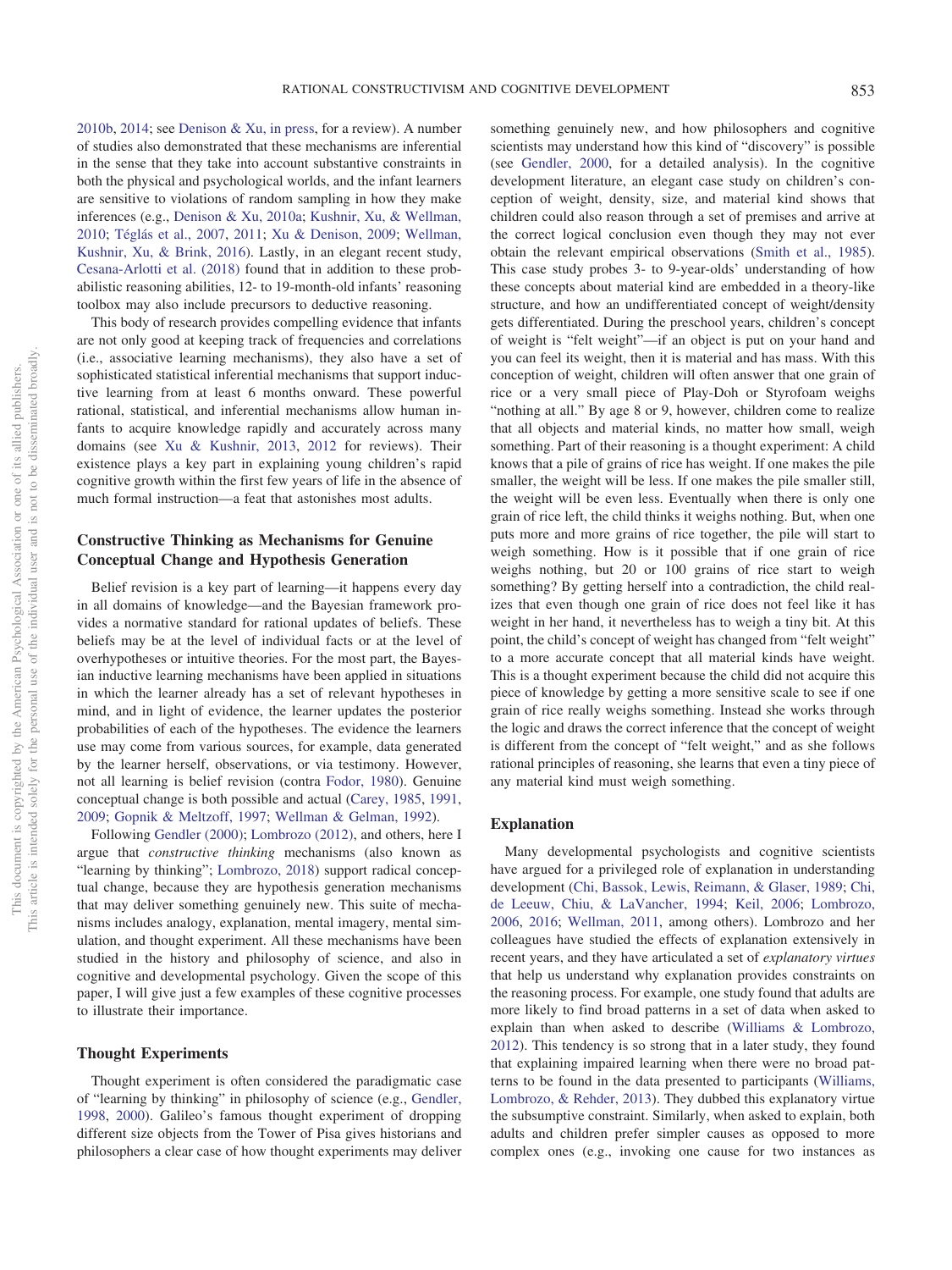[2010b,](#page-17-29) [2014;](#page-17-30) see [Denison & Xu, in press,](#page-17-31) for a review). A number of studies also demonstrated that these mechanisms are inferential in the sense that they take into account substantive constraints in both the physical and psychological worlds, and the infant learners are sensitive to violations of random sampling in how they make inferences (e.g., [Denison & Xu, 2010a;](#page-17-32) [Kushnir, Xu, & Wellman,](#page-19-32) [2010;](#page-19-32) [Téglás et al., 2007,](#page-22-31) [2011;](#page-22-32) [Xu & Denison, 2009;](#page-23-24) [Wellman,](#page-22-33) [Kushnir, Xu, & Brink, 2016\)](#page-22-33). Lastly, in an elegant recent study, [Cesana-Arlotti et al. \(2018\)](#page-17-33) found that in addition to these probabilistic reasoning abilities, 12- to 19-month-old infants' reasoning toolbox may also include precursors to deductive reasoning.

This body of research provides compelling evidence that infants are not only good at keeping track of frequencies and correlations (i.e., associative learning mechanisms), they also have a set of sophisticated statistical inferential mechanisms that support inductive learning from at least 6 months onward. These powerful rational, statistical, and inferential mechanisms allow human infants to acquire knowledge rapidly and accurately across many domains (see [Xu & Kushnir, 2013,](#page-23-4) [2012](#page-23-3) for reviews). Their existence plays a key part in explaining young children's rapid cognitive growth within the first few years of life in the absence of much formal instruction—a feat that astonishes most adults.

# **Constructive Thinking as Mechanisms for Genuine Conceptual Change and Hypothesis Generation**

Belief revision is a key part of learning—it happens every day in all domains of knowledge—and the Bayesian framework provides a normative standard for rational updates of beliefs. These beliefs may be at the level of individual facts or at the level of overhypotheses or intuitive theories. For the most part, the Bayesian inductive learning mechanisms have been applied in situations in which the learner already has a set of relevant hypotheses in mind, and in light of evidence, the learner updates the posterior probabilities of each of the hypotheses. The evidence the learners use may come from various sources, for example, data generated by the learner herself, observations, or via testimony. However, not all learning is belief revision (contra [Fodor, 1980\)](#page-18-30). Genuine conceptual change is both possible and actual [\(Carey, 1985,](#page-16-0) [1991,](#page-17-2) [2009;](#page-17-3) [Gopnik & Meltzoff, 1997;](#page-18-4) [Wellman & Gelman, 1992\)](#page-22-3).

Following [Gendler \(2000\);](#page-18-5) [Lombrozo \(2012\),](#page-20-29) and others, here I argue that *constructive thinking* mechanisms (also known as "learning by thinking"; [Lombrozo, 2018\)](#page-20-1) support radical conceptual change, because they are hypothesis generation mechanisms that may deliver something genuinely new. This suite of mechanisms includes analogy, explanation, mental imagery, mental simulation, and thought experiment. All these mechanisms have been studied in the history and philosophy of science, and also in cognitive and developmental psychology. Given the scope of this paper, I will give just a few examples of these cognitive processes to illustrate their importance.

#### **Thought Experiments**

Thought experiment is often considered the paradigmatic case of "learning by thinking" in philosophy of science (e.g., [Gendler,](#page-18-31) [1998,](#page-18-31) [2000\)](#page-18-5). Galileo's famous thought experiment of dropping different size objects from the Tower of Pisa gives historians and philosophers a clear case of how thought experiments may deliver something genuinely new, and how philosophers and cognitive scientists may understand how this kind of "discovery" is possible (see [Gendler, 2000,](#page-18-5) for a detailed analysis). In the cognitive development literature, an elegant case study on children's conception of weight, density, size, and material kind shows that children could also reason through a set of premises and arrive at the correct logical conclusion even though they may not ever obtain the relevant empirical observations [\(Smith et al., 1985\)](#page-21-6). This case study probes 3- to 9-year-olds' understanding of how these concepts about material kind are embedded in a theory-like structure, and how an undifferentiated concept of weight/density gets differentiated. During the preschool years, children's concept of weight is "felt weight"—if an object is put on your hand and you can feel its weight, then it is material and has mass. With this conception of weight, children will often answer that one grain of rice or a very small piece of Play-Doh or Styrofoam weighs "nothing at all." By age 8 or 9, however, children come to realize that all objects and material kinds, no matter how small, weigh something. Part of their reasoning is a thought experiment: A child knows that a pile of grains of rice has weight. If one makes the pile smaller, the weight will be less. If one makes the pile smaller still, the weight will be even less. Eventually when there is only one grain of rice left, the child thinks it weighs nothing. But, when one puts more and more grains of rice together, the pile will start to weigh something. How is it possible that if one grain of rice weighs nothing, but 20 or 100 grains of rice start to weigh something? By getting herself into a contradiction, the child realizes that even though one grain of rice does not feel like it has weight in her hand, it nevertheless has to weigh a tiny bit. At this point, the child's concept of weight has changed from "felt weight" to a more accurate concept that all material kinds have weight. This is a thought experiment because the child did not acquire this piece of knowledge by getting a more sensitive scale to see if one grain of rice really weighs something. Instead she works through the logic and draws the correct inference that the concept of weight is different from the concept of "felt weight," and as she follows rational principles of reasoning, she learns that even a tiny piece of any material kind must weigh something.

#### **Explanation**

Many developmental psychologists and cognitive scientists have argued for a privileged role of explanation in understanding development [\(Chi, Bassok, Lewis, Reimann, & Glaser, 1989;](#page-17-34) [Chi,](#page-17-35) [de Leeuw, Chiu, & LaVancher, 1994;](#page-17-35) [Keil, 2006;](#page-19-33) [Lombrozo,](#page-20-30) [2006,](#page-20-30) [2016;](#page-20-31) [Wellman, 2011,](#page-22-34) among others). Lombrozo and her colleagues have studied the effects of explanation extensively in recent years, and they have articulated a set of *explanatory virtues* that help us understand why explanation provides constraints on the reasoning process. For example, one study found that adults are more likely to find broad patterns in a set of data when asked to explain than when asked to describe [\(Williams & Lombrozo,](#page-22-35) [2012\)](#page-22-35). This tendency is so strong that in a later study, they found that explaining impaired learning when there were no broad patterns to be found in the data presented to participants [\(Williams,](#page-22-36) [Lombrozo, & Rehder, 2013\)](#page-22-36). They dubbed this explanatory virtue the subsumptive constraint. Similarly, when asked to explain, both adults and children prefer simpler causes as opposed to more complex ones (e.g., invoking one cause for two instances as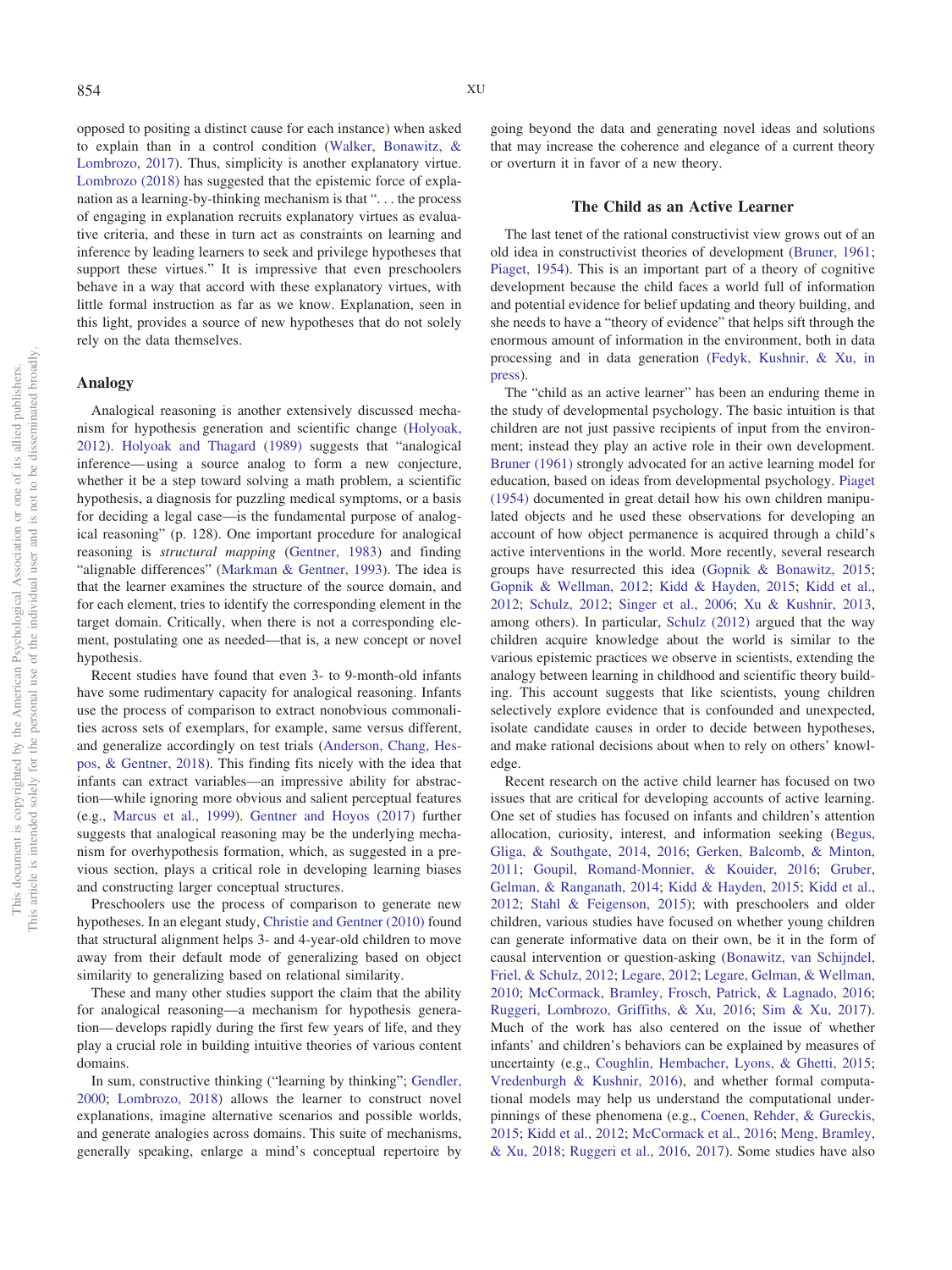opposed to positing a distinct cause for each instance) when asked to explain than in a control condition [\(Walker, Bonawitz, &](#page-22-37) [Lombrozo, 2017\)](#page-22-37). Thus, simplicity is another explanatory virtue. [Lombrozo \(2018\)](#page-20-1) has suggested that the epistemic force of explanation as a learning-by-thinking mechanism is that ". . . the process of engaging in explanation recruits explanatory virtues as evaluative criteria, and these in turn act as constraints on learning and inference by leading learners to seek and privilege hypotheses that support these virtues." It is impressive that even preschoolers behave in a way that accord with these explanatory virtues, with little formal instruction as far as we know. Explanation, seen in this light, provides a source of new hypotheses that do not solely rely on the data themselves.

### **Analogy**

Analogical reasoning is another extensively discussed mechanism for hypothesis generation and scientific change [\(Holyoak,](#page-19-34) [2012\)](#page-19-34). [Holyoak and Thagard \(1989\)](#page-19-35) suggests that "analogical inference— using a source analog to form a new conjecture, whether it be a step toward solving a math problem, a scientific hypothesis, a diagnosis for puzzling medical symptoms, or a basis for deciding a legal case—is the fundamental purpose of analogical reasoning" (p. 128). One important procedure for analogical reasoning is *structural mapping* [\(Gentner, 1983\)](#page-18-32) and finding "alignable differences" [\(Markman & Gentner, 1993\)](#page-20-32). The idea is that the learner examines the structure of the source domain, and for each element, tries to identify the corresponding element in the target domain. Critically, when there is not a corresponding element, postulating one as needed—that is, a new concept or novel hypothesis.

Recent studies have found that even 3- to 9-month-old infants have some rudimentary capacity for analogical reasoning. Infants use the process of comparison to extract nonobvious commonalities across sets of exemplars, for example, same versus different, and generalize accordingly on test trials [\(Anderson, Chang, Hes](#page-16-25)[pos, & Gentner, 2018\)](#page-16-25). This finding fits nicely with the idea that infants can extract variables—an impressive ability for abstraction—while ignoring more obvious and salient perceptual features (e.g., [Marcus et al., 1999\)](#page-20-28). [Gentner and Hoyos \(2017\)](#page-18-33) further suggests that analogical reasoning may be the underlying mechanism for overhypothesis formation, which, as suggested in a previous section, plays a critical role in developing learning biases and constructing larger conceptual structures.

Preschoolers use the process of comparison to generate new hypotheses. In an elegant study, [Christie and Gentner \(2010\)](#page-17-36) found that structural alignment helps 3- and 4-year-old children to move away from their default mode of generalizing based on object similarity to generalizing based on relational similarity.

These and many other studies support the claim that the ability for analogical reasoning—a mechanism for hypothesis generation— develops rapidly during the first few years of life, and they play a crucial role in building intuitive theories of various content domains.

In sum, constructive thinking ("learning by thinking"; [Gendler,](#page-18-5) [2000;](#page-18-5) [Lombrozo, 2018\)](#page-20-1) allows the learner to construct novel explanations, imagine alternative scenarios and possible worlds, and generate analogies across domains. This suite of mechanisms, generally speaking, enlarge a mind's conceptual repertoire by going beyond the data and generating novel ideas and solutions that may increase the coherence and elegance of a current theory or overturn it in favor of a new theory.

#### **The Child as an Active Learner**

The last tenet of the rational constructivist view grows out of an old idea in constructivist theories of development [\(Bruner, 1961;](#page-16-2) [Piaget, 1954\)](#page-20-2). This is an important part of a theory of cognitive development because the child faces a world full of information and potential evidence for belief updating and theory building, and she needs to have a "theory of evidence" that helps sift through the enormous amount of information in the environment, both in data processing and in data generation [\(Fedyk, Kushnir, & Xu, in](#page-17-37) [press\)](#page-17-37).

The "child as an active learner" has been an enduring theme in the study of developmental psychology. The basic intuition is that children are not just passive recipients of input from the environment; instead they play an active role in their own development. [Bruner \(1961\)](#page-16-2) strongly advocated for an active learning model for education, based on ideas from developmental psychology. [Piaget](#page-20-2) [\(1954\)](#page-20-2) documented in great detail how his own children manipulated objects and he used these observations for developing an account of how object permanence is acquired through a child's active interventions in the world. More recently, several research groups have resurrected this idea [\(Gopnik & Bonawitz, 2015;](#page-18-34) [Gopnik & Wellman, 2012;](#page-18-1) [Kidd & Hayden, 2015;](#page-19-36) [Kidd et al.,](#page-19-27) [2012;](#page-19-27) [Schulz, 2012;](#page-21-0) [Singer et al., 2006;](#page-21-1) [Xu & Kushnir, 2013,](#page-23-4) among others). In particular, [Schulz \(2012\)](#page-21-0) argued that the way children acquire knowledge about the world is similar to the various epistemic practices we observe in scientists, extending the analogy between learning in childhood and scientific theory building. This account suggests that like scientists, young children selectively explore evidence that is confounded and unexpected, isolate candidate causes in order to decide between hypotheses, and make rational decisions about when to rely on others' knowledge.

Recent research on the active child learner has focused on two issues that are critical for developing accounts of active learning. One set of studies has focused on infants and children's attention allocation, curiosity, interest, and information seeking [\(Begus,](#page-16-26) [Gliga, & Southgate, 2014,](#page-16-26) [2016;](#page-16-27) [Gerken, Balcomb, & Minton,](#page-18-35) [2011;](#page-18-35) [Goupil, Romand-Monnier, & Kouider, 2016;](#page-18-36) [Gruber,](#page-18-37) [Gelman, & Ranganath, 2014;](#page-18-37) [Kidd & Hayden, 2015;](#page-19-36) [Kidd et al.,](#page-19-27) [2012;](#page-19-27) [Stahl & Feigenson, 2015\)](#page-22-38); with preschoolers and older children, various studies have focused on whether young children can generate informative data on their own, be it in the form of causal intervention or question-asking [\(Bonawitz, van Schijndel,](#page-16-28) [Friel, & Schulz, 2012;](#page-16-28) [Legare, 2012;](#page-19-37) [Legare, Gelman, & Wellman,](#page-20-33) [2010;](#page-20-33) [McCormack, Bramley, Frosch, Patrick, & Lagnado, 2016;](#page-20-34) [Ruggeri, Lombrozo, Griffiths, & Xu, 2016;](#page-21-29) [Sim & Xu, 2017\)](#page-21-30). Much of the work has also centered on the issue of whether infants' and children's behaviors can be explained by measures of uncertainty (e.g., [Coughlin, Hembacher, Lyons, & Ghetti, 2015;](#page-17-38) [Vredenburgh & Kushnir, 2016\)](#page-22-39), and whether formal computational models may help us understand the computational underpinnings of these phenomena (e.g., [Coenen, Rehder, & Gureckis,](#page-17-39) [2015;](#page-17-39) [Kidd et al., 2012;](#page-19-27) [McCormack et al., 2016;](#page-20-34) [Meng, Bramley,](#page-20-35) [& Xu, 2018;](#page-20-35) [Ruggeri et al., 2016,](#page-21-29) [2017\)](#page-21-31). Some studies have also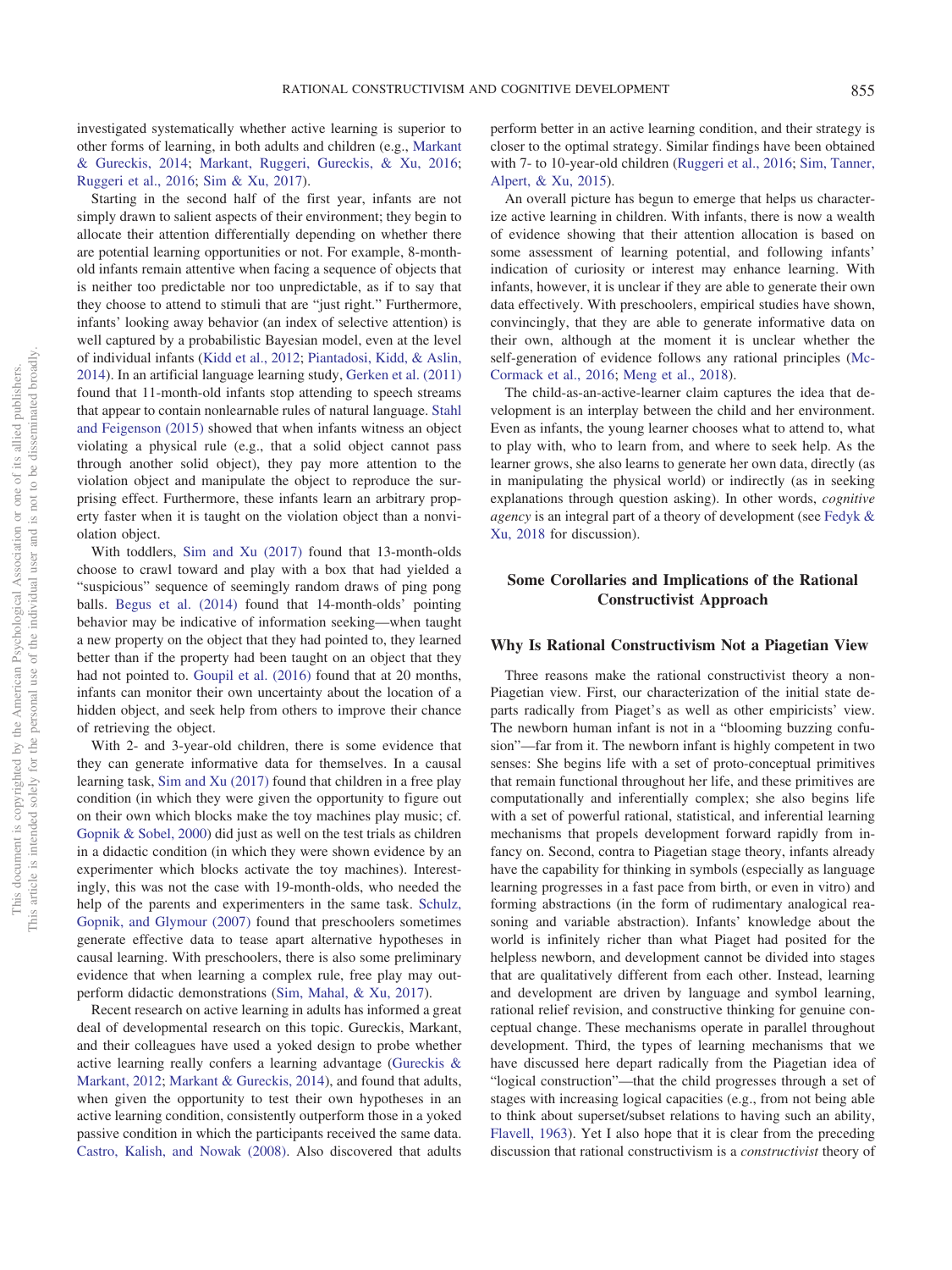investigated systematically whether active learning is superior to other forms of learning, in both adults and children (e.g., [Markant](#page-20-36) [& Gureckis, 2014;](#page-20-36) [Markant, Ruggeri, Gureckis, & Xu, 2016;](#page-20-37) [Ruggeri et al., 2016;](#page-21-29) [Sim & Xu, 2017\)](#page-21-30).

Starting in the second half of the first year, infants are not simply drawn to salient aspects of their environment; they begin to allocate their attention differentially depending on whether there are potential learning opportunities or not. For example, 8-monthold infants remain attentive when facing a sequence of objects that is neither too predictable nor too unpredictable, as if to say that they choose to attend to stimuli that are "just right." Furthermore, infants' looking away behavior (an index of selective attention) is well captured by a probabilistic Bayesian model, even at the level of individual infants [\(Kidd et al., 2012;](#page-19-27) [Piantadosi, Kidd, & Aslin,](#page-21-32) [2014\)](#page-21-32). In an artificial language learning study, [Gerken et al. \(2011\)](#page-18-35) found that 11-month-old infants stop attending to speech streams that appear to contain nonlearnable rules of natural language. [Stahl](#page-22-38) [and Feigenson \(2015\)](#page-22-38) showed that when infants witness an object violating a physical rule (e.g., that a solid object cannot pass through another solid object), they pay more attention to the violation object and manipulate the object to reproduce the surprising effect. Furthermore, these infants learn an arbitrary property faster when it is taught on the violation object than a nonviolation object.

With toddlers, [Sim and Xu \(2017\)](#page-21-30) found that 13-month-olds choose to crawl toward and play with a box that had yielded a "suspicious" sequence of seemingly random draws of ping pong balls. [Begus et al. \(2014\)](#page-16-26) found that 14-month-olds' pointing behavior may be indicative of information seeking—when taught a new property on the object that they had pointed to, they learned better than if the property had been taught on an object that they had not pointed to. [Goupil et al. \(2016\)](#page-18-36) found that at 20 months, infants can monitor their own uncertainty about the location of a hidden object, and seek help from others to improve their chance of retrieving the object.

With 2- and 3-year-old children, there is some evidence that they can generate informative data for themselves. In a causal learning task, [Sim and Xu \(2017\)](#page-21-30) found that children in a free play condition (in which they were given the opportunity to figure out on their own which blocks make the toy machines play music; cf. [Gopnik & Sobel, 2000\)](#page-18-38) did just as well on the test trials as children in a didactic condition (in which they were shown evidence by an experimenter which blocks activate the toy machines). Interestingly, this was not the case with 19-month-olds, who needed the help of the parents and experimenters in the same task. [Schulz,](#page-21-33) [Gopnik, and Glymour \(2007\)](#page-21-33) found that preschoolers sometimes generate effective data to tease apart alternative hypotheses in causal learning. With preschoolers, there is also some preliminary evidence that when learning a complex rule, free play may outperform didactic demonstrations [\(Sim, Mahal, & Xu, 2017\)](#page-21-34).

Recent research on active learning in adults has informed a great deal of developmental research on this topic. Gureckis, Markant, and their colleagues have used a yoked design to probe whether active learning really confers a learning advantage [\(Gureckis &](#page-18-6) [Markant, 2012;](#page-18-6) [Markant & Gureckis, 2014\)](#page-20-36), and found that adults, when given the opportunity to test their own hypotheses in an active learning condition, consistently outperform those in a yoked passive condition in which the participants received the same data. [Castro, Kalish, and Nowak \(2008\).](#page-17-40) Also discovered that adults

perform better in an active learning condition, and their strategy is closer to the optimal strategy. Similar findings have been obtained with 7- to 10-year-old children [\(Ruggeri et al., 2016;](#page-21-29) [Sim, Tanner,](#page-21-35) [Alpert, & Xu, 2015\)](#page-21-35).

An overall picture has begun to emerge that helps us characterize active learning in children. With infants, there is now a wealth of evidence showing that their attention allocation is based on some assessment of learning potential, and following infants' indication of curiosity or interest may enhance learning. With infants, however, it is unclear if they are able to generate their own data effectively. With preschoolers, empirical studies have shown, convincingly, that they are able to generate informative data on their own, although at the moment it is unclear whether the self-generation of evidence follows any rational principles [\(Mc-](#page-20-34)[Cormack et al., 2016;](#page-20-34) [Meng et al., 2018\)](#page-20-35).

The child-as-an-active-learner claim captures the idea that development is an interplay between the child and her environment. Even as infants, the young learner chooses what to attend to, what to play with, who to learn from, and where to seek help. As the learner grows, she also learns to generate her own data, directly (as in manipulating the physical world) or indirectly (as in seeking explanations through question asking). In other words, *cognitive agency* is an integral part of a theory of development (see [Fedyk &](#page-17-1) [Xu, 2018](#page-17-1) for discussion).

# **Some Corollaries and Implications of the Rational Constructivist Approach**

### **Why Is Rational Constructivism Not a Piagetian View**

Three reasons make the rational constructivist theory a non-Piagetian view. First, our characterization of the initial state departs radically from Piaget's as well as other empiricists' view. The newborn human infant is not in a "blooming buzzing confusion"—far from it. The newborn infant is highly competent in two senses: She begins life with a set of proto-conceptual primitives that remain functional throughout her life, and these primitives are computationally and inferentially complex; she also begins life with a set of powerful rational, statistical, and inferential learning mechanisms that propels development forward rapidly from infancy on. Second, contra to Piagetian stage theory, infants already have the capability for thinking in symbols (especially as language learning progresses in a fast pace from birth, or even in vitro) and forming abstractions (in the form of rudimentary analogical reasoning and variable abstraction). Infants' knowledge about the world is infinitely richer than what Piaget had posited for the helpless newborn, and development cannot be divided into stages that are qualitatively different from each other. Instead, learning and development are driven by language and symbol learning, rational relief revision, and constructive thinking for genuine conceptual change. These mechanisms operate in parallel throughout development. Third, the types of learning mechanisms that we have discussed here depart radically from the Piagetian idea of "logical construction"—that the child progresses through a set of stages with increasing logical capacities (e.g., from not being able to think about superset/subset relations to having such an ability, [Flavell, 1963\)](#page-18-39). Yet I also hope that it is clear from the preceding discussion that rational constructivism is a *constructivist* theory of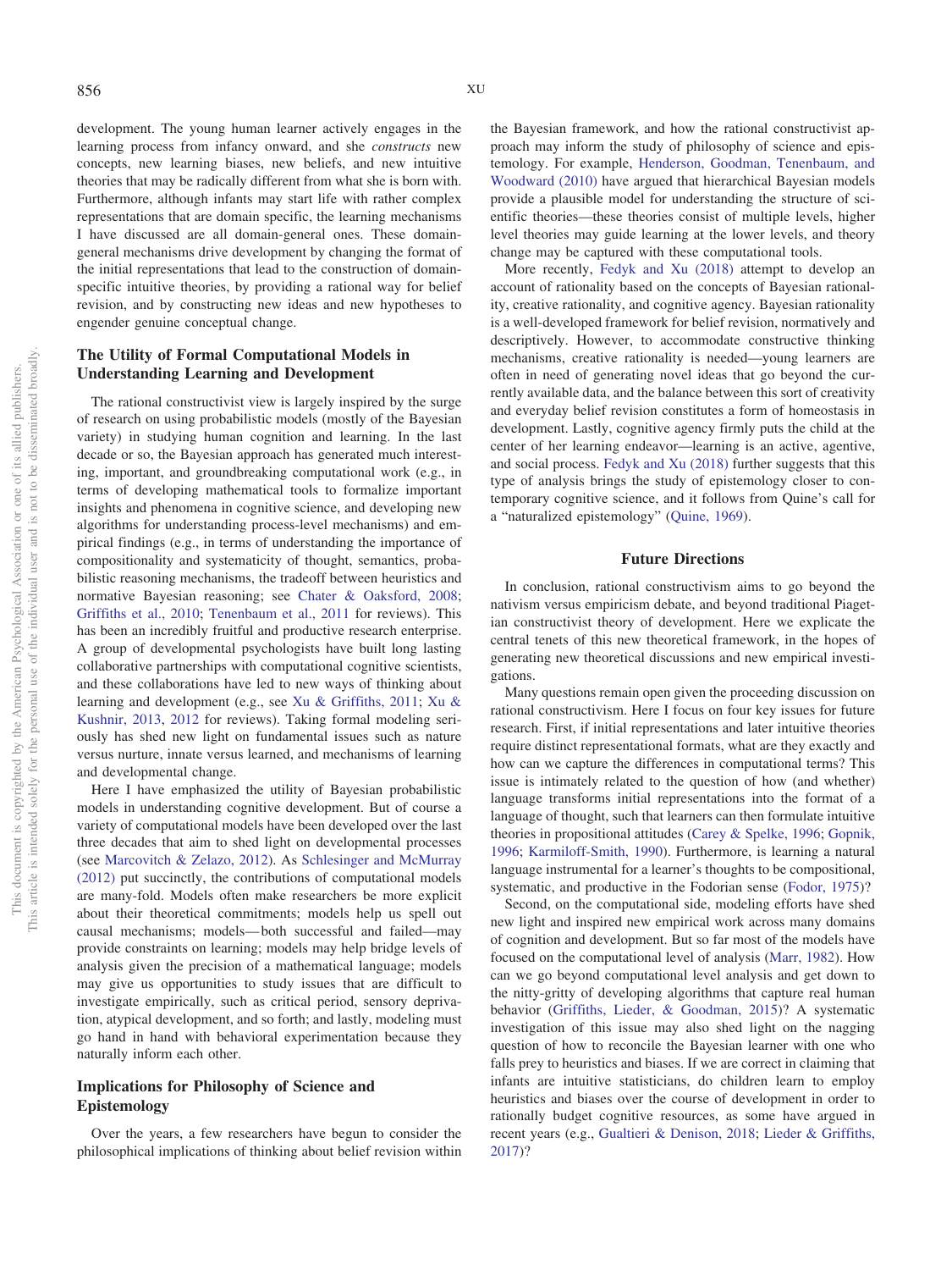development. The young human learner actively engages in the learning process from infancy onward, and she *constructs* new concepts, new learning biases, new beliefs, and new intuitive theories that may be radically different from what she is born with. Furthermore, although infants may start life with rather complex representations that are domain specific, the learning mechanisms I have discussed are all domain-general ones. These domaingeneral mechanisms drive development by changing the format of the initial representations that lead to the construction of domainspecific intuitive theories, by providing a rational way for belief revision, and by constructing new ideas and new hypotheses to engender genuine conceptual change.

# **The Utility of Formal Computational Models in Understanding Learning and Development**

The rational constructivist view is largely inspired by the surge of research on using probabilistic models (mostly of the Bayesian variety) in studying human cognition and learning. In the last decade or so, the Bayesian approach has generated much interesting, important, and groundbreaking computational work (e.g., in terms of developing mathematical tools to formalize important insights and phenomena in cognitive science, and developing new algorithms for understanding process-level mechanisms) and empirical findings (e.g., in terms of understanding the importance of compositionality and systematicity of thought, semantics, probabilistic reasoning mechanisms, the tradeoff between heuristics and normative Bayesian reasoning; see [Chater & Oaksford, 2008;](#page-17-23) [Griffiths et al., 2010;](#page-18-23) [Tenenbaum et al., 2011](#page-22-2) for reviews). This has been an incredibly fruitful and productive research enterprise. A group of developmental psychologists have built long lasting collaborative partnerships with computational cognitive scientists, and these collaborations have led to new ways of thinking about learning and development (e.g., see [Xu & Griffiths, 2011;](#page-23-2) [Xu &](#page-23-4) [Kushnir, 2013,](#page-23-4) [2012](#page-23-3) for reviews). Taking formal modeling seriously has shed new light on fundamental issues such as nature versus nurture, innate versus learned, and mechanisms of learning and developmental change.

Here I have emphasized the utility of Bayesian probabilistic models in understanding cognitive development. But of course a variety of computational models have been developed over the last three decades that aim to shed light on developmental processes (see [Marcovitch & Zelazo, 2012\)](#page-20-38). As [Schlesinger and McMurray](#page-21-36) [\(2012\)](#page-21-36) put succinctly, the contributions of computational models are many-fold. Models often make researchers be more explicit about their theoretical commitments; models help us spell out causal mechanisms; models— both successful and failed—may provide constraints on learning; models may help bridge levels of analysis given the precision of a mathematical language; models may give us opportunities to study issues that are difficult to investigate empirically, such as critical period, sensory deprivation, atypical development, and so forth; and lastly, modeling must go hand in hand with behavioral experimentation because they naturally inform each other.

# **Implications for Philosophy of Science and Epistemology**

Over the years, a few researchers have begun to consider the philosophical implications of thinking about belief revision within the Bayesian framework, and how the rational constructivist approach may inform the study of philosophy of science and epistemology. For example, [Henderson, Goodman, Tenenbaum, and](#page-18-40) [Woodward \(2010\)](#page-18-40) have argued that hierarchical Bayesian models provide a plausible model for understanding the structure of scientific theories—these theories consist of multiple levels, higher level theories may guide learning at the lower levels, and theory change may be captured with these computational tools.

More recently, [Fedyk and Xu \(2018\)](#page-17-1) attempt to develop an account of rationality based on the concepts of Bayesian rationality, creative rationality, and cognitive agency. Bayesian rationality is a well-developed framework for belief revision, normatively and descriptively. However, to accommodate constructive thinking mechanisms, creative rationality is needed—young learners are often in need of generating novel ideas that go beyond the currently available data, and the balance between this sort of creativity and everyday belief revision constitutes a form of homeostasis in development. Lastly, cognitive agency firmly puts the child at the center of her learning endeavor—learning is an active, agentive, and social process. [Fedyk and Xu \(2018\)](#page-17-1) further suggests that this type of analysis brings the study of epistemology closer to contemporary cognitive science, and it follows from Quine's call for a "naturalized epistemology" [\(Quine, 1969\)](#page-21-37).

### **Future Directions**

In conclusion, rational constructivism aims to go beyond the nativism versus empiricism debate, and beyond traditional Piagetian constructivist theory of development. Here we explicate the central tenets of this new theoretical framework, in the hopes of generating new theoretical discussions and new empirical investigations.

Many questions remain open given the proceeding discussion on rational constructivism. Here I focus on four key issues for future research. First, if initial representations and later intuitive theories require distinct representational formats, what are they exactly and how can we capture the differences in computational terms? This issue is intimately related to the question of how (and whether) language transforms initial representations into the format of a language of thought, such that learners can then formulate intuitive theories in propositional attitudes [\(Carey & Spelke, 1996;](#page-17-5) [Gopnik,](#page-18-16) [1996;](#page-18-16) [Karmiloff-Smith, 1990\)](#page-19-22). Furthermore, is learning a natural language instrumental for a learner's thoughts to be compositional, systematic, and productive in the Fodorian sense [\(Fodor, 1975\)](#page-18-2)?

Second, on the computational side, modeling efforts have shed new light and inspired new empirical work across many domains of cognition and development. But so far most of the models have focused on the computational level of analysis [\(Marr, 1982\)](#page-20-25). How can we go beyond computational level analysis and get down to the nitty-gritty of developing algorithms that capture real human behavior [\(Griffiths, Lieder, & Goodman, 2015\)](#page-18-26)? A systematic investigation of this issue may also shed light on the nagging question of how to reconcile the Bayesian learner with one who falls prey to heuristics and biases. If we are correct in claiming that infants are intuitive statisticians, do children learn to employ heuristics and biases over the course of development in order to rationally budget cognitive resources, as some have argued in recent years (e.g., [Gualtieri & Denison, 2018;](#page-18-41) [Lieder & Griffiths,](#page-20-39) [2017\)](#page-20-39)?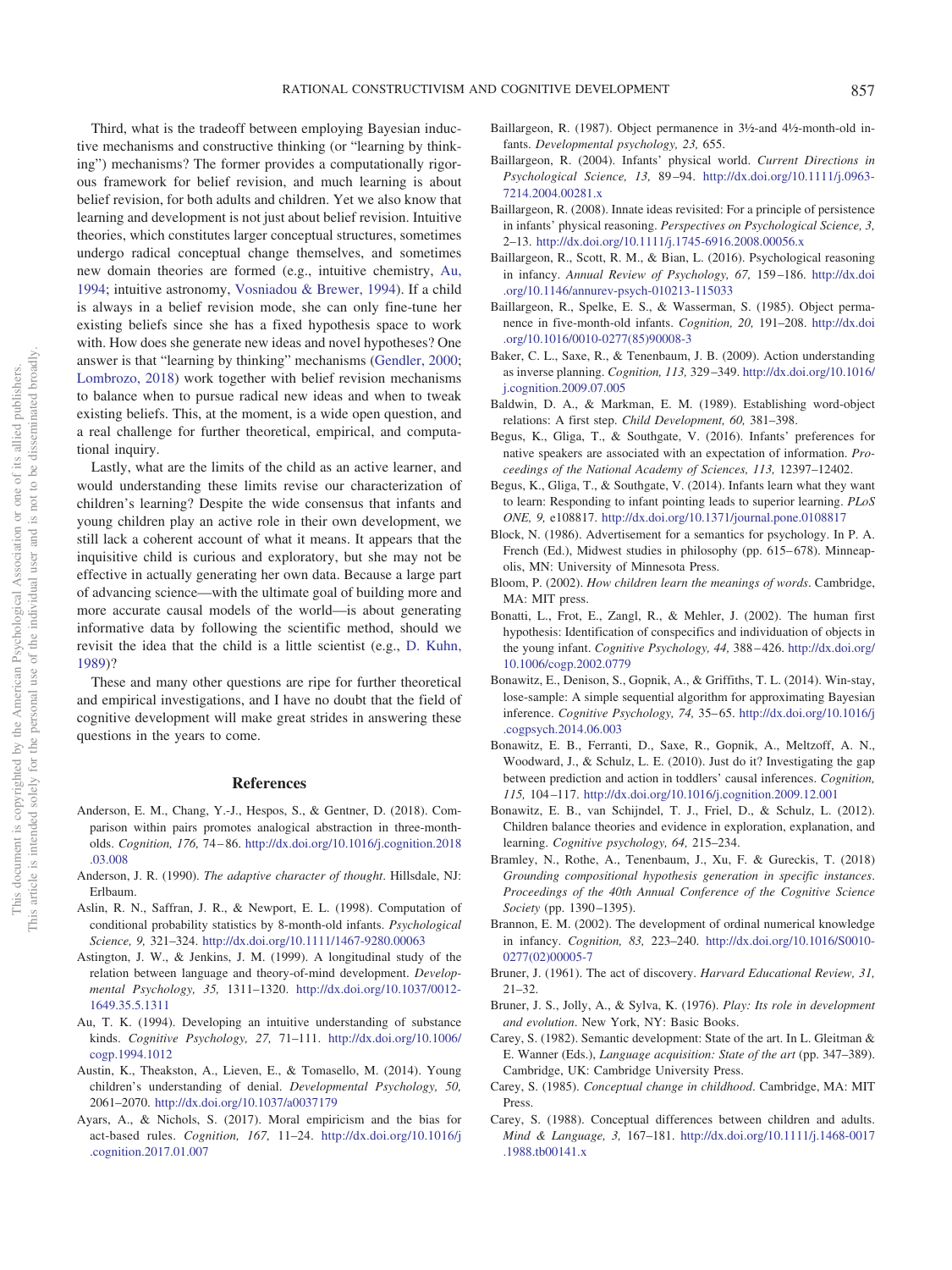Third, what is the tradeoff between employing Bayesian inductive mechanisms and constructive thinking (or "learning by thinking") mechanisms? The former provides a computationally rigorous framework for belief revision, and much learning is about belief revision, for both adults and children. Yet we also know that learning and development is not just about belief revision. Intuitive theories, which constitutes larger conceptual structures, sometimes undergo radical conceptual change themselves, and sometimes new domain theories are formed (e.g., intuitive chemistry, [Au,](#page-16-14) [1994;](#page-16-14) intuitive astronomy, [Vosniadou & Brewer, 1994\)](#page-22-20). If a child is always in a belief revision mode, she can only fine-tune her existing beliefs since she has a fixed hypothesis space to work with. How does she generate new ideas and novel hypotheses? One answer is that "learning by thinking" mechanisms [\(Gendler, 2000;](#page-18-5) [Lombrozo, 2018\)](#page-20-1) work together with belief revision mechanisms to balance when to pursue radical new ideas and when to tweak existing beliefs. This, at the moment, is a wide open question, and a real challenge for further theoretical, empirical, and computational inquiry.

Lastly, what are the limits of the child as an active learner, and would understanding these limits revise our characterization of children's learning? Despite the wide consensus that infants and young children play an active role in their own development, we still lack a coherent account of what it means. It appears that the inquisitive child is curious and exploratory, but she may not be effective in actually generating her own data. Because a large part of advancing science—with the ultimate goal of building more and more accurate causal models of the world—is about generating informative data by following the scientific method, should we revisit the idea that the child is a little scientist (e.g., [D. Kuhn,](#page-19-38) [1989\)](#page-19-38)?

These and many other questions are ripe for further theoretical and empirical investigations, and I have no doubt that the field of cognitive development will make great strides in answering these questions in the years to come.

### **References**

- <span id="page-16-25"></span>Anderson, E. M., Chang, Y.-J., Hespos, S., & Gentner, D. (2018). Comparison within pairs promotes analogical abstraction in three-montholds. *Cognition, 176,* 74 – 86. [http://dx.doi.org/10.1016/j.cognition.2018](http://dx.doi.org/10.1016/j.cognition.2018.03.008) [.03.008](http://dx.doi.org/10.1016/j.cognition.2018.03.008)
- <span id="page-16-21"></span>Anderson, J. R. (1990). *The adaptive character of thought*. Hillsdale, NJ: Erlbaum.
- <span id="page-16-15"></span>Aslin, R. N., Saffran, J. R., & Newport, E. L. (1998). Computation of conditional probability statistics by 8-month-old infants. *Psychological Science, 9,* 321–324. <http://dx.doi.org/10.1111/1467-9280.00063>
- <span id="page-16-17"></span>Astington, J. W., & Jenkins, J. M. (1999). A longitudinal study of the relation between language and theory-of-mind development. *Developmental Psychology, 35,* 1311–1320. [http://dx.doi.org/10.1037/0012-](http://dx.doi.org/10.1037/0012-1649.35.5.1311) [1649.35.5.1311](http://dx.doi.org/10.1037/0012-1649.35.5.1311)
- <span id="page-16-14"></span>Au, T. K. (1994). Developing an intuitive understanding of substance kinds. *Cognitive Psychology, 27,* 71–111. [http://dx.doi.org/10.1006/](http://dx.doi.org/10.1006/cogp.1994.1012) [cogp.1994.1012](http://dx.doi.org/10.1006/cogp.1994.1012)
- <span id="page-16-13"></span>Austin, K., Theakston, A., Lieven, E., & Tomasello, M. (2014). Young children's understanding of denial. *Developmental Psychology, 50,* 2061–2070. <http://dx.doi.org/10.1037/a0037179>
- <span id="page-16-20"></span>Ayars, A., & Nichols, S. (2017). Moral empiricism and the bias for act-based rules. *Cognition, 167,* 11–24. [http://dx.doi.org/10.1016/j](http://dx.doi.org/10.1016/j.cognition.2017.01.007) [.cognition.2017.01.007](http://dx.doi.org/10.1016/j.cognition.2017.01.007)
- <span id="page-16-7"></span>Baillargeon, R. (1987). Object permanence in 3½-and 4½-month-old infants. *Developmental psychology, 23,* 655.
- <span id="page-16-5"></span>Baillargeon, R. (2004). Infants' physical world. *Current Directions in Psychological Science, 13,* 89 –94. [http://dx.doi.org/10.1111/j.0963-](http://dx.doi.org/10.1111/j.0963-7214.2004.00281.x) [7214.2004.00281.x](http://dx.doi.org/10.1111/j.0963-7214.2004.00281.x)
- <span id="page-16-6"></span>Baillargeon, R. (2008). Innate ideas revisited: For a principle of persistence in infants' physical reasoning. *Perspectives on Psychological Science, 3,* 2–13. <http://dx.doi.org/10.1111/j.1745-6916.2008.00056.x>
- <span id="page-16-10"></span>Baillargeon, R., Scott, R. M., & Bian, L. (2016). Psychological reasoning in infancy. *Annual Review of Psychology, 67,* 159 –186. [http://dx.doi](http://dx.doi.org/10.1146/annurev-psych-010213-115033) [.org/10.1146/annurev-psych-010213-115033](http://dx.doi.org/10.1146/annurev-psych-010213-115033)
- <span id="page-16-4"></span>Baillargeon, R., Spelke, E. S., & Wasserman, S. (1985). Object permanence in five-month-old infants. *Cognition, 20,* 191–208. [http://dx.doi](http://dx.doi.org/10.1016/0010-0277%2885%2990008-3) [.org/10.1016/0010-0277\(85\)90008-3](http://dx.doi.org/10.1016/0010-0277%2885%2990008-3)
- <span id="page-16-22"></span>Baker, C. L., Saxe, R., & Tenenbaum, J. B. (2009). Action understanding as inverse planning. *Cognition, 113,* 329 –349. [http://dx.doi.org/10.1016/](http://dx.doi.org/10.1016/j.cognition.2009.07.005) [j.cognition.2009.07.005](http://dx.doi.org/10.1016/j.cognition.2009.07.005)
- <span id="page-16-16"></span>Baldwin, D. A., & Markman, E. M. (1989). Establishing word-object relations: A first step. *Child Development, 60,* 381–398.
- <span id="page-16-27"></span>Begus, K., Gliga, T., & Southgate, V. (2016). Infants' preferences for native speakers are associated with an expectation of information. *Proceedings of the National Academy of Sciences, 113,* 12397–12402.
- <span id="page-16-26"></span>Begus, K., Gliga, T., & Southgate, V. (2014). Infants learn what they want to learn: Responding to infant pointing leads to superior learning. *PLoS ONE, 9,* e108817. <http://dx.doi.org/10.1371/journal.pone.0108817>
- <span id="page-16-12"></span>Block, N. (1986). Advertisement for a semantics for psychology. In P. A. French (Ed.), Midwest studies in philosophy (pp. 615–678). Minneapolis, MN: University of Minnesota Press.
- <span id="page-16-18"></span>Bloom, P. (2002). *How children learn the meanings of words*. Cambridge, MA: MIT press.
- <span id="page-16-8"></span>Bonatti, L., Frot, E., Zangl, R., & Mehler, J. (2002). The human first hypothesis: Identification of conspecifics and individuation of objects in the young infant. *Cognitive Psychology, 44,* 388 – 426. [http://dx.doi.org/](http://dx.doi.org/10.1006/cogp.2002.0779) [10.1006/cogp.2002.0779](http://dx.doi.org/10.1006/cogp.2002.0779)
- <span id="page-16-23"></span>Bonawitz, E., Denison, S., Gopnik, A., & Griffiths, T. L. (2014). Win-stay, lose-sample: A simple sequential algorithm for approximating Bayesian inference. *Cognitive Psychology, 74,* 35– 65. [http://dx.doi.org/10.1016/j](http://dx.doi.org/10.1016/j.cogpsych.2014.06.003) [.cogpsych.2014.06.003](http://dx.doi.org/10.1016/j.cogpsych.2014.06.003)
- <span id="page-16-11"></span>Bonawitz, E. B., Ferranti, D., Saxe, R., Gopnik, A., Meltzoff, A. N., Woodward, J., & Schulz, L. E. (2010). Just do it? Investigating the gap between prediction and action in toddlers' causal inferences. *Cognition, 115,* 104 –117. <http://dx.doi.org/10.1016/j.cognition.2009.12.001>
- <span id="page-16-28"></span>Bonawitz, E. B., van Schijndel, T. J., Friel, D., & Schulz, L. (2012). Children balance theories and evidence in exploration, explanation, and learning. *Cognitive psychology, 64,* 215–234.
- <span id="page-16-24"></span>Bramley, N., Rothe, A., Tenenbaum, J., Xu, F. & Gureckis, T. (2018) *Grounding compositional hypothesis generation in specific instances*. *Proceedings of the 40th Annual Conference of the Cognitive Science Society* (pp. 1390 –1395).
- <span id="page-16-9"></span>Brannon, E. M. (2002). The development of ordinal numerical knowledge in infancy. *Cognition, 83,* 223–240. [http://dx.doi.org/10.1016/S0010-](http://dx.doi.org/10.1016/S0010-0277%2802%2900005-7) [0277\(02\)00005-7](http://dx.doi.org/10.1016/S0010-0277%2802%2900005-7)
- <span id="page-16-2"></span>Bruner, J. (1961). The act of discovery. *Harvard Educational Review, 31,* 21–32.
- <span id="page-16-3"></span>Bruner, J. S., Jolly, A., & Sylva, K. (1976). *Play: Its role in development and evolution*. New York, NY: Basic Books.
- <span id="page-16-19"></span>Carey, S. (1982). Semantic development: State of the art. In L. Gleitman & E. Wanner (Eds.), *Language acquisition: State of the art* (pp. 347–389). Cambridge, UK: Cambridge University Press.
- <span id="page-16-0"></span>Carey, S. (1985). *Conceptual change in childhood*. Cambridge, MA: MIT Press.
- <span id="page-16-1"></span>Carey, S. (1988). Conceptual differences between children and adults. *Mind & Language, 3,* 167–181. [http://dx.doi.org/10.1111/j.1468-0017](http://dx.doi.org/10.1111/j.1468-0017.1988.tb00141.x) [.1988.tb00141.x](http://dx.doi.org/10.1111/j.1468-0017.1988.tb00141.x)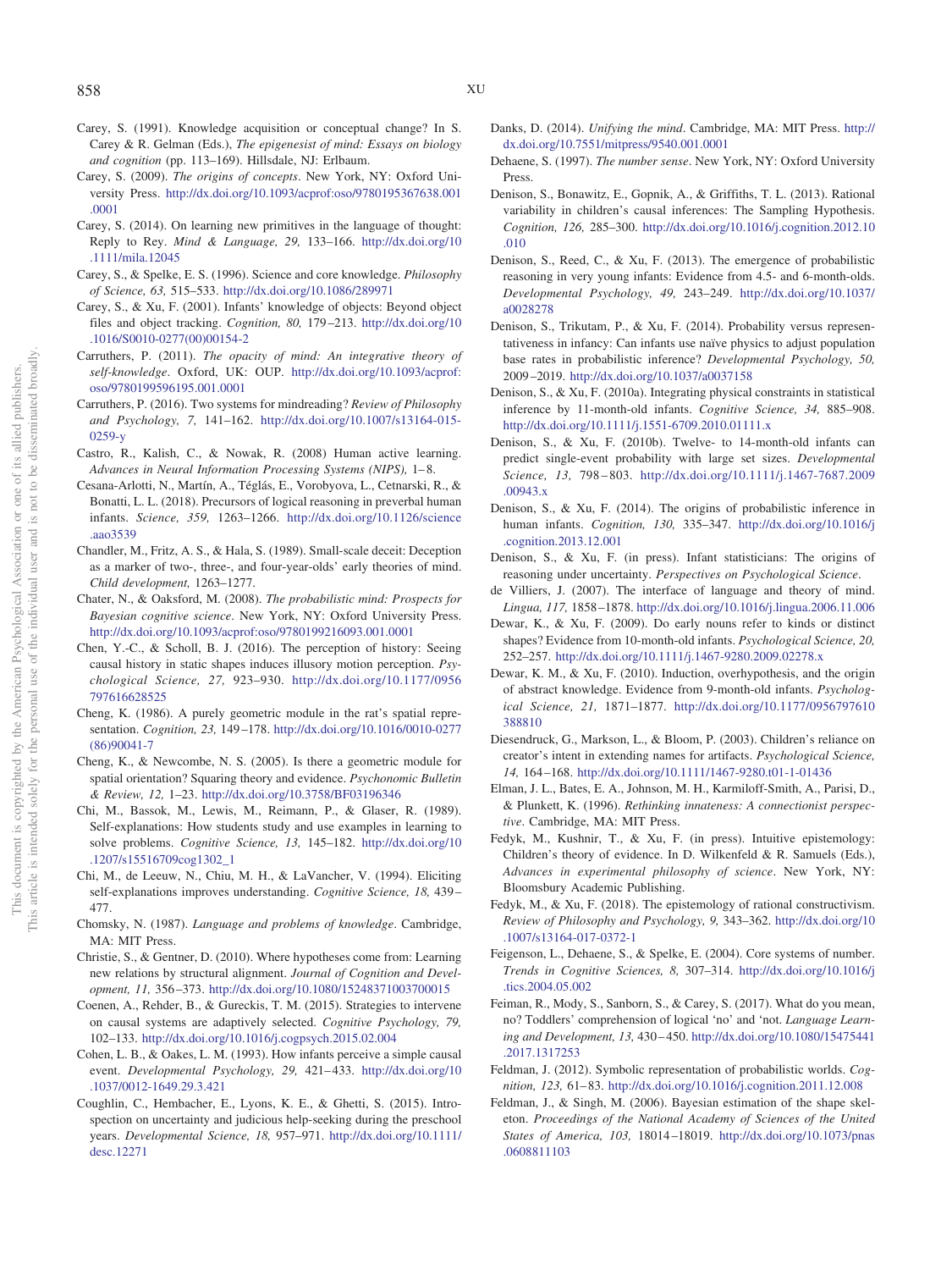- <span id="page-17-2"></span>Carey, S. (1991). Knowledge acquisition or conceptual change? In S. Carey & R. Gelman (Eds.), *The epigenesist of mind: Essays on biology and cognition* (pp. 113–169). Hillsdale, NJ: Erlbaum.
- <span id="page-17-3"></span>Carey, S. (2009). *The origins of concepts*. New York, NY: Oxford University Press. [http://dx.doi.org/10.1093/acprof:oso/9780195367638.001](http://dx.doi.org/10.1093/acprof:oso/9780195367638.001.0001) [.0001](http://dx.doi.org/10.1093/acprof:oso/9780195367638.001.0001)
- <span id="page-17-19"></span>Carey, S. (2014). On learning new primitives in the language of thought: Reply to Rey. *Mind & Language, 29,* 133–166. [http://dx.doi.org/10](http://dx.doi.org/10.1111/mila.12045) [.1111/mila.12045](http://dx.doi.org/10.1111/mila.12045)
- <span id="page-17-5"></span>Carey, S., & Spelke, E. S. (1996). Science and core knowledge. *Philosophy of Science, 63,* 515–533. <http://dx.doi.org/10.1086/289971>
- <span id="page-17-13"></span>Carey, S., & Xu, F. (2001). Infants' knowledge of objects: Beyond object files and object tracking. *Cognition, 80,* 179 –213. [http://dx.doi.org/10](http://dx.doi.org/10.1016/S0010-0277%2800%2900154-2) [.1016/S0010-0277\(00\)00154-2](http://dx.doi.org/10.1016/S0010-0277%2800%2900154-2)
- <span id="page-17-21"></span>Carruthers, P. (2011). *The opacity of mind: An integrative theory of self-knowledge*. Oxford, UK: OUP. [http://dx.doi.org/10.1093/acprof:](http://dx.doi.org/10.1093/acprof:oso/9780199596195.001.0001) [oso/9780199596195.001.0001](http://dx.doi.org/10.1093/acprof:oso/9780199596195.001.0001)
- <span id="page-17-22"></span>Carruthers, P. (2016). Two systems for mindreading? *Review of Philosophy and Psychology, 7,* 141–162. [http://dx.doi.org/10.1007/s13164-015-](http://dx.doi.org/10.1007/s13164-015-0259-y) [0259-y](http://dx.doi.org/10.1007/s13164-015-0259-y)
- <span id="page-17-40"></span>Castro, R., Kalish, C., & Nowak, R. (2008) Human active learning. *Advances in Neural Information Processing Systems (NIPS),* 1– 8.
- <span id="page-17-33"></span>Cesana-Arlotti, N., Martín, A., Téglás, E., Vorobyova, L., Cetnarski, R., & Bonatti, L. L. (2018). Precursors of logical reasoning in preverbal human infants. *Science, 359,* 1263–1266. [http://dx.doi.org/10.1126/science](http://dx.doi.org/10.1126/science.aao3539) [.aao3539](http://dx.doi.org/10.1126/science.aao3539)
- <span id="page-17-17"></span>Chandler, M., Fritz, A. S., & Hala, S. (1989). Small-scale deceit: Deception as a marker of two-, three-, and four-year-olds' early theories of mind. *Child development,* 1263–1277.
- <span id="page-17-23"></span>Chater, N., & Oaksford, M. (2008). *The probabilistic mind: Prospects for Bayesian cognitive science*. New York, NY: Oxford University Press. <http://dx.doi.org/10.1093/acprof:oso/9780199216093.001.0001>
- <span id="page-17-12"></span>Chen, Y.-C., & Scholl, B. J. (2016). The perception of history: Seeing causal history in static shapes induces illusory motion perception. *Psychological Science, 27,* 923–930. [http://dx.doi.org/10.1177/0956](http://dx.doi.org/10.1177/0956797616628525) [797616628525](http://dx.doi.org/10.1177/0956797616628525)
- <span id="page-17-9"></span>Cheng, K. (1986). A purely geometric module in the rat's spatial representation. *Cognition, 23,* 149 –178. [http://dx.doi.org/10.1016/0010-0277](http://dx.doi.org/10.1016/0010-0277%2886%2990041-7) [\(86\)90041-7](http://dx.doi.org/10.1016/0010-0277%2886%2990041-7)
- <span id="page-17-8"></span>Cheng, K., & Newcombe, N. S. (2005). Is there a geometric module for spatial orientation? Squaring theory and evidence. *Psychonomic Bulletin & Review, 12,* 1–23. <http://dx.doi.org/10.3758/BF03196346>
- <span id="page-17-34"></span>Chi, M., Bassok, M., Lewis, M., Reimann, P., & Glaser, R. (1989). Self-explanations: How students study and use examples in learning to solve problems. *Cognitive Science, 13,* 145–182. [http://dx.doi.org/10](http://dx.doi.org/10.1207/s15516709cog1302_1) [.1207/s15516709cog1302\\_1](http://dx.doi.org/10.1207/s15516709cog1302_1)
- <span id="page-17-35"></span>Chi, M., de Leeuw, N., Chiu, M. H., & LaVancher, V. (1994). Eliciting self-explanations improves understanding. *Cognitive Science, 18,* 439 – 477.
- <span id="page-17-0"></span>Chomsky, N. (1987). *Language and problems of knowledge*. Cambridge, MA: MIT Press.
- <span id="page-17-36"></span>Christie, S., & Gentner, D. (2010). Where hypotheses come from: Learning new relations by structural alignment. *Journal of Cognition and Development, 11,* 356 –373. <http://dx.doi.org/10.1080/15248371003700015>
- <span id="page-17-39"></span>Coenen, A., Rehder, B., & Gureckis, T. M. (2015). Strategies to intervene on causal systems are adaptively selected. *Cognitive Psychology, 79,* 102–133. <http://dx.doi.org/10.1016/j.cogpsych.2015.02.004>
- <span id="page-17-10"></span>Cohen, L. B., & Oakes, L. M. (1993). How infants perceive a simple causal event. *Developmental Psychology, 29, 421-433.* [http://dx.doi.org/10](http://dx.doi.org/10.1037/0012-1649.29.3.421) [.1037/0012-1649.29.3.421](http://dx.doi.org/10.1037/0012-1649.29.3.421)
- <span id="page-17-38"></span>Coughlin, C., Hembacher, E., Lyons, K. E., & Ghetti, S. (2015). Introspection on uncertainty and judicious help-seeking during the preschool years. *Developmental Science, 18,* 957–971. [http://dx.doi.org/10.1111/](http://dx.doi.org/10.1111/desc.12271) [desc.12271](http://dx.doi.org/10.1111/desc.12271)
- <span id="page-17-11"></span>Danks, D. (2014). *Unifying the mind*. Cambridge, MA: MIT Press. [http://](http://dx.doi.org/10.7551/mitpress/9540.001.0001) [dx.doi.org/10.7551/mitpress/9540.001.0001](http://dx.doi.org/10.7551/mitpress/9540.001.0001)
- <span id="page-17-6"></span>Dehaene, S. (1997). *The number sense*. New York, NY: Oxford University Press.
- <span id="page-17-26"></span>Denison, S., Bonawitz, E., Gopnik, A., & Griffiths, T. L. (2013). Rational variability in children's causal inferences: The Sampling Hypothesis. *Cognition, 126,* 285–300. [http://dx.doi.org/10.1016/j.cognition.2012.10](http://dx.doi.org/10.1016/j.cognition.2012.10.010) [.010](http://dx.doi.org/10.1016/j.cognition.2012.10.010)
- <span id="page-17-27"></span>Denison, S., Reed, C., & Xu, F. (2013). The emergence of probabilistic reasoning in very young infants: Evidence from 4.5- and 6-month-olds. *Developmental Psychology, 49,* 243–249. [http://dx.doi.org/10.1037/](http://dx.doi.org/10.1037/a0028278) [a0028278](http://dx.doi.org/10.1037/a0028278)
- <span id="page-17-28"></span>Denison, S., Trikutam, P., & Xu, F. (2014). Probability versus representativeness in infancy: Can infants use naïve physics to adjust population base rates in probabilistic inference? *Developmental Psychology, 50,* 2009 –2019. <http://dx.doi.org/10.1037/a0037158>
- <span id="page-17-32"></span>Denison, S., & Xu, F. (2010a). Integrating physical constraints in statistical inference by 11-month-old infants. *Cognitive Science, 34,* 885–908. <http://dx.doi.org/10.1111/j.1551-6709.2010.01111.x>
- <span id="page-17-29"></span>Denison, S., & Xu, F. (2010b). Twelve- to 14-month-old infants can predict single-event probability with large set sizes. *Developmental Science, 13,* 798 – 803. [http://dx.doi.org/10.1111/j.1467-7687.2009](http://dx.doi.org/10.1111/j.1467-7687.2009.00943.x) [.00943.x](http://dx.doi.org/10.1111/j.1467-7687.2009.00943.x)
- <span id="page-17-30"></span>Denison, S., & Xu, F. (2014). The origins of probabilistic inference in human infants. *Cognition, 130,* 335–347. [http://dx.doi.org/10.1016/j](http://dx.doi.org/10.1016/j.cognition.2013.12.001) [.cognition.2013.12.001](http://dx.doi.org/10.1016/j.cognition.2013.12.001)
- <span id="page-17-31"></span>Denison, S., & Xu, F. (in press). Infant statisticians: The origins of reasoning under uncertainty. *Perspectives on Psychological Science*.
- <span id="page-17-20"></span>de Villiers, J. (2007). The interface of language and theory of mind. *Lingua, 117,* 1858 –1878. <http://dx.doi.org/10.1016/j.lingua.2006.11.006>
- <span id="page-17-18"></span>Dewar, K., & Xu, F. (2009). Do early nouns refer to kinds or distinct shapes? Evidence from 10-month-old infants. *Psychological Science, 20,* 252–257. <http://dx.doi.org/10.1111/j.1467-9280.2009.02278.x>
- <span id="page-17-25"></span>Dewar, K. M., & Xu, F. (2010). Induction, overhypothesis, and the origin of abstract knowledge. Evidence from 9-month-old infants. *Psychological Science, 21,* 1871–1877. [http://dx.doi.org/10.1177/0956797610](http://dx.doi.org/10.1177/0956797610388810) [388810](http://dx.doi.org/10.1177/0956797610388810)
- <span id="page-17-24"></span>Diesendruck, G., Markson, L., & Bloom, P. (2003). Children's reliance on creator's intent in extending names for artifacts. *Psychological Science, 14,* 164 –168. <http://dx.doi.org/10.1111/1467-9280.t01-1-01436>
- <span id="page-17-4"></span>Elman, J. L., Bates, E. A., Johnson, M. H., Karmiloff-Smith, A., Parisi, D., & Plunkett, K. (1996). *Rethinking innateness: A connectionist perspective*. Cambridge, MA: MIT Press.
- <span id="page-17-37"></span>Fedyk, M., Kushnir, T., & Xu, F. (in press). Intuitive epistemology: Children's theory of evidence. In D. Wilkenfeld & R. Samuels (Eds.), *Advances in experimental philosophy of science*. New York, NY: Bloomsbury Academic Publishing.
- <span id="page-17-1"></span>Fedyk, M., & Xu, F. (2018). The epistemology of rational constructivism. *Review of Philosophy and Psychology, 9,* 343–362. [http://dx.doi.org/10](http://dx.doi.org/10.1007/s13164-017-0372-1) [.1007/s13164-017-0372-1](http://dx.doi.org/10.1007/s13164-017-0372-1)
- <span id="page-17-7"></span>Feigenson, L., Dehaene, S., & Spelke, E. (2004). Core systems of number. *Trends in Cognitive Sciences, 8,* 307–314. [http://dx.doi.org/10.1016/j](http://dx.doi.org/10.1016/j.tics.2004.05.002) [.tics.2004.05.002](http://dx.doi.org/10.1016/j.tics.2004.05.002)
- <span id="page-17-16"></span>Feiman, R., Mody, S., Sanborn, S., & Carey, S. (2017). What do you mean, no? Toddlers' comprehension of logical 'no' and 'not. *Language Learning and Development, 13,* 430 – 450. [http://dx.doi.org/10.1080/15475441](http://dx.doi.org/10.1080/15475441.2017.1317253) [.2017.1317253](http://dx.doi.org/10.1080/15475441.2017.1317253)
- <span id="page-17-14"></span>Feldman, J. (2012). Symbolic representation of probabilistic worlds. *Cognition, 123,* 61– 83. <http://dx.doi.org/10.1016/j.cognition.2011.12.008>
- <span id="page-17-15"></span>Feldman, J., & Singh, M. (2006). Bayesian estimation of the shape skeleton. *Proceedings of the National Academy of Sciences of the United States of America, 103,* 18014 –18019. [http://dx.doi.org/10.1073/pnas](http://dx.doi.org/10.1073/pnas.0608811103) [.0608811103](http://dx.doi.org/10.1073/pnas.0608811103)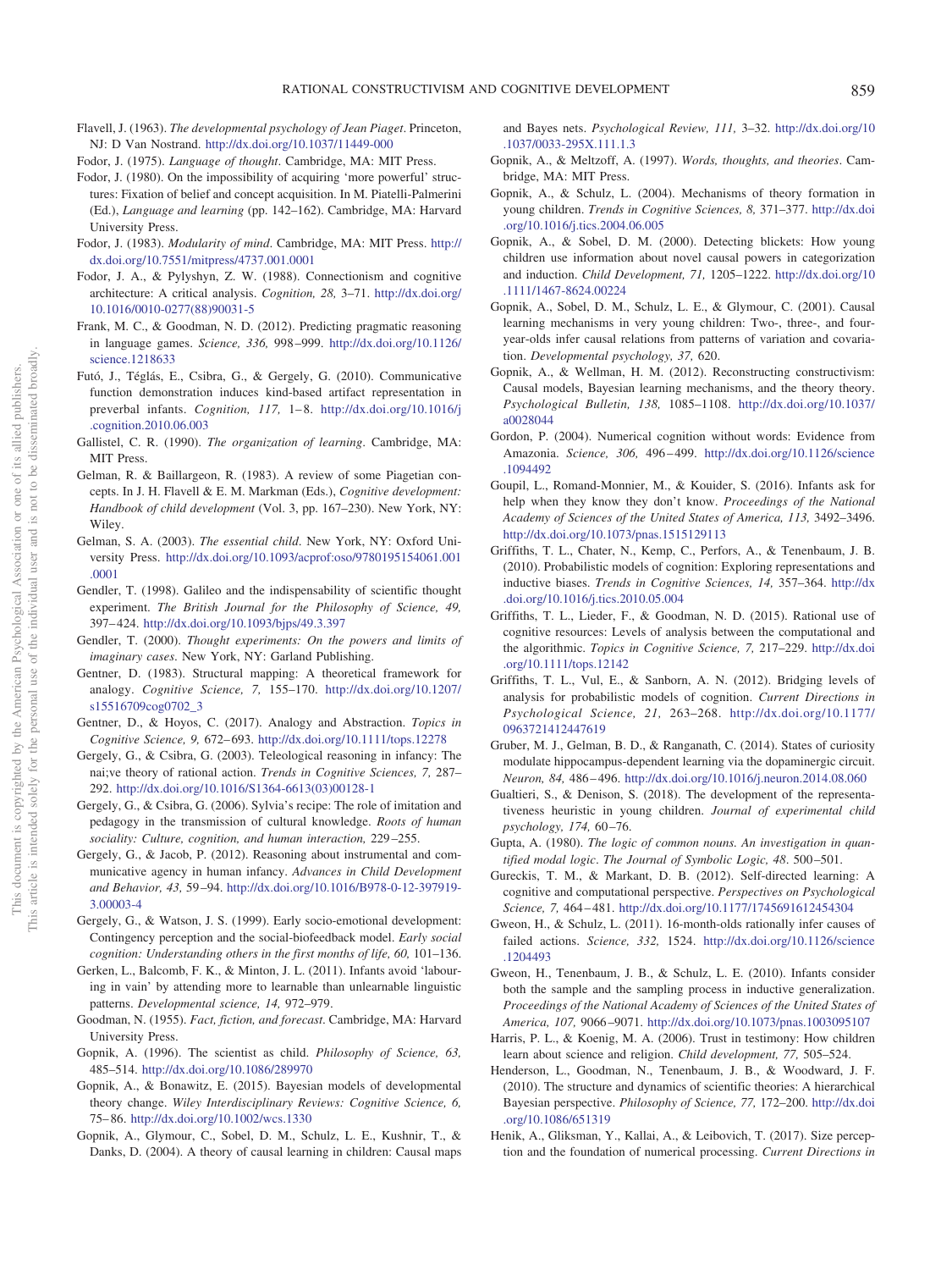- <span id="page-18-39"></span>Flavell, J. (1963). *The developmental psychology of Jean Piaget*. Princeton, NJ: D Van Nostrand. <http://dx.doi.org/10.1037/11449-000>
- <span id="page-18-2"></span>Fodor, J. (1975). *Language of thought*. Cambridge, MA: MIT Press.
- <span id="page-18-30"></span>Fodor, J. (1980). On the impossibility of acquiring 'more powerful' structures: Fixation of belief and concept acquisition. In M. Piatelli-Palmerini (Ed.), *Language and learning* (pp. 142–162). Cambridge, MA: Harvard University Press.
- <span id="page-18-15"></span>Fodor, J. (1983). *Modularity of mind*. Cambridge, MA: MIT Press. [http://](http://dx.doi.org/10.7551/mitpress/4737.001.0001) [dx.doi.org/10.7551/mitpress/4737.001.0001](http://dx.doi.org/10.7551/mitpress/4737.001.0001)
- <span id="page-18-0"></span>Fodor, J. A., & Pylyshyn, Z. W. (1988). Connectionism and cognitive architecture: A critical analysis. *Cognition, 28,* 3–71. [http://dx.doi.org/](http://dx.doi.org/10.1016/0010-0277%2888%2990031-5) [10.1016/0010-0277\(88\)90031-5](http://dx.doi.org/10.1016/0010-0277%2888%2990031-5)
- <span id="page-18-28"></span>Frank, M. C., & Goodman, N. D. (2012). Predicting pragmatic reasoning in language games. *Science, 336,* 998 –999. [http://dx.doi.org/10.1126/](http://dx.doi.org/10.1126/science.1218633) [science.1218633](http://dx.doi.org/10.1126/science.1218633)
- <span id="page-18-9"></span>Futó, J., Téglás, E., Csibra, G., & Gergely, G. (2010). Communicative function demonstration induces kind-based artifact representation in preverbal infants. *Cognition, 117,* 1– 8. [http://dx.doi.org/10.1016/j](http://dx.doi.org/10.1016/j.cognition.2010.06.003) [.cognition.2010.06.003](http://dx.doi.org/10.1016/j.cognition.2010.06.003)
- <span id="page-18-10"></span>Gallistel, C. R. (1990). *The organization of learning*. Cambridge, MA: MIT Press.
- <span id="page-18-7"></span>Gelman, R. & Baillargeon, R. (1983). A review of some Piagetian concepts. In J. H. Flavell & E. M. Markman (Eds.), *Cognitive development: Handbook of child development* (Vol. 3, pp. 167–230). New York, NY: Wiley.
- <span id="page-18-18"></span>Gelman, S. A. (2003). *The essential child*. New York, NY: Oxford University Press. [http://dx.doi.org/10.1093/acprof:oso/9780195154061.001](http://dx.doi.org/10.1093/acprof:oso/9780195154061.001.0001) [.0001](http://dx.doi.org/10.1093/acprof:oso/9780195154061.001.0001)
- <span id="page-18-31"></span>Gendler, T. (1998). Galileo and the indispensability of scientific thought experiment. *The British Journal for the Philosophy of Science, 49,* 397– 424. <http://dx.doi.org/10.1093/bjps/49.3.397>
- <span id="page-18-5"></span>Gendler, T. (2000). *Thought experiments: On the powers and limits of imaginary cases*. New York, NY: Garland Publishing.
- <span id="page-18-32"></span>Gentner, D. (1983). Structural mapping: A theoretical framework for analogy. *Cognitive Science, 7,* 155–170. [http://dx.doi.org/10.1207/](http://dx.doi.org/10.1207/s15516709cog0702_3) [s15516709cog0702\\_3](http://dx.doi.org/10.1207/s15516709cog0702_3)
- <span id="page-18-33"></span>Gentner, D., & Hoyos, C. (2017). Analogy and Abstraction. *Topics in Cognitive Science, 9,* 672– 693. <http://dx.doi.org/10.1111/tops.12278>
- <span id="page-18-12"></span>Gergely, G., & Csibra, G. (2003). Teleological reasoning in infancy: The nai;ve theory of rational action. *Trends in Cognitive Sciences, 7,* 287– 292. [http://dx.doi.org/10.1016/S1364-6613\(03\)00128-1](http://dx.doi.org/10.1016/S1364-6613%2803%2900128-1)
- <span id="page-18-17"></span>Gergely, G., & Csibra, G. (2006). Sylvia's recipe: The role of imitation and pedagogy in the transmission of cultural knowledge. *Roots of human sociality: Culture, cognition, and human interaction,* 229 –255.
- <span id="page-18-13"></span>Gergely, G., & Jacob, P. (2012). Reasoning about instrumental and communicative agency in human infancy. *Advances in Child Development and Behavior, 43,* 59 –94. [http://dx.doi.org/10.1016/B978-0-12-397919-](http://dx.doi.org/10.1016/B978-0-12-397919-3.00003-4) [3.00003-4](http://dx.doi.org/10.1016/B978-0-12-397919-3.00003-4)
- <span id="page-18-14"></span>Gergely, G., & Watson, J. S. (1999). Early socio-emotional development: Contingency perception and the social-biofeedback model. *Early social cognition: Understanding others in the first months of life, 60,* 101–136.
- <span id="page-18-35"></span>Gerken, L., Balcomb, F. K., & Minton, J. L. (2011). Infants avoid 'labouring in vain' by attending more to learnable than unlearnable linguistic patterns. *Developmental science, 14,* 972–979.
- <span id="page-18-25"></span>Goodman, N. (1955). *Fact, fiction, and forecast*. Cambridge, MA: Harvard University Press.
- <span id="page-18-16"></span>Gopnik, A. (1996). The scientist as child. *Philosophy of Science, 63,* 485–514. <http://dx.doi.org/10.1086/289970>
- <span id="page-18-34"></span>Gopnik, A., & Bonawitz, E. (2015). Bayesian models of developmental theory change. *Wiley Interdisciplinary Reviews: Cognitive Science, 6,* 75– 86. <http://dx.doi.org/10.1002/wcs.1330>
- <span id="page-18-3"></span>Gopnik, A., Glymour, C., Sobel, D. M., Schulz, L. E., Kushnir, T., & Danks, D. (2004). A theory of causal learning in children: Causal maps

and Bayes nets. *Psychological Review, 111,* 3–32. [http://dx.doi.org/10](http://dx.doi.org/10.1037/0033-295X.111.1.3) [.1037/0033-295X.111.1.3](http://dx.doi.org/10.1037/0033-295X.111.1.3)

- <span id="page-18-4"></span>Gopnik, A., & Meltzoff, A. (1997). *Words, thoughts, and theories*. Cambridge, MA: MIT Press.
- <span id="page-18-20"></span>Gopnik, A., & Schulz, L. (2004). Mechanisms of theory formation in young children. *Trends in Cognitive Sciences, 8,* 371–377. [http://dx.doi](http://dx.doi.org/10.1016/j.tics.2004.06.005) [.org/10.1016/j.tics.2004.06.005](http://dx.doi.org/10.1016/j.tics.2004.06.005)
- <span id="page-18-38"></span>Gopnik, A., & Sobel, D. M. (2000). Detecting blickets: How young children use information about novel causal powers in categorization and induction. *Child Development, 71,* 1205–1222. [http://dx.doi.org/10](http://dx.doi.org/10.1111/1467-8624.00224) [.1111/1467-8624.00224](http://dx.doi.org/10.1111/1467-8624.00224)
- <span id="page-18-22"></span>Gopnik, A., Sobel, D. M., Schulz, L. E., & Glymour, C. (2001). Causal learning mechanisms in very young children: Two-, three-, and fouryear-olds infer causal relations from patterns of variation and covariation. *Developmental psychology, 37,* 620.
- <span id="page-18-1"></span>Gopnik, A., & Wellman, H. M. (2012). Reconstructing constructivism: Causal models, Bayesian learning mechanisms, and the theory theory. *Psychological Bulletin, 138,* 1085–1108. [http://dx.doi.org/10.1037/](http://dx.doi.org/10.1037/a0028044) [a0028044](http://dx.doi.org/10.1037/a0028044)
- <span id="page-18-19"></span>Gordon, P. (2004). Numerical cognition without words: Evidence from Amazonia. *Science, 306,* 496 – 499. [http://dx.doi.org/10.1126/science](http://dx.doi.org/10.1126/science.1094492) [.1094492](http://dx.doi.org/10.1126/science.1094492)
- <span id="page-18-36"></span>Goupil, L., Romand-Monnier, M., & Kouider, S. (2016). Infants ask for help when they know they don't know. *Proceedings of the National Academy of Sciences of the United States of America, 113,* 3492–3496. <http://dx.doi.org/10.1073/pnas.1515129113>
- <span id="page-18-23"></span>Griffiths, T. L., Chater, N., Kemp, C., Perfors, A., & Tenenbaum, J. B. (2010). Probabilistic models of cognition: Exploring representations and inductive biases. *Trends in Cognitive Sciences, 14,* 357–364. [http://dx](http://dx.doi.org/10.1016/j.tics.2010.05.004) [.doi.org/10.1016/j.tics.2010.05.004](http://dx.doi.org/10.1016/j.tics.2010.05.004)
- <span id="page-18-26"></span>Griffiths, T. L., Lieder, F., & Goodman, N. D. (2015). Rational use of cognitive resources: Levels of analysis between the computational and the algorithmic. *Topics in Cognitive Science, 7,* 217–229. [http://dx.doi](http://dx.doi.org/10.1111/tops.12142) [.org/10.1111/tops.12142](http://dx.doi.org/10.1111/tops.12142)
- <span id="page-18-27"></span>Griffiths, T. L., Vul, E., & Sanborn, A. N. (2012). Bridging levels of analysis for probabilistic models of cognition. *Current Directions in Psychological Science, 21,* 263–268. [http://dx.doi.org/10.1177/](http://dx.doi.org/10.1177/0963721412447619) [0963721412447619](http://dx.doi.org/10.1177/0963721412447619)
- <span id="page-18-37"></span>Gruber, M. J., Gelman, B. D., & Ranganath, C. (2014). States of curiosity modulate hippocampus-dependent learning via the dopaminergic circuit. *Neuron, 84,* 486 – 496. <http://dx.doi.org/10.1016/j.neuron.2014.08.060>
- <span id="page-18-41"></span>Gualtieri, S., & Denison, S. (2018). The development of the representativeness heuristic in young children. *Journal of experimental child psychology, 174,* 60 –76.
- <span id="page-18-8"></span>Gupta, A. (1980). *The logic of common nouns. An investigation in quantified modal logic*. *The Journal of Symbolic Logic, 48*. 500 –501.
- <span id="page-18-6"></span>Gureckis, T. M., & Markant, D. B. (2012). Self-directed learning: A cognitive and computational perspective. *Perspectives on Psychological Science, 7,* 464 – 481. <http://dx.doi.org/10.1177/1745691612454304>
- <span id="page-18-29"></span>Gweon, H., & Schulz, L. (2011). 16-month-olds rationally infer causes of failed actions. *Science, 332,* 1524. [http://dx.doi.org/10.1126/science](http://dx.doi.org/10.1126/science.1204493) [.1204493](http://dx.doi.org/10.1126/science.1204493)
- <span id="page-18-24"></span>Gweon, H., Tenenbaum, J. B., & Schulz, L. E. (2010). Infants consider both the sample and the sampling process in inductive generalization. *Proceedings of the National Academy of Sciences of the United States of America, 107,* 9066 –9071. <http://dx.doi.org/10.1073/pnas.1003095107>
- <span id="page-18-21"></span>Harris, P. L., & Koenig, M. A. (2006). Trust in testimony: How children learn about science and religion. *Child development, 77,* 505–524.
- <span id="page-18-40"></span>Henderson, L., Goodman, N., Tenenbaum, J. B., & Woodward, J. F. (2010). The structure and dynamics of scientific theories: A hierarchical Bayesian perspective. *Philosophy of Science, 77,* 172–200. [http://dx.doi](http://dx.doi.org/10.1086/651319) [.org/10.1086/651319](http://dx.doi.org/10.1086/651319)
- <span id="page-18-11"></span>Henik, A., Gliksman, Y., Kallai, A., & Leibovich, T. (2017). Size perception and the foundation of numerical processing. *Current Directions in*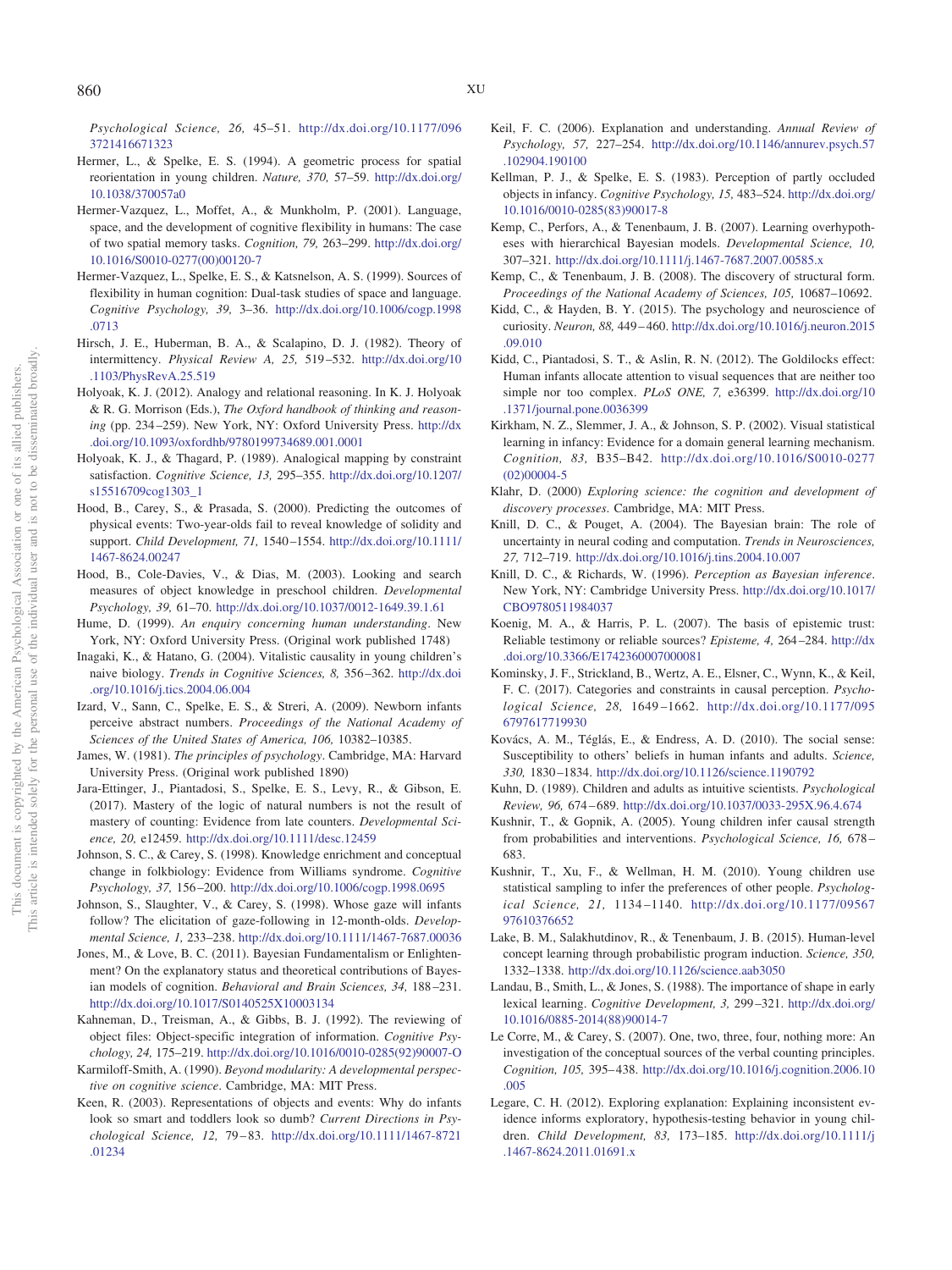*Psychological Science, 26,* 45–51. [http://dx.doi.org/10.1177/096](http://dx.doi.org/10.1177/0963721416671323) [3721416671323](http://dx.doi.org/10.1177/0963721416671323)

- <span id="page-19-10"></span>Hermer, L., & Spelke, E. S. (1994). A geometric process for spatial reorientation in young children. *Nature, 370,* 57–59. [http://dx.doi.org/](http://dx.doi.org/10.1038/370057a0) [10.1038/370057a0](http://dx.doi.org/10.1038/370057a0)
- <span id="page-19-11"></span>Hermer-Vazquez, L., Moffet, A., & Munkholm, P. (2001). Language, space, and the development of cognitive flexibility in humans: The case of two spatial memory tasks. *Cognition, 79,* 263–299. [http://dx.doi.org/](http://dx.doi.org/10.1016/S0010-0277%2800%2900120-7) [10.1016/S0010-0277\(00\)00120-7](http://dx.doi.org/10.1016/S0010-0277%2800%2900120-7)
- <span id="page-19-12"></span>Hermer-Vazquez, L., Spelke, E. S., & Katsnelson, A. S. (1999). Sources of flexibility in human cognition: Dual-task studies of space and language. *Cognitive Psychology, 39,* 3–36. [http://dx.doi.org/10.1006/cogp.1998](http://dx.doi.org/10.1006/cogp.1998.0713) [.0713](http://dx.doi.org/10.1006/cogp.1998.0713)
- <span id="page-19-6"></span>Hirsch, J. E., Huberman, B. A., & Scalapino, D. J. (1982). Theory of intermittency. *Physical Review A, 25,* 519 –532. [http://dx.doi.org/10](http://dx.doi.org/10.1103/PhysRevA.25.519) [.1103/PhysRevA.25.519](http://dx.doi.org/10.1103/PhysRevA.25.519)
- <span id="page-19-34"></span>Holyoak, K. J. (2012). Analogy and relational reasoning. In K. J. Holyoak & R. G. Morrison (Eds.), *The Oxford handbook of thinking and reasoning* (pp. 234 –259). New York, NY: Oxford University Press. [http://dx](http://dx.doi.org/10.1093/oxfordhb/9780199734689.001.0001) [.doi.org/10.1093/oxfordhb/9780199734689.001.0001](http://dx.doi.org/10.1093/oxfordhb/9780199734689.001.0001)
- <span id="page-19-35"></span>Holyoak, K. J., & Thagard, P. (1989). Analogical mapping by constraint satisfaction. *Cognitive Science, 13,* 295–355. [http://dx.doi.org/10.1207/](http://dx.doi.org/10.1207/s15516709cog1303_1) [s15516709cog1303\\_1](http://dx.doi.org/10.1207/s15516709cog1303_1)
- <span id="page-19-3"></span>Hood, B., Carey, S., & Prasada, S. (2000). Predicting the outcomes of physical events: Two-year-olds fail to reveal knowledge of solidity and support. *Child Development, 71,* 1540 –1554. [http://dx.doi.org/10.1111/](http://dx.doi.org/10.1111/1467-8624.00247) [1467-8624.00247](http://dx.doi.org/10.1111/1467-8624.00247)
- <span id="page-19-4"></span>Hood, B., Cole-Davies, V., & Dias, M. (2003). Looking and search measures of object knowledge in preschool children. *Developmental Psychology, 39,* 61–70. <http://dx.doi.org/10.1037/0012-1649.39.1.61>
- <span id="page-19-1"></span>Hume, D. (1999). *An enquiry concerning human understanding*. New York, NY: Oxford University Press. (Original work published 1748)
- <span id="page-19-17"></span>Inagaki, K., & Hatano, G. (2004). Vitalistic causality in young children's naive biology. *Trends in Cognitive Sciences, 8,* 356 –362. [http://dx.doi](http://dx.doi.org/10.1016/j.tics.2004.06.004) [.org/10.1016/j.tics.2004.06.004](http://dx.doi.org/10.1016/j.tics.2004.06.004)
- <span id="page-19-7"></span>Izard, V., Sann, C., Spelke, E. S., & Streri, A. (2009). Newborn infants perceive abstract numbers. *Proceedings of the National Academy of Sciences of the United States of America, 106,* 10382–10385.
- <span id="page-19-0"></span>James, W. (1981). *The principles of psychology*. Cambridge, MA: Harvard University Press. (Original work published 1890)
- <span id="page-19-21"></span>Jara-Ettinger, J., Piantadosi, S., Spelke, E. S., Levy, R., & Gibson, E. (2017). Mastery of the logic of natural numbers is not the result of mastery of counting: Evidence from late counters. *Developmental Science, 20,* e12459. <http://dx.doi.org/10.1111/desc.12459>
- <span id="page-19-16"></span>Johnson, S. C., & Carey, S. (1998). Knowledge enrichment and conceptual change in folkbiology: Evidence from Williams syndrome. *Cognitive Psychology, 37,* 156 –200. <http://dx.doi.org/10.1006/cogp.1998.0695>
- <span id="page-19-8"></span>Johnson, S., Slaughter, V., & Carey, S. (1998). Whose gaze will infants follow? The elicitation of gaze-following in 12-month-olds. *Developmental Science, 1,* 233–238. <http://dx.doi.org/10.1111/1467-7687.00036>
- <span id="page-19-29"></span>Jones, M., & Love, B. C. (2011). Bayesian Fundamentalism or Enlightenment? On the explanatory status and theoretical contributions of Bayesian models of cognition. *Behavioral and Brain Sciences, 34,* 188 –231. <http://dx.doi.org/10.1017/S0140525X10003134>
- <span id="page-19-20"></span>Kahneman, D., Treisman, A., & Gibbs, B. J. (1992). The reviewing of object files: Object-specific integration of information. *Cognitive Psychology, 24,* 175–219. [http://dx.doi.org/10.1016/0010-0285\(92\)90007-O](http://dx.doi.org/10.1016/0010-0285%2892%2990007-O)
- <span id="page-19-22"></span>Karmiloff-Smith, A. (1990). *Beyond modularity: A developmental perspective on cognitive science*. Cambridge, MA: MIT Press.
- <span id="page-19-5"></span>Keen, R. (2003). Representations of objects and events: Why do infants look so smart and toddlers look so dumb? *Current Directions in Psychological Science, 12,* 79 – 83. [http://dx.doi.org/10.1111/1467-8721](http://dx.doi.org/10.1111/1467-8721.01234) [.01234](http://dx.doi.org/10.1111/1467-8721.01234)
- <span id="page-19-33"></span>Keil, F. C. (2006). Explanation and understanding. *Annual Review of Psychology, 57,* 227–254. [http://dx.doi.org/10.1146/annurev.psych.57](http://dx.doi.org/10.1146/annurev.psych.57.102904.190100) [.102904.190100](http://dx.doi.org/10.1146/annurev.psych.57.102904.190100)
- <span id="page-19-2"></span>Kellman, P. J., & Spelke, E. S. (1983). Perception of partly occluded objects in infancy. *Cognitive Psychology, 15,* 483–524. [http://dx.doi.org/](http://dx.doi.org/10.1016/0010-0285%2883%2990017-8) [10.1016/0010-0285\(83\)90017-8](http://dx.doi.org/10.1016/0010-0285%2883%2990017-8)
- <span id="page-19-24"></span>Kemp, C., Perfors, A., & Tenenbaum, J. B. (2007). Learning overhypotheses with hierarchical Bayesian models. *Developmental Science, 10,* 307–321. <http://dx.doi.org/10.1111/j.1467-7687.2007.00585.x>
- <span id="page-19-26"></span>Kemp, C., & Tenenbaum, J. B. (2008). The discovery of structural form. *Proceedings of the National Academy of Sciences, 105,* 10687–10692.
- <span id="page-19-36"></span>Kidd, C., & Hayden, B. Y. (2015). The psychology and neuroscience of curiosity. *Neuron, 88,* 449 – 460. [http://dx.doi.org/10.1016/j.neuron.2015](http://dx.doi.org/10.1016/j.neuron.2015.09.010) [.09.010](http://dx.doi.org/10.1016/j.neuron.2015.09.010)
- <span id="page-19-27"></span>Kidd, C., Piantadosi, S. T., & Aslin, R. N. (2012). The Goldilocks effect: Human infants allocate attention to visual sequences that are neither too simple nor too complex. *PLoS ONE, 7,* e36399. [http://dx.doi.org/10](http://dx.doi.org/10.1371/journal.pone.0036399) [.1371/journal.pone.0036399](http://dx.doi.org/10.1371/journal.pone.0036399)
- <span id="page-19-31"></span>Kirkham, N. Z., Slemmer, J. A., & Johnson, S. P. (2002). Visual statistical learning in infancy: Evidence for a domain general learning mechanism. *Cognition, 83,* B35–B42. [http://dx.doi.org/10.1016/S0010-0277](http://dx.doi.org/10.1016/S0010-0277%2802%2900004-5) [\(02\)00004-5](http://dx.doi.org/10.1016/S0010-0277%2802%2900004-5)
- <span id="page-19-30"></span>Klahr, D. (2000) *Exploring science: the cognition and development of discovery processes*. Cambridge, MA: MIT Press.
- <span id="page-19-14"></span>Knill, D. C., & Pouget, A. (2004). The Bayesian brain: The role of uncertainty in neural coding and computation. *Trends in Neurosciences, 27,* 712–719. <http://dx.doi.org/10.1016/j.tins.2004.10.007>
- <span id="page-19-15"></span>Knill, D. C., & Richards, W. (1996). *Perception as Bayesian inference*. New York, NY: Cambridge University Press. [http://dx.doi.org/10.1017/](http://dx.doi.org/10.1017/CBO9780511984037) [CBO9780511984037](http://dx.doi.org/10.1017/CBO9780511984037)
- <span id="page-19-18"></span>Koenig, M. A., & Harris, P. L. (2007). The basis of epistemic trust: Reliable testimony or reliable sources? *Episteme, 4,* 264 –284. [http://dx](http://dx.doi.org/10.3366/E1742360007000081) [.doi.org/10.3366/E1742360007000081](http://dx.doi.org/10.3366/E1742360007000081)
- <span id="page-19-13"></span>Kominsky, J. F., Strickland, B., Wertz, A. E., Elsner, C., Wynn, K., & Keil, F. C. (2017). Categories and constraints in causal perception. *Psychological Science, 28,* 1649 –1662. [http://dx.doi.org/10.1177/095](http://dx.doi.org/10.1177/0956797617719930) [6797617719930](http://dx.doi.org/10.1177/0956797617719930)
- <span id="page-19-9"></span>Kovács, A. M., Téglás, E., & Endress, A. D. (2010). The social sense: Susceptibility to others' beliefs in human infants and adults. *Science, 330,* 1830 –1834. <http://dx.doi.org/10.1126/science.1190792>
- <span id="page-19-38"></span>Kuhn, D. (1989). Children and adults as intuitive scientists. *Psychological Review, 96,* 674 – 689. <http://dx.doi.org/10.1037/0033-295X.96.4.674>
- <span id="page-19-28"></span>Kushnir, T., & Gopnik, A. (2005). Young children infer causal strength from probabilities and interventions. *Psychological Science, 16,* 678 – 683.
- <span id="page-19-32"></span>Kushnir, T., Xu, F., & Wellman, H. M. (2010). Young children use statistical sampling to infer the preferences of other people. *Psychological Science, 21,* 1134 –1140. [http://dx.doi.org/10.1177/09567](http://dx.doi.org/10.1177/0956797610376652) [97610376652](http://dx.doi.org/10.1177/0956797610376652)
- <span id="page-19-23"></span>Lake, B. M., Salakhutdinov, R., & Tenenbaum, J. B. (2015). Human-level concept learning through probabilistic program induction. *Science, 350,* 1332–1338. <http://dx.doi.org/10.1126/science.aab3050>
- <span id="page-19-25"></span>Landau, B., Smith, L., & Jones, S. (1988). The importance of shape in early lexical learning. *Cognitive Development, 3,* 299 –321. [http://dx.doi.org/](http://dx.doi.org/10.1016/0885-2014%2888%2990014-7) [10.1016/0885-2014\(88\)90014-7](http://dx.doi.org/10.1016/0885-2014%2888%2990014-7)
- <span id="page-19-19"></span>Le Corre, M., & Carey, S. (2007). One, two, three, four, nothing more: An investigation of the conceptual sources of the verbal counting principles. *Cognition, 105,* 395– 438. [http://dx.doi.org/10.1016/j.cognition.2006.10](http://dx.doi.org/10.1016/j.cognition.2006.10.005) [.005](http://dx.doi.org/10.1016/j.cognition.2006.10.005)
- <span id="page-19-37"></span>Legare, C. H. (2012). Exploring explanation: Explaining inconsistent evidence informs exploratory, hypothesis-testing behavior in young children. *Child Development, 83,* 173–185. [http://dx.doi.org/10.1111/j](http://dx.doi.org/10.1111/j.1467-8624.2011.01691.x) [.1467-8624.2011.01691.x](http://dx.doi.org/10.1111/j.1467-8624.2011.01691.x)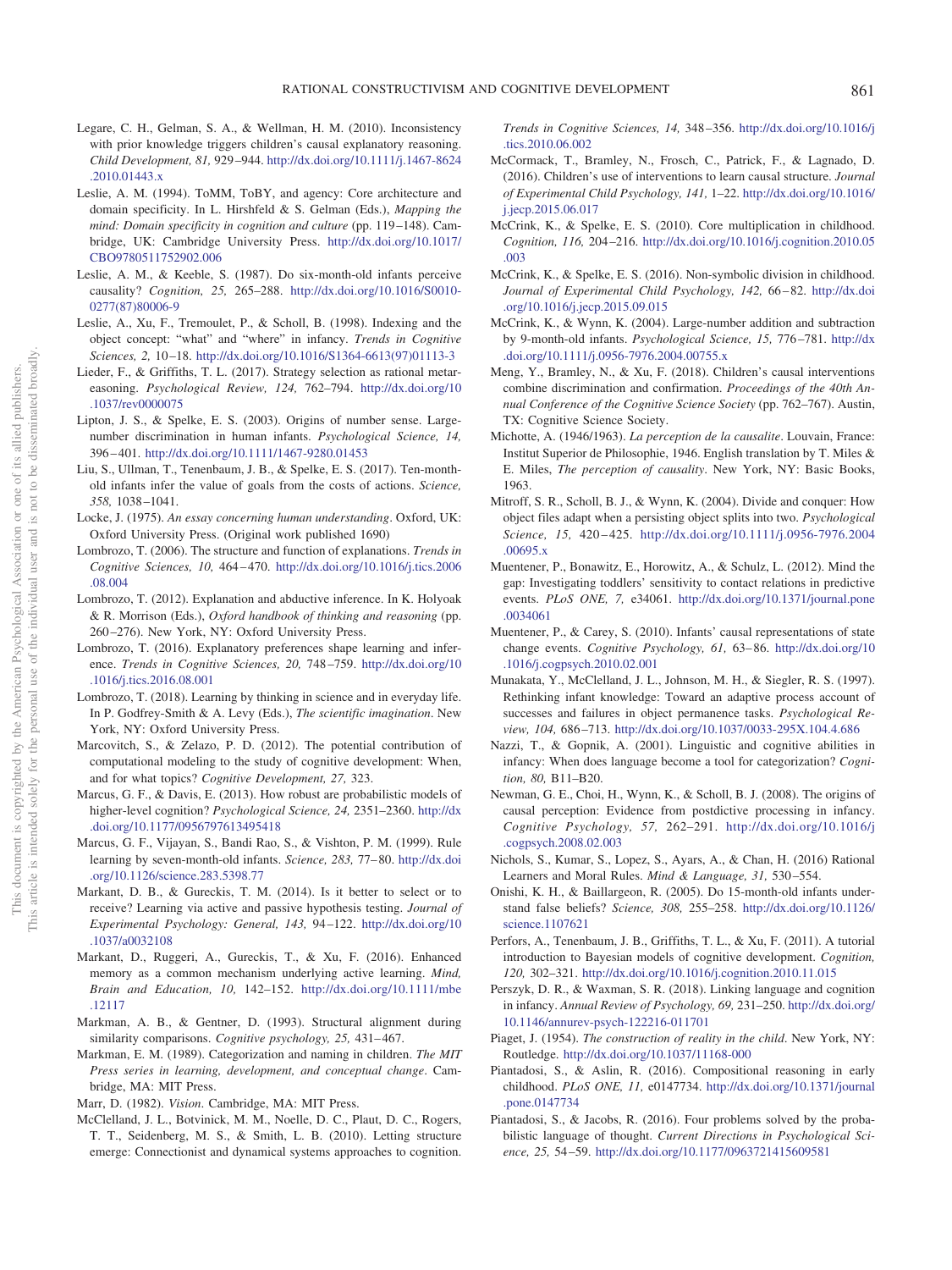- <span id="page-20-33"></span>Legare, C. H., Gelman, S. A., & Wellman, H. M. (2010). Inconsistency with prior knowledge triggers children's causal explanatory reasoning. *Child Development, 81,* 929 –944. [http://dx.doi.org/10.1111/j.1467-8624](http://dx.doi.org/10.1111/j.1467-8624.2010.01443.x) [.2010.01443.x](http://dx.doi.org/10.1111/j.1467-8624.2010.01443.x)
- <span id="page-20-0"></span>Leslie, A. M. (1994). ToMM, ToBY, and agency: Core architecture and domain specificity. In L. Hirshfeld & S. Gelman (Eds.), *Mapping the mind: Domain specificity in cognition and culture* (pp. 119 –148). Cambridge, UK: Cambridge University Press. [http://dx.doi.org/10.1017/](http://dx.doi.org/10.1017/CBO9780511752902.006) [CBO9780511752902.006](http://dx.doi.org/10.1017/CBO9780511752902.006)
- <span id="page-20-11"></span>Leslie, A. M., & Keeble, S. (1987). Do six-month-old infants perceive causality? *Cognition, 25,* 265–288. [http://dx.doi.org/10.1016/S0010-](http://dx.doi.org/10.1016/S0010-0277%2887%2980006-9) [0277\(87\)80006-9](http://dx.doi.org/10.1016/S0010-0277%2887%2980006-9)
- <span id="page-20-16"></span>Leslie, A., Xu, F., Tremoulet, P., & Scholl, B. (1998). Indexing and the object concept: "what" and "where" in infancy. *Trends in Cognitive Sciences, 2,* 10 –18. [http://dx.doi.org/10.1016/S1364-6613\(97\)01113-3](http://dx.doi.org/10.1016/S1364-6613%2897%2901113-3)
- <span id="page-20-39"></span>Lieder, F., & Griffiths, T. L. (2017). Strategy selection as rational metareasoning. *Psychological Review, 124,* 762–794. [http://dx.doi.org/10](http://dx.doi.org/10.1037/rev0000075) [.1037/rev0000075](http://dx.doi.org/10.1037/rev0000075)
- <span id="page-20-5"></span>Lipton, J. S., & Spelke, E. S. (2003). Origins of number sense. Largenumber discrimination in human infants. *Psychological Science, 14,* 396 – 401. <http://dx.doi.org/10.1111/1467-9280.01453>
- <span id="page-20-26"></span>Liu, S., Ullman, T., Tenenbaum, J. B., & Spelke, E. S. (2017). Ten-monthold infants infer the value of goals from the costs of actions. *Science, 358,* 1038 –1041.
- <span id="page-20-3"></span>Locke, J. (1975). *An essay concerning human understanding*. Oxford, UK: Oxford University Press. (Original work published 1690)
- <span id="page-20-30"></span>Lombrozo, T. (2006). The structure and function of explanations. *Trends in Cognitive Sciences, 10,* 464 – 470. [http://dx.doi.org/10.1016/j.tics.2006](http://dx.doi.org/10.1016/j.tics.2006.08.004) [.08.004](http://dx.doi.org/10.1016/j.tics.2006.08.004)
- <span id="page-20-29"></span>Lombrozo, T. (2012). Explanation and abductive inference. In K. Holyoak & R. Morrison (Eds.), *Oxford handbook of thinking and reasoning* (pp. 260 –276). New York, NY: Oxford University Press.
- <span id="page-20-31"></span>Lombrozo, T. (2016). Explanatory preferences shape learning and inference. *Trends in Cognitive Sciences, 20,* 748 –759. [http://dx.doi.org/10](http://dx.doi.org/10.1016/j.tics.2016.08.001) [.1016/j.tics.2016.08.001](http://dx.doi.org/10.1016/j.tics.2016.08.001)
- <span id="page-20-1"></span>Lombrozo, T. (2018). Learning by thinking in science and in everyday life. In P. Godfrey-Smith & A. Levy (Eds.), *The scientific imagination*. New York, NY: Oxford University Press.
- <span id="page-20-38"></span>Marcovitch, S., & Zelazo, P. D. (2012). The potential contribution of computational modeling to the study of cognitive development: When, and for what topics? *Cognitive Development, 27,* 323.
- <span id="page-20-27"></span>Marcus, G. F., & Davis, E. (2013). How robust are probabilistic models of higher-level cognition? *Psychological Science, 24,* 2351–2360. [http://dx](http://dx.doi.org/10.1177/0956797613495418) [.doi.org/10.1177/0956797613495418](http://dx.doi.org/10.1177/0956797613495418)
- <span id="page-20-28"></span>Marcus, G. F., Vijayan, S., Bandi Rao, S., & Vishton, P. M. (1999). Rule learning by seven-month-old infants. *Science, 283,* 77– 80. [http://dx.doi](http://dx.doi.org/10.1126/science.283.5398.77) [.org/10.1126/science.283.5398.77](http://dx.doi.org/10.1126/science.283.5398.77)
- <span id="page-20-36"></span>Markant, D. B., & Gureckis, T. M. (2014). Is it better to select or to receive? Learning via active and passive hypothesis testing. *Journal of Experimental Psychology: General, 143,* 94 –122. [http://dx.doi.org/10](http://dx.doi.org/10.1037/a0032108) [.1037/a0032108](http://dx.doi.org/10.1037/a0032108)
- <span id="page-20-37"></span>Markant, D., Ruggeri, A., Gureckis, T., & Xu, F. (2016). Enhanced memory as a common mechanism underlying active learning. *Mind, Brain and Education, 10,* 142–152. [http://dx.doi.org/10.1111/mbe](http://dx.doi.org/10.1111/mbe.12117) [.12117](http://dx.doi.org/10.1111/mbe.12117)
- <span id="page-20-32"></span>Markman, A. B., & Gentner, D. (1993). Structural alignment during similarity comparisons. *Cognitive psychology*, 25, 431-467.
- <span id="page-20-23"></span>Markman, E. M. (1989). Categorization and naming in children. *The MIT Press series in learning, development, and conceptual change*. Cambridge, MA: MIT Press.
- <span id="page-20-25"></span><span id="page-20-20"></span>Marr, D. (1982). *Vision*. Cambridge, MA: MIT Press.
- McClelland, J. L., Botvinick, M. M., Noelle, D. C., Plaut, D. C., Rogers, T. T., Seidenberg, M. S., & Smith, L. B. (2010). Letting structure emerge: Connectionist and dynamical systems approaches to cognition.

*Trends in Cognitive Sciences, 14,* 348 –356. [http://dx.doi.org/10.1016/j](http://dx.doi.org/10.1016/j.tics.2010.06.002) [.tics.2010.06.002](http://dx.doi.org/10.1016/j.tics.2010.06.002)

- <span id="page-20-34"></span>McCormack, T., Bramley, N., Frosch, C., Patrick, F., & Lagnado, D. (2016). Children's use of interventions to learn causal structure. *Journal of Experimental Child Psychology, 141,* 1–22. [http://dx.doi.org/10.1016/](http://dx.doi.org/10.1016/j.jecp.2015.06.017) [j.jecp.2015.06.017](http://dx.doi.org/10.1016/j.jecp.2015.06.017)
- <span id="page-20-7"></span>McCrink, K., & Spelke, E. S. (2010). Core multiplication in childhood. *Cognition, 116,* 204 –216. [http://dx.doi.org/10.1016/j.cognition.2010.05](http://dx.doi.org/10.1016/j.cognition.2010.05.003) [.003](http://dx.doi.org/10.1016/j.cognition.2010.05.003)
- <span id="page-20-8"></span>McCrink, K., & Spelke, E. S. (2016). Non-symbolic division in childhood. *Journal of Experimental Child Psychology, 142,* 66 – 82. [http://dx.doi](http://dx.doi.org/10.1016/j.jecp.2015.09.015) [.org/10.1016/j.jecp.2015.09.015](http://dx.doi.org/10.1016/j.jecp.2015.09.015)
- <span id="page-20-6"></span>McCrink, K., & Wynn, K. (2004). Large-number addition and subtraction by 9-month-old infants. *Psychological Science, 15,* 776 –781. [http://dx](http://dx.doi.org/10.1111/j.0956-7976.2004.00755.x) [.doi.org/10.1111/j.0956-7976.2004.00755.x](http://dx.doi.org/10.1111/j.0956-7976.2004.00755.x)
- <span id="page-20-35"></span>Meng, Y., Bramley, N., & Xu, F. (2018). Children's causal interventions combine discrimination and confirmation. *Proceedings of the 40th Annual Conference of the Cognitive Science Society* (pp. 762–767). Austin, TX: Cognitive Science Society.
- <span id="page-20-10"></span>Michotte, A. (1946/1963). *La perception de la causalite*. Louvain, France: Institut Superior de Philosophie, 1946. English translation by T. Miles & E. Miles, *The perception of causality*. New York, NY: Basic Books, 1963.
- <span id="page-20-15"></span>Mitroff, S. R., Scholl, B. J., & Wynn, K. (2004). Divide and conquer: How object files adapt when a persisting object splits into two. *Psychological Science, 15,* 420 – 425. [http://dx.doi.org/10.1111/j.0956-7976.2004](http://dx.doi.org/10.1111/j.0956-7976.2004.00695.x) [.00695.x](http://dx.doi.org/10.1111/j.0956-7976.2004.00695.x)
- <span id="page-20-14"></span>Muentener, P., Bonawitz, E., Horowitz, A., & Schulz, L. (2012). Mind the gap: Investigating toddlers' sensitivity to contact relations in predictive events. *PLoS ONE, 7,* e34061. [http://dx.doi.org/10.1371/journal.pone](http://dx.doi.org/10.1371/journal.pone.0034061) [.0034061](http://dx.doi.org/10.1371/journal.pone.0034061)
- <span id="page-20-12"></span>Muentener, P., & Carey, S. (2010). Infants' causal representations of state change events. *Cognitive Psychology, 61,* 63– 86. [http://dx.doi.org/10](http://dx.doi.org/10.1016/j.cogpsych.2010.02.001) [.1016/j.cogpsych.2010.02.001](http://dx.doi.org/10.1016/j.cogpsych.2010.02.001)
- <span id="page-20-4"></span>Munakata, Y., McClelland, J. L., Johnson, M. H., & Siegler, R. S. (1997). Rethinking infant knowledge: Toward an adaptive process account of successes and failures in object permanence tasks. *Psychological Review, 104,* 686 –713. <http://dx.doi.org/10.1037/0033-295X.104.4.686>
- <span id="page-20-19"></span>Nazzi, T., & Gopnik, A. (2001). Linguistic and cognitive abilities in infancy: When does language become a tool for categorization? *Cognition, 80,* B11–B20.
- <span id="page-20-13"></span>Newman, G. E., Choi, H., Wynn, K., & Scholl, B. J. (2008). The origins of causal perception: Evidence from postdictive processing in infancy. *Cognitive Psychology, 57,* 262–291. [http://dx.doi.org/10.1016/j](http://dx.doi.org/10.1016/j.cogpsych.2008.02.003) [.cogpsych.2008.02.003](http://dx.doi.org/10.1016/j.cogpsych.2008.02.003)
- <span id="page-20-24"></span>Nichols, S., Kumar, S., Lopez, S., Ayars, A., & Chan, H. (2016) Rational Learners and Moral Rules. *Mind & Language, 31,* 530 –554.
- <span id="page-20-9"></span>Onishi, K. H., & Baillargeon, R. (2005). Do 15-month-old infants understand false beliefs? *Science, 308,* 255–258. [http://dx.doi.org/10.1126/](http://dx.doi.org/10.1126/science.1107621) [science.1107621](http://dx.doi.org/10.1126/science.1107621)
- <span id="page-20-22"></span>Perfors, A., Tenenbaum, J. B., Griffiths, T. L., & Xu, F. (2011). A tutorial introduction to Bayesian models of cognitive development. *Cognition, 120,* 302–321. <http://dx.doi.org/10.1016/j.cognition.2010.11.015>
- <span id="page-20-18"></span>Perszyk, D. R., & Waxman, S. R. (2018). Linking language and cognition in infancy. *Annual Review of Psychology, 69,* 231–250. [http://dx.doi.org/](http://dx.doi.org/10.1146/annurev-psych-122216-011701) [10.1146/annurev-psych-122216-011701](http://dx.doi.org/10.1146/annurev-psych-122216-011701)
- <span id="page-20-2"></span>Piaget, J. (1954). *The construction of reality in the child*. New York, NY: Routledge. <http://dx.doi.org/10.1037/11168-000>
- <span id="page-20-17"></span>Piantadosi, S., & Aslin, R. (2016). Compositional reasoning in early childhood. *PLoS ONE, 11,* e0147734. [http://dx.doi.org/10.1371/journal](http://dx.doi.org/10.1371/journal.pone.0147734) [.pone.0147734](http://dx.doi.org/10.1371/journal.pone.0147734)
- <span id="page-20-21"></span>Piantadosi, S., & Jacobs, R. (2016). Four problems solved by the probabilistic language of thought. *Current Directions in Psychological Science, 25,* 54 –59. <http://dx.doi.org/10.1177/0963721415609581>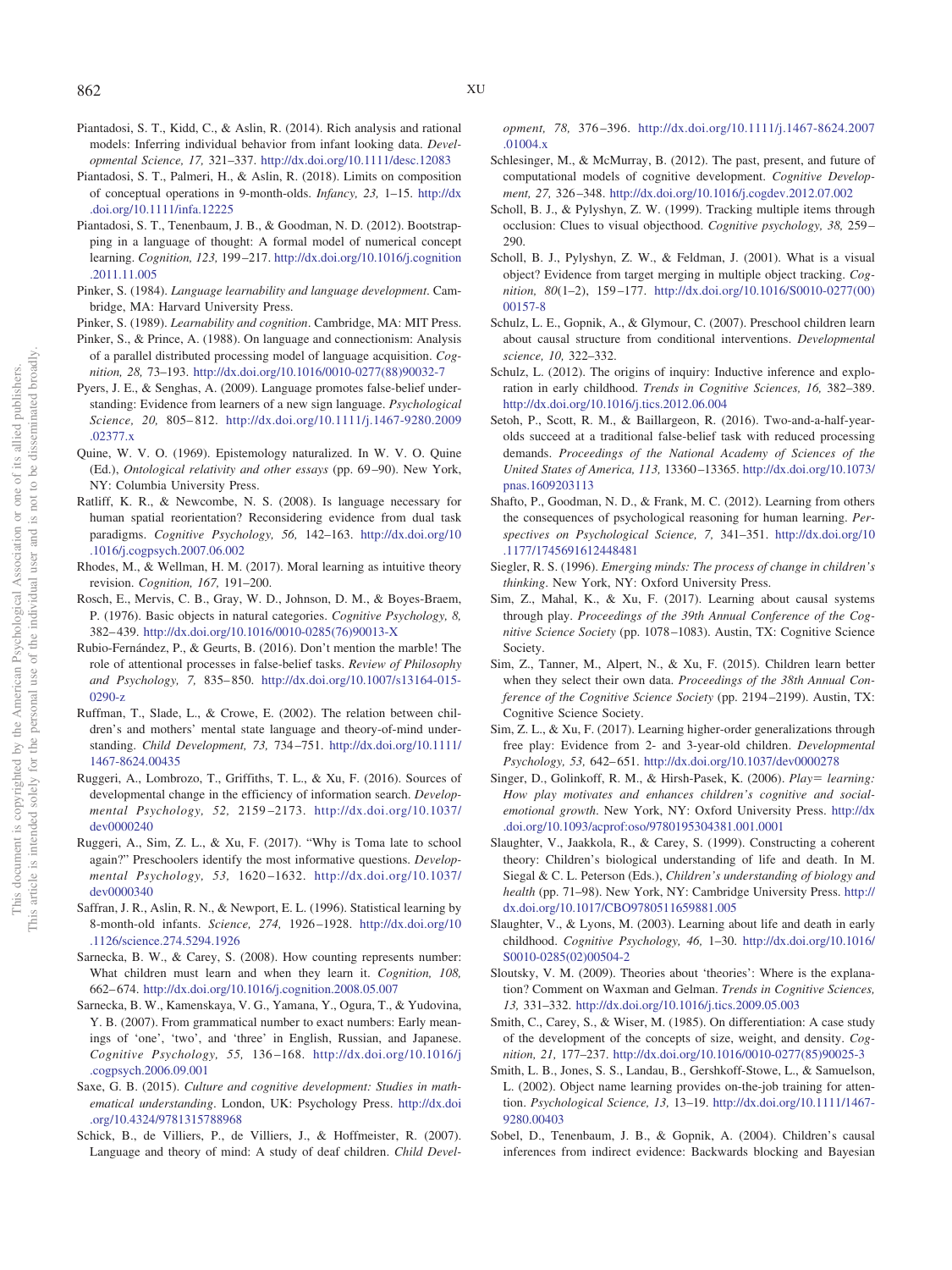- <span id="page-21-32"></span>Piantadosi, S. T., Kidd, C., & Aslin, R. (2014). Rich analysis and rational models: Inferring individual behavior from infant looking data. *Developmental Science, 17,* 321–337. <http://dx.doi.org/10.1111/desc.12083>
- <span id="page-21-5"></span>Piantadosi, S. T., Palmeri, H., & Aslin, R. (2018). Limits on composition of conceptual operations in 9-month-olds. *Infancy, 23,* 1–15. [http://dx](http://dx.doi.org/10.1111/infa.12225) [.doi.org/10.1111/infa.12225](http://dx.doi.org/10.1111/infa.12225)
- <span id="page-21-25"></span>Piantadosi, S. T., Tenenbaum, J. B., & Goodman, N. D. (2012). Bootstrapping in a language of thought: A formal model of numerical concept learning. *Cognition, 123,* 199 –217. [http://dx.doi.org/10.1016/j.cognition](http://dx.doi.org/10.1016/j.cognition.2011.11.005) [.2011.11.005](http://dx.doi.org/10.1016/j.cognition.2011.11.005)
- <span id="page-21-21"></span>Pinker, S. (1984). *Language learnability and language development*. Cambridge, MA: Harvard University Press.
- <span id="page-21-22"></span>Pinker, S. (1989). *Learnability and cognition*. Cambridge, MA: MIT Press.
- <span id="page-21-20"></span>Pinker, S., & Prince, A. (1988). On language and connectionism: Analysis of a parallel distributed processing model of language acquisition. *Cognition, 28,* 73–193. [http://dx.doi.org/10.1016/0010-0277\(88\)90032-7](http://dx.doi.org/10.1016/0010-0277%2888%2990032-7)
- <span id="page-21-17"></span>Pyers, J. E., & Senghas, A. (2009). Language promotes false-belief understanding: Evidence from learners of a new sign language. *Psychological Science, 20,* 805– 812. [http://dx.doi.org/10.1111/j.1467-9280.2009](http://dx.doi.org/10.1111/j.1467-9280.2009.02377.x) [.02377.x](http://dx.doi.org/10.1111/j.1467-9280.2009.02377.x)
- <span id="page-21-37"></span>Quine, W. V. O. (1969). Epistemology naturalized. In W. V. O. Quine (Ed.), *Ontological relativity and other essays* (pp. 69 –90). New York, NY: Columbia University Press.
- <span id="page-21-19"></span>Ratliff, K. R., & Newcombe, N. S. (2008). Is language necessary for human spatial reorientation? Reconsidering evidence from dual task paradigms. *Cognitive Psychology, 56,* 142–163. [http://dx.doi.org/10](http://dx.doi.org/10.1016/j.cogpsych.2007.06.002) [.1016/j.cogpsych.2007.06.002](http://dx.doi.org/10.1016/j.cogpsych.2007.06.002)
- <span id="page-21-9"></span>Rhodes, M., & Wellman, H. M. (2017). Moral learning as intuitive theory revision. *Cognition, 167,* 191–200.
- <span id="page-21-23"></span>Rosch, E., Mervis, C. B., Gray, W. D., Johnson, D. M., & Boyes-Braem, P. (1976). Basic objects in natural categories. *Cognitive Psychology, 8,* 382– 439. [http://dx.doi.org/10.1016/0010-0285\(76\)90013-X](http://dx.doi.org/10.1016/0010-0285%2876%2990013-X)
- <span id="page-21-3"></span>Rubio-Fernández, P., & Geurts, B. (2016). Don't mention the marble! The role of attentional processes in false-belief tasks. *Review of Philosophy and Psychology, 7,* 835– 850. [http://dx.doi.org/10.1007/s13164-015-](http://dx.doi.org/10.1007/s13164-015-0290-z) [0290-z](http://dx.doi.org/10.1007/s13164-015-0290-z)
- <span id="page-21-18"></span>Ruffman, T., Slade, L., & Crowe, E. (2002). The relation between children's and mothers' mental state language and theory-of-mind understanding. *Child Development, 73,* 734 –751. [http://dx.doi.org/10.1111/](http://dx.doi.org/10.1111/1467-8624.00435) [1467-8624.00435](http://dx.doi.org/10.1111/1467-8624.00435)
- <span id="page-21-29"></span>Ruggeri, A., Lombrozo, T., Griffiths, T. L., & Xu, F. (2016). Sources of developmental change in the efficiency of information search. *Developmental Psychology, 52,* 2159 –2173. [http://dx.doi.org/10.1037/](http://dx.doi.org/10.1037/dev0000240) [dev0000240](http://dx.doi.org/10.1037/dev0000240)
- <span id="page-21-31"></span>Ruggeri, A., Sim, Z. L., & Xu, F. (2017). "Why is Toma late to school again?" Preschoolers identify the most informative questions. *Developmental Psychology, 53,* 1620 –1632. [http://dx.doi.org/10.1037/](http://dx.doi.org/10.1037/dev0000340) [dev0000340](http://dx.doi.org/10.1037/dev0000340)
- <span id="page-21-10"></span>Saffran, J. R., Aslin, R. N., & Newport, E. L. (1996). Statistical learning by 8-month-old infants. *Science, 274,* 1926 –1928. [http://dx.doi.org/10](http://dx.doi.org/10.1126/science.274.5294.1926) [.1126/science.274.5294.1926](http://dx.doi.org/10.1126/science.274.5294.1926)
- <span id="page-21-14"></span>Sarnecka, B. W., & Carey, S. (2008). How counting represents number: What children must learn and when they learn it. *Cognition, 108,* 662– 674. <http://dx.doi.org/10.1016/j.cognition.2008.05.007>
- <span id="page-21-12"></span>Sarnecka, B. W., Kamenskaya, V. G., Yamana, Y., Ogura, T., & Yudovina, Y. B. (2007). From grammatical number to exact numbers: Early meanings of 'one', 'two', and 'three' in English, Russian, and Japanese. *Cognitive Psychology, 55,* 136 –168. [http://dx.doi.org/10.1016/j](http://dx.doi.org/10.1016/j.cogpsych.2006.09.001) [.cogpsych.2006.09.001](http://dx.doi.org/10.1016/j.cogpsych.2006.09.001)
- <span id="page-21-15"></span>Saxe, G. B. (2015). *Culture and cognitive development: Studies in mathematical understanding*. London, UK: Psychology Press. [http://dx.doi](http://dx.doi.org/10.4324/9781315788968) [.org/10.4324/9781315788968](http://dx.doi.org/10.4324/9781315788968)
- <span id="page-21-16"></span>Schick, B., de Villiers, P., de Villiers, J., & Hoffmeister, R. (2007). Language and theory of mind: A study of deaf children. *Child Devel-*

*opment, 78,* 376 –396. [http://dx.doi.org/10.1111/j.1467-8624.2007](http://dx.doi.org/10.1111/j.1467-8624.2007.01004.x) [.01004.x](http://dx.doi.org/10.1111/j.1467-8624.2007.01004.x)

- <span id="page-21-36"></span>Schlesinger, M., & McMurray, B. (2012). The past, present, and future of computational models of cognitive development. *Cognitive Development, 27,* 326 –348. <http://dx.doi.org/10.1016/j.cogdev.2012.07.002>
- <span id="page-21-13"></span>Scholl, B. J., & Pylyshyn, Z. W. (1999). Tracking multiple items through occlusion: Clues to visual objecthood. *Cognitive psychology, 38,* 259 – 290.
- <span id="page-21-4"></span>Scholl, B. J., Pylyshyn, Z. W., & Feldman, J. (2001). What is a visual object? Evidence from target merging in multiple object tracking. *Cognition, 80*(1–2), 159 –177. [http://dx.doi.org/10.1016/S0010-0277\(00\)](http://dx.doi.org/10.1016/S0010-0277%2800%2900157-8) [00157-8](http://dx.doi.org/10.1016/S0010-0277%2800%2900157-8)
- <span id="page-21-33"></span>Schulz, L. E., Gopnik, A., & Glymour, C. (2007). Preschool children learn about causal structure from conditional interventions. *Developmental science, 10,* 322–332.
- <span id="page-21-0"></span>Schulz, L. (2012). The origins of inquiry: Inductive inference and exploration in early childhood. *Trends in Cognitive Sciences, 16,* 382–389. <http://dx.doi.org/10.1016/j.tics.2012.06.004>
- <span id="page-21-2"></span>Setoh, P., Scott, R. M., & Baillargeon, R. (2016). Two-and-a-half-yearolds succeed at a traditional false-belief task with reduced processing demands. *Proceedings of the National Academy of Sciences of the United States of America, 113,* 13360 –13365. [http://dx.doi.org/10.1073/](http://dx.doi.org/10.1073/pnas.1609203113) [pnas.1609203113](http://dx.doi.org/10.1073/pnas.1609203113)
- <span id="page-21-26"></span>Shafto, P., Goodman, N. D., & Frank, M. C. (2012). Learning from others the consequences of psychological reasoning for human learning. *Perspectives on Psychological Science, 7,* 341–351. [http://dx.doi.org/10](http://dx.doi.org/10.1177/1745691612448481) [.1177/1745691612448481](http://dx.doi.org/10.1177/1745691612448481)
- <span id="page-21-28"></span>Siegler, R. S. (1996). *Emerging minds: The process of change in children's thinking*. New York, NY: Oxford University Press.
- <span id="page-21-34"></span>Sim, Z., Mahal, K., & Xu, F. (2017). Learning about causal systems through play. *Proceedings of the 39th Annual Conference of the Cognitive Science Society* (pp. 1078 –1083). Austin, TX: Cognitive Science Society.
- <span id="page-21-35"></span>Sim, Z., Tanner, M., Alpert, N., & Xu, F. (2015). Children learn better when they select their own data. *Proceedings of the 38th Annual Conference of the Cognitive Science Society* (pp. 2194 –2199). Austin, TX: Cognitive Science Society.
- <span id="page-21-30"></span>Sim, Z. L., & Xu, F. (2017). Learning higher-order generalizations through free play: Evidence from 2- and 3-year-old children. *Developmental Psychology, 53,* 642– 651. <http://dx.doi.org/10.1037/dev0000278>
- <span id="page-21-1"></span>Singer, D., Golinkoff, R. M., & Hirsh-Pasek, K. (2006). *Play*= learning: *How play motivates and enhances children's cognitive and socialemotional growth*. New York, NY: Oxford University Press. [http://dx](http://dx.doi.org/10.1093/acprof:oso/9780195304381.001.0001) [.doi.org/10.1093/acprof:oso/9780195304381.001.0001](http://dx.doi.org/10.1093/acprof:oso/9780195304381.001.0001)
- <span id="page-21-7"></span>Slaughter, V., Jaakkola, R., & Carey, S. (1999). Constructing a coherent theory: Children's biological understanding of life and death. In M. Siegal & C. L. Peterson (Eds.), *Children's understanding of biology and health* (pp. 71–98). New York, NY: Cambridge University Press. [http://](http://dx.doi.org/10.1017/CBO9780511659881.005) [dx.doi.org/10.1017/CBO9780511659881.005](http://dx.doi.org/10.1017/CBO9780511659881.005)
- <span id="page-21-8"></span>Slaughter, V., & Lyons, M. (2003). Learning about life and death in early childhood. *Cognitive Psychology, 46,* 1–30. [http://dx.doi.org/10.1016/](http://dx.doi.org/10.1016/S0010-0285%2802%2900504-2) [S0010-0285\(02\)00504-2](http://dx.doi.org/10.1016/S0010-0285%2802%2900504-2)
- <span id="page-21-11"></span>Sloutsky, V. M. (2009). Theories about 'theories': Where is the explanation? Comment on Waxman and Gelman. *Trends in Cognitive Sciences, 13,* 331–332. <http://dx.doi.org/10.1016/j.tics.2009.05.003>
- <span id="page-21-6"></span>Smith, C., Carey, S., & Wiser, M. (1985). On differentiation: A case study of the development of the concepts of size, weight, and density. *Cognition, 21,* 177–237. [http://dx.doi.org/10.1016/0010-0277\(85\)90025-3](http://dx.doi.org/10.1016/0010-0277%2885%2990025-3)
- <span id="page-21-24"></span>Smith, L. B., Jones, S. S., Landau, B., Gershkoff-Stowe, L., & Samuelson, L. (2002). Object name learning provides on-the-job training for attention. *Psychological Science, 13,* 13–19. [http://dx.doi.org/10.1111/1467-](http://dx.doi.org/10.1111/1467-9280.00403) [9280.00403](http://dx.doi.org/10.1111/1467-9280.00403)
- <span id="page-21-27"></span>Sobel, D., Tenenbaum, J. B., & Gopnik, A. (2004). Children's causal inferences from indirect evidence: Backwards blocking and Bayesian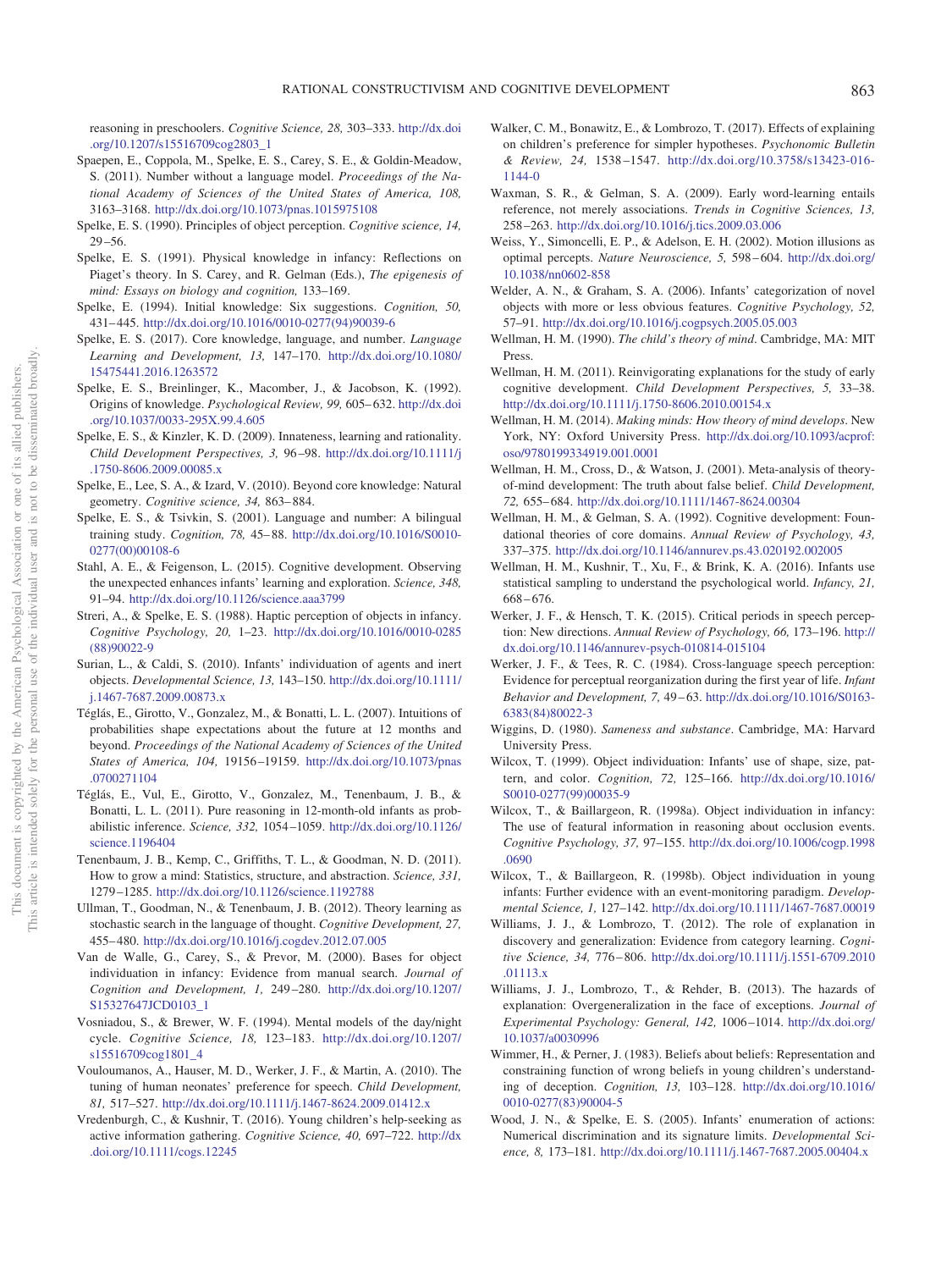reasoning in preschoolers. *Cognitive Science, 28,* 303–333. [http://dx.doi](http://dx.doi.org/10.1207/s15516709cog2803_1) [.org/10.1207/s15516709cog2803\\_1](http://dx.doi.org/10.1207/s15516709cog2803_1)

- <span id="page-22-29"></span>Spaepen, E., Coppola, M., Spelke, E. S., Carey, S. E., & Goldin-Meadow, S. (2011). Number without a language model. *Proceedings of the National Academy of Sciences of the United States of America, 108,* 3163–3168. <http://dx.doi.org/10.1073/pnas.1015975108>
- <span id="page-22-5"></span>Spelke, E. S. (1990). Principles of object perception. *Cognitive science, 14,*  $29 - 56.$
- <span id="page-22-22"></span>Spelke, E. S. (1991). Physical knowledge in infancy: Reflections on Piaget's theory. In S. Carey, and R. Gelman (Eds.), *The epigenesis of mind: Essays on biology and cognition,* 133–169.
- <span id="page-22-4"></span>Spelke, E. (1994). Initial knowledge: Six suggestions. *Cognition, 50,* 431– 445. [http://dx.doi.org/10.1016/0010-0277\(94\)90039-6](http://dx.doi.org/10.1016/0010-0277%2894%2990039-6)
- <span id="page-22-13"></span>Spelke, E. S. (2017). Core knowledge, language, and number. *Language Learning and Development, 13,* 147–170. [http://dx.doi.org/10.1080/](http://dx.doi.org/10.1080/15475441.2016.1263572) [15475441.2016.1263572](http://dx.doi.org/10.1080/15475441.2016.1263572)
- <span id="page-22-0"></span>Spelke, E. S., Breinlinger, K., Macomber, J., & Jacobson, K. (1992). Origins of knowledge. *Psychological Review, 99,* 605– 632. [http://dx.doi](http://dx.doi.org/10.1037/0033-295X.99.4.605) [.org/10.1037/0033-295X.99.4.605](http://dx.doi.org/10.1037/0033-295X.99.4.605)
- <span id="page-22-1"></span>Spelke, E. S., & Kinzler, K. D. (2009). Innateness, learning and rationality. *Child Development Perspectives, 3,* 96 –98. [http://dx.doi.org/10.1111/j](http://dx.doi.org/10.1111/j.1750-8606.2009.00085.x) [.1750-8606.2009.00085.x](http://dx.doi.org/10.1111/j.1750-8606.2009.00085.x)
- <span id="page-22-17"></span>Spelke, E., Lee, S. A., & Izard, V. (2010). Beyond core knowledge: Natural geometry. *Cognitive science, 34,* 863– 884.
- <span id="page-22-28"></span>Spelke, E. S., & Tsivkin, S. (2001). Language and number: A bilingual training study. *Cognition, 78,* 45– 88. [http://dx.doi.org/10.1016/S0010-](http://dx.doi.org/10.1016/S0010-0277%2800%2900108-6) [0277\(00\)00108-6](http://dx.doi.org/10.1016/S0010-0277%2800%2900108-6)
- <span id="page-22-38"></span>Stahl, A. E., & Feigenson, L. (2015). Cognitive development. Observing the unexpected enhances infants' learning and exploration. *Science, 348,* 91–94. <http://dx.doi.org/10.1126/science.aaa3799>
- <span id="page-22-18"></span>Streri, A., & Spelke, E. S. (1988). Haptic perception of objects in infancy. *Cognitive Psychology, 20,* 1–23. [http://dx.doi.org/10.1016/0010-0285](http://dx.doi.org/10.1016/0010-0285%2888%2990022-9) [\(88\)90022-9](http://dx.doi.org/10.1016/0010-0285%2888%2990022-9)
- <span id="page-22-7"></span>Surian, L., & Caldi, S. (2010). Infants' individuation of agents and inert objects. *Developmental Science, 13,* 143–150. [http://dx.doi.org/10.1111/](http://dx.doi.org/10.1111/j.1467-7687.2009.00873.x) [j.1467-7687.2009.00873.x](http://dx.doi.org/10.1111/j.1467-7687.2009.00873.x)
- <span id="page-22-31"></span>Téglás, E., Girotto, V., Gonzalez, M., & Bonatti, L. L. (2007). Intuitions of probabilities shape expectations about the future at 12 months and beyond. *Proceedings of the National Academy of Sciences of the United States of America, 104,* 19156 –19159. [http://dx.doi.org/10.1073/pnas](http://dx.doi.org/10.1073/pnas.0700271104) [.0700271104](http://dx.doi.org/10.1073/pnas.0700271104)
- <span id="page-22-32"></span>Téglás, E., Vul, E., Girotto, V., Gonzalez, M., Tenenbaum, J. B., & Bonatti, L. L. (2011). Pure reasoning in 12-month-old infants as probabilistic inference. *Science, 332,* 1054 –1059. [http://dx.doi.org/10.1126/](http://dx.doi.org/10.1126/science.1196404) [science.1196404](http://dx.doi.org/10.1126/science.1196404)
- <span id="page-22-2"></span>Tenenbaum, J. B., Kemp, C., Griffiths, T. L., & Goodman, N. D. (2011). How to grow a mind: Statistics, structure, and abstraction. *Science, 331,* 1279 –1285. <http://dx.doi.org/10.1126/science.1192788>
- <span id="page-22-30"></span>Ullman, T., Goodman, N., & Tenenbaum, J. B. (2012). Theory learning as stochastic search in the language of thought. *Cognitive Development, 27,* 455– 480. <http://dx.doi.org/10.1016/j.cogdev.2012.07.005>
- <span id="page-22-11"></span>Van de Walle, G., Carey, S., & Prevor, M. (2000). Bases for object individuation in infancy: Evidence from manual search. *Journal of Cognition and Development, 1,* 249 –280. [http://dx.doi.org/10.1207/](http://dx.doi.org/10.1207/S15327647JCD0103_1) [S15327647JCD0103\\_1](http://dx.doi.org/10.1207/S15327647JCD0103_1)
- <span id="page-22-20"></span>Vosniadou, S., & Brewer, W. F. (1994). Mental models of the day/night cycle. *Cognitive Science, 18,* 123–183. [http://dx.doi.org/10.1207/](http://dx.doi.org/10.1207/s15516709cog1801_4) [s15516709cog1801\\_4](http://dx.doi.org/10.1207/s15516709cog1801_4)
- <span id="page-22-23"></span>Vouloumanos, A., Hauser, M. D., Werker, J. F., & Martin, A. (2010). The tuning of human neonates' preference for speech. *Child Development, 81,* 517–527. <http://dx.doi.org/10.1111/j.1467-8624.2009.01412.x>
- <span id="page-22-39"></span>Vredenburgh, C., & Kushnir, T. (2016). Young children's help-seeking as active information gathering. *Cognitive Science, 40,* 697–722. [http://dx](http://dx.doi.org/10.1111/cogs.12245) [.doi.org/10.1111/cogs.12245](http://dx.doi.org/10.1111/cogs.12245)
- <span id="page-22-37"></span>Walker, C. M., Bonawitz, E., & Lombrozo, T. (2017). Effects of explaining on children's preference for simpler hypotheses. *Psychonomic Bulletin & Review, 24,* 1538 –1547. [http://dx.doi.org/10.3758/s13423-016-](http://dx.doi.org/10.3758/s13423-016-1144-0) [1144-0](http://dx.doi.org/10.3758/s13423-016-1144-0)
- <span id="page-22-27"></span>Waxman, S. R., & Gelman, S. A. (2009). Early word-learning entails reference, not merely associations. *Trends in Cognitive Sciences, 13,* 258 –263. <http://dx.doi.org/10.1016/j.tics.2009.03.006>
- <span id="page-22-19"></span>Weiss, Y., Simoncelli, E. P., & Adelson, E. H. (2002). Motion illusions as optimal percepts. *Nature Neuroscience, 5,* 598 – 604. [http://dx.doi.org/](http://dx.doi.org/10.1038/nn0602-858) [10.1038/nn0602-858](http://dx.doi.org/10.1038/nn0602-858)
- <span id="page-22-26"></span>Welder, A. N., & Graham, S. A. (2006). Infants' categorization of novel objects with more or less obvious features. *Cognitive Psychology, 52,* 57–91. <http://dx.doi.org/10.1016/j.cogpsych.2005.05.003>
- <span id="page-22-21"></span>Wellman, H. M. (1990). *The child's theory of mind*. Cambridge, MA: MIT Press.
- <span id="page-22-34"></span>Wellman, H. M. (2011). Reinvigorating explanations for the study of early cognitive development. *Child Development Perspectives, 5,* 33–38. <http://dx.doi.org/10.1111/j.1750-8606.2010.00154.x>
- <span id="page-22-14"></span>Wellman, H. M. (2014). *Making minds: How theory of mind develops*. New York, NY: Oxford University Press. [http://dx.doi.org/10.1093/acprof:](http://dx.doi.org/10.1093/acprof:oso/9780199334919.001.0001) [oso/9780199334919.001.0001](http://dx.doi.org/10.1093/acprof:oso/9780199334919.001.0001)
- <span id="page-22-15"></span>Wellman, H. M., Cross, D., & Watson, J. (2001). Meta-analysis of theoryof-mind development: The truth about false belief. *Child Development, 72,* 655– 684. <http://dx.doi.org/10.1111/1467-8624.00304>
- <span id="page-22-3"></span>Wellman, H. M., & Gelman, S. A. (1992). Cognitive development: Foundational theories of core domains. *Annual Review of Psychology, 43,* 337–375. <http://dx.doi.org/10.1146/annurev.ps.43.020192.002005>
- <span id="page-22-33"></span>Wellman, H. M., Kushnir, T., Xu, F., & Brink, K. A. (2016). Infants use statistical sampling to understand the psychological world. *Infancy, 21,* 668 – 676.
- <span id="page-22-24"></span>Werker, J. F., & Hensch, T. K. (2015). Critical periods in speech perception: New directions. *Annual Review of Psychology, 66,* 173–196. [http://](http://dx.doi.org/10.1146/annurev-psych-010814-015104) [dx.doi.org/10.1146/annurev-psych-010814-015104](http://dx.doi.org/10.1146/annurev-psych-010814-015104)
- <span id="page-22-25"></span>Werker, J. F., & Tees, R. C. (1984). Cross-language speech perception: Evidence for perceptual reorganization during the first year of life. *Infant Behavior and Development, 7,* 49 – 63. [http://dx.doi.org/10.1016/S0163-](http://dx.doi.org/10.1016/S0163-6383%2884%2980022-3) [6383\(84\)80022-3](http://dx.doi.org/10.1016/S0163-6383%2884%2980022-3)
- <span id="page-22-6"></span>Wiggins, D. (1980). *Sameness and substance*. Cambridge, MA: Harvard University Press.
- <span id="page-22-8"></span>Wilcox, T. (1999). Object individuation: Infants' use of shape, size, pattern, and color. *Cognition, 72,* 125–166. [http://dx.doi.org/10.1016/](http://dx.doi.org/10.1016/S0010-0277%2899%2900035-9) [S0010-0277\(99\)00035-9](http://dx.doi.org/10.1016/S0010-0277%2899%2900035-9)
- <span id="page-22-9"></span>Wilcox, T., & Baillargeon, R. (1998a). Object individuation in infancy: The use of featural information in reasoning about occlusion events. *Cognitive Psychology, 37,* 97–155. [http://dx.doi.org/10.1006/cogp.1998](http://dx.doi.org/10.1006/cogp.1998.0690) [.0690](http://dx.doi.org/10.1006/cogp.1998.0690)
- <span id="page-22-10"></span>Wilcox, T., & Baillargeon, R. (1998b). Object individuation in young infants: Further evidence with an event-monitoring paradigm. *Developmental Science, 1,* 127–142. <http://dx.doi.org/10.1111/1467-7687.00019>
- <span id="page-22-35"></span>Williams, J. J., & Lombrozo, T. (2012). The role of explanation in discovery and generalization: Evidence from category learning. *Cognitive Science, 34,* 776 – 806. [http://dx.doi.org/10.1111/j.1551-6709.2010](http://dx.doi.org/10.1111/j.1551-6709.2010.01113.x) [.01113.x](http://dx.doi.org/10.1111/j.1551-6709.2010.01113.x)
- <span id="page-22-36"></span>Williams, J. J., Lombrozo, T., & Rehder, B. (2013). The hazards of explanation: Overgeneralization in the face of exceptions. *Journal of Experimental Psychology: General, 142,* 1006 –1014. [http://dx.doi.org/](http://dx.doi.org/10.1037/a0030996) [10.1037/a0030996](http://dx.doi.org/10.1037/a0030996)
- <span id="page-22-16"></span>Wimmer, H., & Perner, J. (1983). Beliefs about beliefs: Representation and constraining function of wrong beliefs in young children's understanding of deception. *Cognition, 13,* 103–128. [http://dx.doi.org/10.1016/](http://dx.doi.org/10.1016/0010-0277%2883%2990004-5) [0010-0277\(83\)90004-5](http://dx.doi.org/10.1016/0010-0277%2883%2990004-5)
- <span id="page-22-12"></span>Wood, J. N., & Spelke, E. S. (2005). Infants' enumeration of actions: Numerical discrimination and its signature limits. *Developmental Science, 8,* 173–181. <http://dx.doi.org/10.1111/j.1467-7687.2005.00404.x>